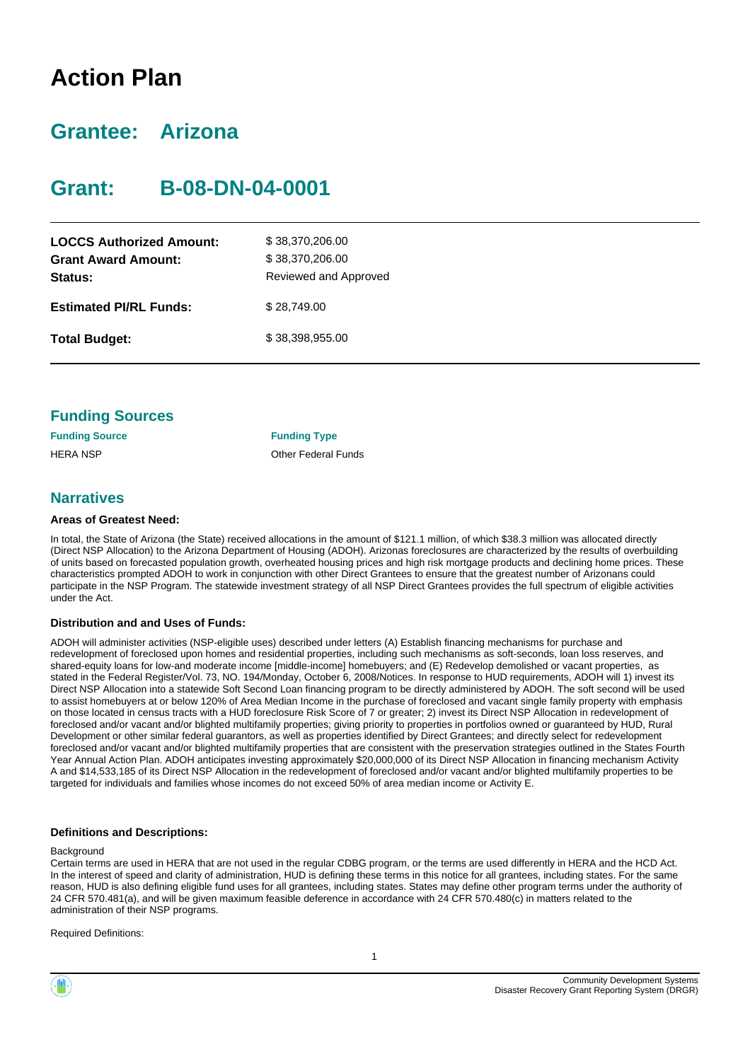# **Action Plan**

# **Grantee: Arizona**

# **Grant: B-08-DN-04-0001**

| <b>LOCCS Authorized Amount:</b><br><b>Grant Award Amount:</b><br>Status: | \$38,370,206.00<br>\$38,370,206.00<br>Reviewed and Approved |  |  |  |  |  |
|--------------------------------------------------------------------------|-------------------------------------------------------------|--|--|--|--|--|
| <b>Estimated PI/RL Funds:</b>                                            | \$28,749,00                                                 |  |  |  |  |  |
| <b>Total Budget:</b>                                                     | \$38.398.955.00                                             |  |  |  |  |  |

| <b>Funding Sources</b> |  |
|------------------------|--|
|------------------------|--|

| <b>Funding Source</b> | <b>Funding Type</b>        |
|-----------------------|----------------------------|
| HERA NSP              | <b>Other Federal Funds</b> |

#### **Narratives**

#### **Areas of Greatest Need:**

In total, the State of Arizona (the State) received allocations in the amount of \$121.1 million, of which \$38.3 million was allocated directly (Direct NSP Allocation) to the Arizona Department of Housing (ADOH). Arizonas foreclosures are characterized by the results of overbuilding of units based on forecasted population growth, overheated housing prices and high risk mortgage products and declining home prices. These characteristics prompted ADOH to work in conjunction with other Direct Grantees to ensure that the greatest number of Arizonans could participate in the NSP Program. The statewide investment strategy of all NSP Direct Grantees provides the full spectrum of eligible activities under the Act.

#### **Distribution and and Uses of Funds:**

ADOH will administer activities (NSP-eligible uses) described under letters (A) Establish financing mechanisms for purchase and redevelopment of foreclosed upon homes and residential properties, including such mechanisms as soft-seconds, loan loss reserves, and shared-equity loans for low-and moderate income [middle-income] homebuyers; and (E) Redevelop demolished or vacant properties, as stated in the Federal Register/Vol. 73, NO. 194/Monday, October 6, 2008/Notices. In response to HUD requirements, ADOH will 1) invest its Direct NSP Allocation into a statewide Soft Second Loan financing program to be directly administered by ADOH. The soft second will be used to assist homebuyers at or below 120% of Area Median Income in the purchase of foreclosed and vacant single family property with emphasis on those located in census tracts with a HUD foreclosure Risk Score of 7 or greater; 2) invest its Direct NSP Allocation in redevelopment of foreclosed and/or vacant and/or blighted multifamily properties; giving priority to properties in portfolios owned or guaranteed by HUD, Rural Development or other similar federal guarantors, as well as properties identified by Direct Grantees; and directly select for redevelopment foreclosed and/or vacant and/or blighted multifamily properties that are consistent with the preservation strategies outlined in the States Fourth Year Annual Action Plan. ADOH anticipates investing approximately \$20,000,000 of its Direct NSP Allocation in financing mechanism Activity A and \$14,533,185 of its Direct NSP Allocation in the redevelopment of foreclosed and/or vacant and/or blighted multifamily properties to be targeted for individuals and families whose incomes do not exceed 50% of area median income or Activity E.

#### **Definitions and Descriptions:**

#### **Background**

Certain terms are used in HERA that are not used in the regular CDBG program, or the terms are used differently in HERA and the HCD Act. In the interest of speed and clarity of administration, HUD is defining these terms in this notice for all grantees, including states. For the same reason, HUD is also defining eligible fund uses for all grantees, including states. States may define other program terms under the authority of 24 CFR 570.481(a), and will be given maximum feasible deference in accordance with 24 CFR 570.480(c) in matters related to the administration of their NSP programs.

Required Definitions:

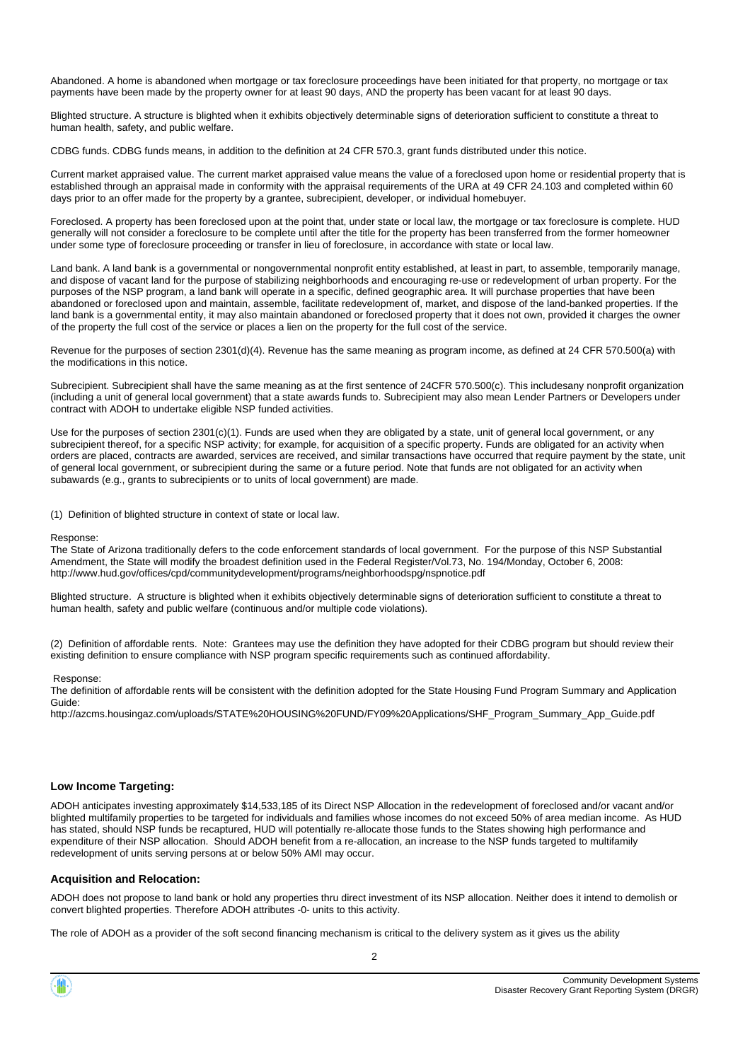Abandoned. A home is abandoned when mortgage or tax foreclosure proceedings have been initiated for that property, no mortgage or tax payments have been made by the property owner for at least 90 days, AND the property has been vacant for at least 90 days.

Blighted structure. A structure is blighted when it exhibits objectively determinable signs of deterioration sufficient to constitute a threat to human health, safety, and public welfare.

CDBG funds. CDBG funds means, in addition to the definition at 24 CFR 570.3, grant funds distributed under this notice.

Current market appraised value. The current market appraised value means the value of a foreclosed upon home or residential property that is established through an appraisal made in conformity with the appraisal requirements of the URA at 49 CFR 24.103 and completed within 60 days prior to an offer made for the property by a grantee, subrecipient, developer, or individual homebuyer.

Foreclosed. A property has been foreclosed upon at the point that, under state or local law, the mortgage or tax foreclosure is complete. HUD generally will not consider a foreclosure to be complete until after the title for the property has been transferred from the former homeowner under some type of foreclosure proceeding or transfer in lieu of foreclosure, in accordance with state or local law.

Land bank. A land bank is a governmental or nongovernmental nonprofit entity established, at least in part, to assemble, temporarily manage, and dispose of vacant land for the purpose of stabilizing neighborhoods and encouraging re-use or redevelopment of urban property. For the purposes of the NSP program, a land bank will operate in a specific, defined geographic area. It will purchase properties that have been abandoned or foreclosed upon and maintain, assemble, facilitate redevelopment of, market, and dispose of the land-banked properties. If the land bank is a governmental entity, it may also maintain abandoned or foreclosed property that it does not own, provided it charges the owner of the property the full cost of the service or places a lien on the property for the full cost of the service.

Revenue for the purposes of section 2301(d)(4). Revenue has the same meaning as program income, as defined at 24 CFR 570.500(a) with the modifications in this notice.

Subrecipient. Subrecipient shall have the same meaning as at the first sentence of 24CFR 570.500(c). This includesany nonprofit organization (including a unit of general local government) that a state awards funds to. Subrecipient may also mean Lender Partners or Developers under contract with ADOH to undertake eligible NSP funded activities.

Use for the purposes of section 2301(c)(1). Funds are used when they are obligated by a state, unit of general local government, or any subrecipient thereof, for a specific NSP activity; for example, for acquisition of a specific property. Funds are obligated for an activity when orders are placed, contracts are awarded, services are received, and similar transactions have occurred that require payment by the state, unit of general local government, or subrecipient during the same or a future period. Note that funds are not obligated for an activity when subawards (e.g., grants to subrecipients or to units of local government) are made.

(1) Definition of blighted structure in context of state or local law.

#### Response:

The State of Arizona traditionally defers to the code enforcement standards of local government. For the purpose of this NSP Substantial Amendment, the State will modify the broadest definition used in the Federal Register/Vol.73, No. 194/Monday, October 6, 2008: http://www.hud.gov/offices/cpd/communitydevelopment/programs/neighborhoodspg/nspnotice.pdf

Blighted structure. A structure is blighted when it exhibits objectively determinable signs of deterioration sufficient to constitute a threat to human health, safety and public welfare (continuous and/or multiple code violations).

(2) Definition of affordable rents. Note: Grantees may use the definition they have adopted for their CDBG program but should review their existing definition to ensure compliance with NSP program specific requirements such as continued affordability.

#### Response:

The definition of affordable rents will be consistent with the definition adopted for the State Housing Fund Program Summary and Application Guide:

http://azcms.housingaz.com/uploads/STATE%20HOUSING%20FUND/FY09%20Applications/SHF\_Program\_Summary\_App\_Guide.pdf

#### **Low Income Targeting:**

ADOH anticipates investing approximately \$14,533,185 of its Direct NSP Allocation in the redevelopment of foreclosed and/or vacant and/or blighted multifamily properties to be targeted for individuals and families whose incomes do not exceed 50% of area median income. As HUD has stated, should NSP funds be recaptured, HUD will potentially re-allocate those funds to the States showing high performance and expenditure of their NSP allocation. Should ADOH benefit from a re-allocation, an increase to the NSP funds targeted to multifamily redevelopment of units serving persons at or below 50% AMI may occur.

#### **Acquisition and Relocation:**

ADOH does not propose to land bank or hold any properties thru direct investment of its NSP allocation. Neither does it intend to demolish or convert blighted properties. Therefore ADOH attributes -0- units to this activity.

The role of ADOH as a provider of the soft second financing mechanism is critical to the delivery system as it gives us the ability

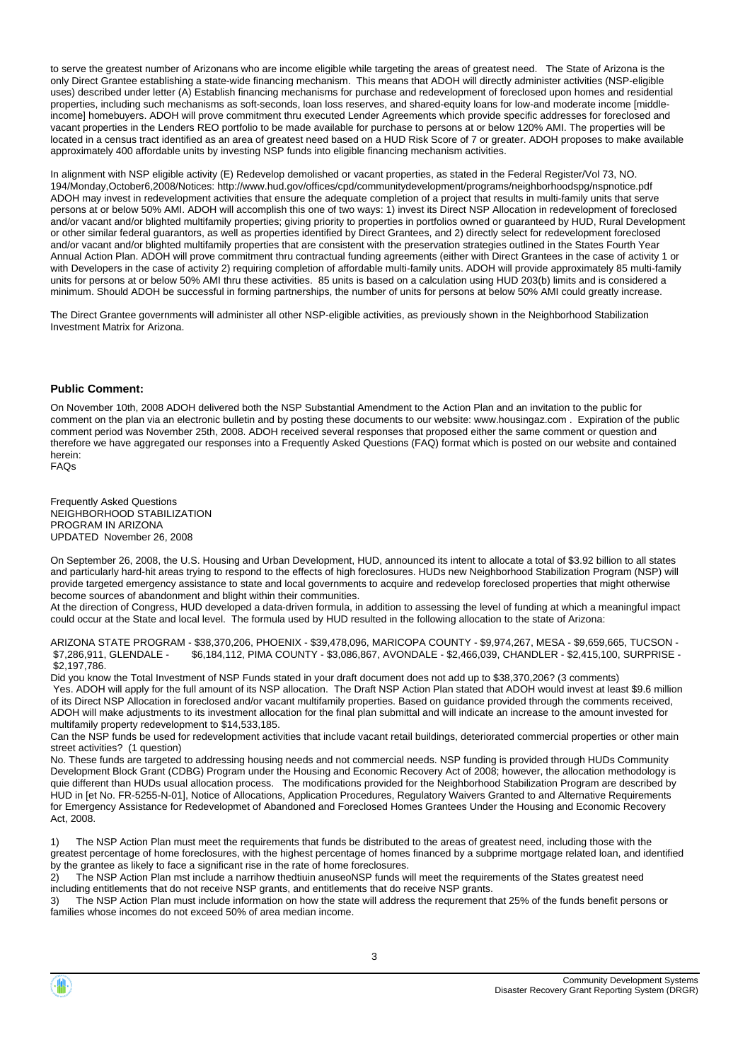to serve the greatest number of Arizonans who are income eligible while targeting the areas of greatest need. The State of Arizona is the only Direct Grantee establishing a state-wide financing mechanism. This means that ADOH will directly administer activities (NSP-eligible uses) described under letter (A) Establish financing mechanisms for purchase and redevelopment of foreclosed upon homes and residential properties, including such mechanisms as soft-seconds, loan loss reserves, and shared-equity loans for low-and moderate income [middleincome] homebuyers. ADOH will prove commitment thru executed Lender Agreements which provide specific addresses for foreclosed and vacant properties in the Lenders REO portfolio to be made available for purchase to persons at or below 120% AMI. The properties will be located in a census tract identified as an area of greatest need based on a HUD Risk Score of 7 or greater. ADOH proposes to make available approximately 400 affordable units by investing NSP funds into eligible financing mechanism activities.

In alignment with NSP eligible activity (E) Redevelop demolished or vacant properties, as stated in the Federal Register/Vol 73, NO. 194/Monday,October6,2008/Notices: http://www.hud.gov/offices/cpd/communitydevelopment/programs/neighborhoodspg/nspnotice.pdf ADOH may invest in redevelopment activities that ensure the adequate completion of a project that results in multi-family units that serve persons at or below 50% AMI. ADOH will accomplish this one of two ways: 1) invest its Direct NSP Allocation in redevelopment of foreclosed and/or vacant and/or blighted multifamily properties; giving priority to properties in portfolios owned or guaranteed by HUD, Rural Development or other similar federal guarantors, as well as properties identified by Direct Grantees, and 2) directly select for redevelopment foreclosed and/or vacant and/or blighted multifamily properties that are consistent with the preservation strategies outlined in the States Fourth Year Annual Action Plan. ADOH will prove commitment thru contractual funding agreements (either with Direct Grantees in the case of activity 1 or with Developers in the case of activity 2) requiring completion of affordable multi-family units. ADOH will provide approximately 85 multi-family units for persons at or below 50% AMI thru these activities. 85 units is based on a calculation using HUD 203(b) limits and is considered a minimum. Should ADOH be successful in forming partnerships, the number of units for persons at below 50% AMI could greatly increase.

The Direct Grantee governments will administer all other NSP-eligible activities, as previously shown in the Neighborhood Stabilization Investment Matrix for Arizona.

#### **Public Comment:**

On November 10th, 2008 ADOH delivered both the NSP Substantial Amendment to the Action Plan and an invitation to the public for comment on the plan via an electronic bulletin and by posting these documents to our website: www.housingaz.com . Expiration of the public comment period was November 25th, 2008. ADOH received several responses that proposed either the same comment or question and therefore we have aggregated our responses into a Frequently Asked Questions (FAQ) format which is posted on our website and contained herein: FAQs

Frequently Asked Questions NEIGHBORHOOD STABILIZATION PROGRAM IN ARIZONA UPDATED November 26, 2008

On September 26, 2008, the U.S. Housing and Urban Development, HUD, announced its intent to allocate a total of \$3.92 billion to all states and particularly hard-hit areas trying to respond to the effects of high foreclosures. HUDs new Neighborhood Stabilization Program (NSP) will provide targeted emergency assistance to state and local governments to acquire and redevelop foreclosed properties that might otherwise become sources of abandonment and blight within their communities.

At the direction of Congress, HUD developed a data-driven formula, in addition to assessing the level of funding at which a meaningful impact could occur at the State and local level. The formula used by HUD resulted in the following allocation to the state of Arizona:

ARIZONA STATE PROGRAM - \$38,370,206, PHOENIX - \$39,478,096, MARICOPA COUNTY - \$9,974,267, MESA - \$9,659,665, TUCSON - \$7,286,911, GLENDALE - \$6,184,112, PIMA COUNTY - \$3,086,867, AVONDALE - \$2,466,039, CHANDLER - \$2,415,100, SURPRISE - \$2,197,786.

Did you know the Total Investment of NSP Funds stated in your draft document does not add up to \$38,370,206? (3 comments) Yes. ADOH will apply for the full amount of its NSP allocation. The Draft NSP Action Plan stated that ADOH would invest at least \$9.6 million of its Direct NSP Allocation in foreclosed and/or vacant multifamily properties. Based on guidance provided through the comments received, ADOH will make adjustments to its investment allocation for the final plan submittal and will indicate an increase to the amount invested for multifamily property redevelopment to \$14,533,185.

Can the NSP funds be used for redevelopment activities that include vacant retail buildings, deteriorated commercial properties or other main street activities? (1 question)

No. These funds are targeted to addressing housing needs and not commercial needs. NSP funding is provided through HUDs Community Development Block Grant (CDBG) Program under the Housing and Economic Recovery Act of 2008; however, the allocation methodology is quie different than HUDs usual allocation process. The modifications provided for the Neighborhood Stabilization Program are described by HUD in [et No. FR-5255-N-01], Notice of Allocations, Application Procedures, Regulatory Waivers Granted to and Alternative Requirements for Emergency Assistance for Redevelopmet of Abandoned and Foreclosed Homes Grantees Under the Housing and Economic Recovery Act, 2008.

1) The NSP Action Plan must meet the requirements that funds be distributed to the areas of greatest need, including those with the greatest percentage of home foreclosures, with the highest percentage of homes financed by a subprime mortgage related loan, and identified by the grantee as likely to face a significant rise in the rate of home foreclosures.

2) The NSP Action Plan mst include a narrihow thedtiuin anuseoNSP funds will meet the requirements of the States greatest need including entitlements that do not receive NSP grants, and entitlements that do receive NSP grants.

3) The NSP Action Plan must include information on how the state will address the requrement that 25% of the funds benefit persons or families whose incomes do not exceed 50% of area median income.

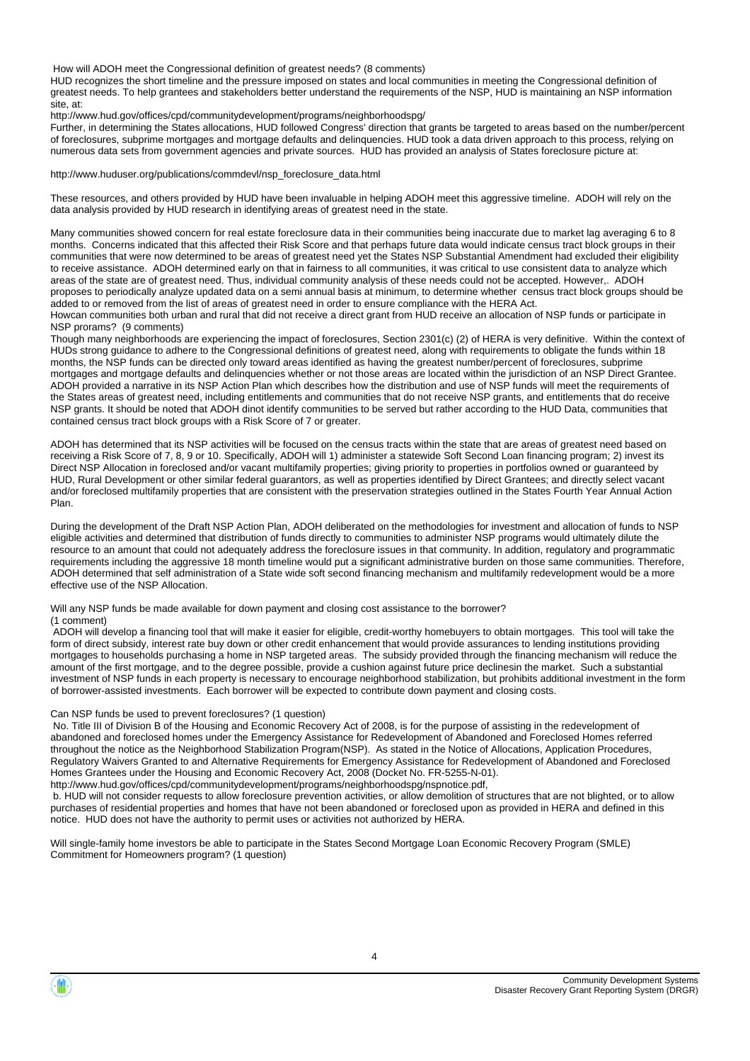How will ADOH meet the Congressional definition of greatest needs? (8 comments)

HUD recognizes the short timeline and the pressure imposed on states and local communities in meeting the Congressional definition of greatest needs. To help grantees and stakeholders better understand the requirements of the NSP, HUD is maintaining an NSP information site, at:

http://www.hud.gov/offices/cpd/communitydevelopment/programs/neighborhoodspg/

Further, in determining the States allocations, HUD followed Congress' direction that grants be targeted to areas based on the number/percent of foreclosures, subprime mortgages and mortgage defaults and delinquencies. HUD took a data driven approach to this process, relying on numerous data sets from government agencies and private sources. HUD has provided an analysis of States foreclosure picture at:

http://www.huduser.org/publications/commdevl/nsp\_foreclosure\_data.html

These resources, and others provided by HUD have been invaluable in helping ADOH meet this aggressive timeline. ADOH will rely on the data analysis provided by HUD research in identifying areas of greatest need in the state.

Many communities showed concern for real estate foreclosure data in their communities being inaccurate due to market lag averaging 6 to 8 months. Concerns indicated that this affected their Risk Score and that perhaps future data would indicate census tract block groups in their communities that were now determined to be areas of greatest need yet the States NSP Substantial Amendment had excluded their eligibility to receive assistance. ADOH determined early on that in fairness to all communities, it was critical to use consistent data to analyze which areas of the state are of greatest need. Thus, individual community analysis of these needs could not be accepted. However,. ADOH proposes to periodically analyze updated data on a semi annual basis at minimum, to determine whether census tract block groups should be added to or removed from the list of areas of greatest need in order to ensure compliance with the HERA Act.

Howcan communities both urban and rural that did not receive a direct grant from HUD receive an allocation of NSP funds or participate in NSP prorams? (9 comments)

Though many neighborhoods are experiencing the impact of foreclosures, Section 2301(c) (2) of HERA is very definitive. Within the context of HUDs strong guidance to adhere to the Congressional definitions of greatest need, along with requirements to obligate the funds within 18 months, the NSP funds can be directed only toward areas identified as having the greatest number/percent of foreclosures, subprime mortgages and mortgage defaults and delinquencies whether or not those areas are located within the jurisdiction of an NSP Direct Grantee. ADOH provided a narrative in its NSP Action Plan which describes how the distribution and use of NSP funds will meet the requirements of the States areas of greatest need, including entitlements and communities that do not receive NSP grants, and entitlements that do receive NSP grants. It should be noted that ADOH dinot identify communities to be served but rather according to the HUD Data, communities that contained census tract block groups with a Risk Score of 7 or greater.

ADOH has determined that its NSP activities will be focused on the census tracts within the state that are areas of greatest need based on receiving a Risk Score of 7, 8, 9 or 10. Specifically, ADOH will 1) administer a statewide Soft Second Loan financing program; 2) invest its Direct NSP Allocation in foreclosed and/or vacant multifamily properties; giving priority to properties in portfolios owned or guaranteed by HUD, Rural Development or other similar federal guarantors, as well as properties identified by Direct Grantees; and directly select vacant and/or foreclosed multifamily properties that are consistent with the preservation strategies outlined in the States Fourth Year Annual Action Plan.

During the development of the Draft NSP Action Plan, ADOH deliberated on the methodologies for investment and allocation of funds to NSP eligible activities and determined that distribution of funds directly to communities to administer NSP programs would ultimately dilute the resource to an amount that could not adequately address the foreclosure issues in that community. In addition, regulatory and programmatic requirements including the aggressive 18 month timeline would put a significant administrative burden on those same communities. Therefore, ADOH determined that self administration of a State wide soft second financing mechanism and multifamily redevelopment would be a more effective use of the NSP Allocation.

Will any NSP funds be made available for down payment and closing cost assistance to the borrower? (1 comment)

 ADOH will develop a financing tool that will make it easier for eligible, credit-worthy homebuyers to obtain mortgages. This tool will take the form of direct subsidy, interest rate buy down or other credit enhancement that would provide assurances to lending institutions providing mortgages to households purchasing a home in NSP targeted areas. The subsidy provided through the financing mechanism will reduce the amount of the first mortgage, and to the degree possible, provide a cushion against future price declinesin the market. Such a substantial investment of NSP funds in each property is necessary to encourage neighborhood stabilization, but prohibits additional investment in the form of borrower-assisted investments. Each borrower will be expected to contribute down payment and closing costs.

#### Can NSP funds be used to prevent foreclosures? (1 question)

 No. Title III of Division B of the Housing and Economic Recovery Act of 2008, is for the purpose of assisting in the redevelopment of abandoned and foreclosed homes under the Emergency Assistance for Redevelopment of Abandoned and Foreclosed Homes referred throughout the notice as the Neighborhood Stabilization Program(NSP). As stated in the Notice of Allocations, Application Procedures, Regulatory Waivers Granted to and Alternative Requirements for Emergency Assistance for Redevelopment of Abandoned and Foreclosed Homes Grantees under the Housing and Economic Recovery Act, 2008 (Docket No. FR-5255-N-01).

http://www.hud.gov/offices/cpd/communitydevelopment/programs/neighborhoodspg/nspnotice.pdf,

 b. HUD will not consider requests to allow foreclosure prevention activities, or allow demolition of structures that are not blighted, or to allow purchases of residential properties and homes that have not been abandoned or foreclosed upon as provided in HERA and defined in this notice. HUD does not have the authority to permit uses or activities not authorized by HERA.

Will single-family home investors be able to participate in the States Second Mortgage Loan Economic Recovery Program (SMLE) Commitment for Homeowners program? (1 question)

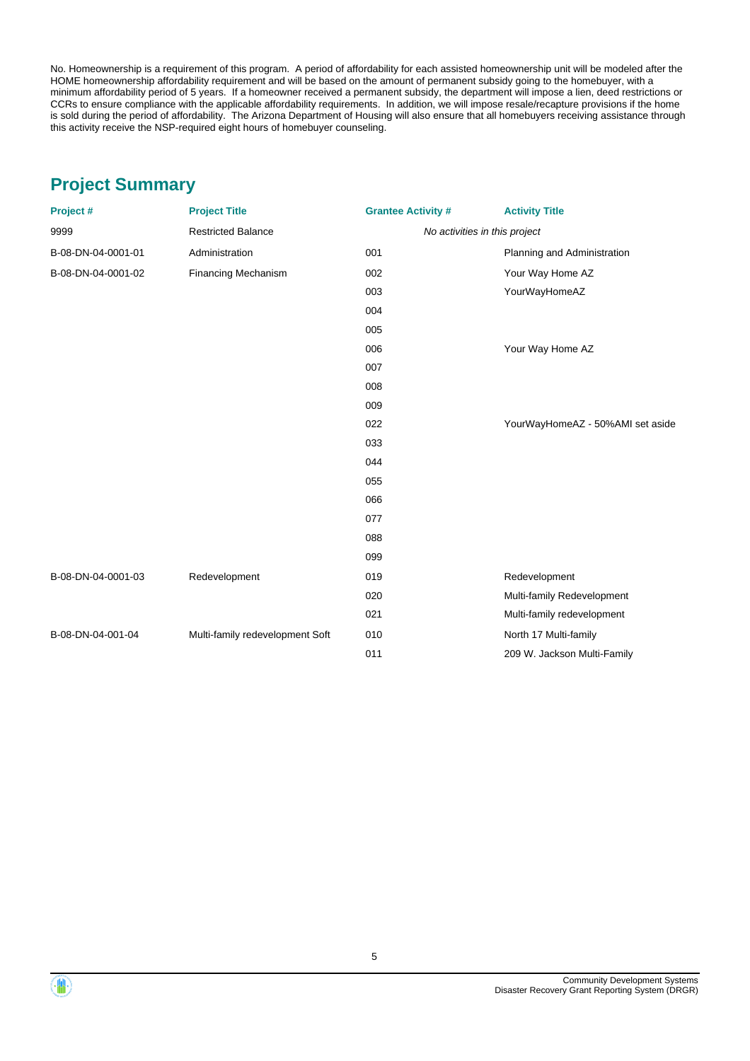No. Homeownership is a requirement of this program. A period of affordability for each assisted homeownership unit will be modeled after the HOME homeownership affordability requirement and will be based on the amount of permanent subsidy going to the homebuyer, with a minimum affordability period of 5 years. If a homeowner received a permanent subsidy, the department will impose a lien, deed restrictions or CCRs to ensure compliance with the applicable affordability requirements. In addition, we will impose resale/recapture provisions if the home is sold during the period of affordability. The Arizona Department of Housing will also ensure that all homebuyers receiving assistance through this activity receive the NSP-required eight hours of homebuyer counseling.

# **Project Summary**

| Project #          | <b>Project Title</b>            | <b>Grantee Activity #</b> | <b>Activity Title</b>            |
|--------------------|---------------------------------|---------------------------|----------------------------------|
| 9999               | <b>Restricted Balance</b>       |                           | No activities in this project    |
| B-08-DN-04-0001-01 | Administration                  | 001                       | Planning and Administration      |
| B-08-DN-04-0001-02 | Financing Mechanism             | 002                       | Your Way Home AZ                 |
|                    |                                 | 003                       | YourWayHomeAZ                    |
|                    |                                 | 004                       |                                  |
|                    |                                 | 005                       |                                  |
|                    |                                 | 006                       | Your Way Home AZ                 |
|                    |                                 | 007                       |                                  |
|                    |                                 | 008                       |                                  |
|                    |                                 | 009                       |                                  |
|                    |                                 | 022                       | YourWayHomeAZ - 50%AMI set aside |
|                    |                                 | 033                       |                                  |
|                    |                                 | 044                       |                                  |
|                    |                                 | 055                       |                                  |
|                    |                                 | 066                       |                                  |
|                    |                                 | 077                       |                                  |
|                    |                                 | 088                       |                                  |
|                    |                                 | 099                       |                                  |
| B-08-DN-04-0001-03 | Redevelopment                   | 019                       | Redevelopment                    |
|                    |                                 | 020                       | Multi-family Redevelopment       |
|                    |                                 | 021                       | Multi-family redevelopment       |
| B-08-DN-04-001-04  | Multi-family redevelopment Soft | 010                       | North 17 Multi-family            |
|                    |                                 | 011                       | 209 W. Jackson Multi-Family      |



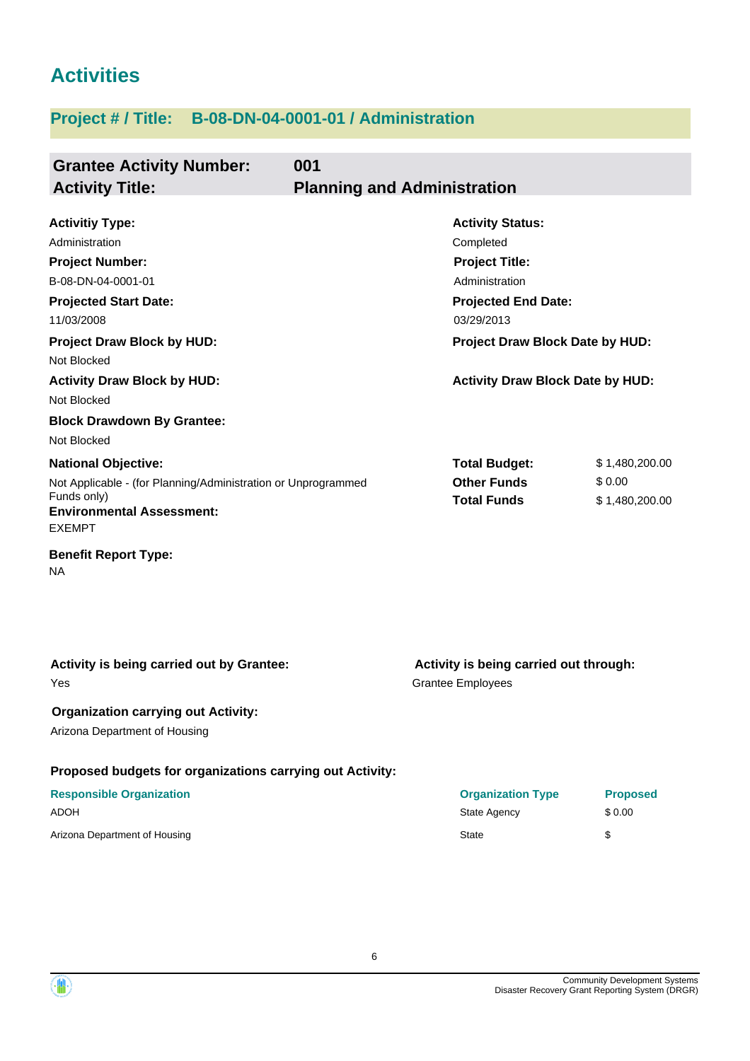# **Activities**

# **Project # / Title: B-08-DN-04-0001-01 / Administration**

| <b>Grantee Activity Number:</b>                                  | 001                                     |                |  |  |
|------------------------------------------------------------------|-----------------------------------------|----------------|--|--|
| <b>Activity Title:</b>                                           | <b>Planning and Administration</b>      |                |  |  |
| <b>Activitiy Type:</b>                                           | <b>Activity Status:</b>                 |                |  |  |
| Administration                                                   | Completed                               |                |  |  |
| <b>Project Number:</b>                                           | <b>Project Title:</b>                   |                |  |  |
| B-08-DN-04-0001-01                                               | Administration                          |                |  |  |
| <b>Projected Start Date:</b>                                     | <b>Projected End Date:</b>              |                |  |  |
| 11/03/2008                                                       | 03/29/2013                              |                |  |  |
| <b>Project Draw Block by HUD:</b>                                | Project Draw Block Date by HUD:         |                |  |  |
| Not Blocked                                                      |                                         |                |  |  |
| <b>Activity Draw Block by HUD:</b>                               | <b>Activity Draw Block Date by HUD:</b> |                |  |  |
| Not Blocked                                                      |                                         |                |  |  |
| <b>Block Drawdown By Grantee:</b>                                |                                         |                |  |  |
| Not Blocked                                                      |                                         |                |  |  |
| <b>National Objective:</b>                                       | <b>Total Budget:</b>                    | \$1,480,200.00 |  |  |
| Not Applicable - (for Planning/Administration or Unprogrammed    | <b>Other Funds</b>                      | \$0.00         |  |  |
| Funds only)<br><b>Environmental Assessment:</b><br><b>EXEMPT</b> | <b>Total Funds</b>                      | \$1,480,200.00 |  |  |
| <b>Benefit Report Type:</b><br>NA                                |                                         |                |  |  |

**Proposed budgets for organizations carrying out Activity:** Grantee Employees **Activity is being carried out through: Responsible Organization Organization Type Proposed** Yes **Activity is being carried out by Grantee: Organization carrying out Activity:** Arizona Department of Housing

| ADOH                          | State Agency | \$0.00 |
|-------------------------------|--------------|--------|
| Arizona Department of Housing | <b>State</b> |        |

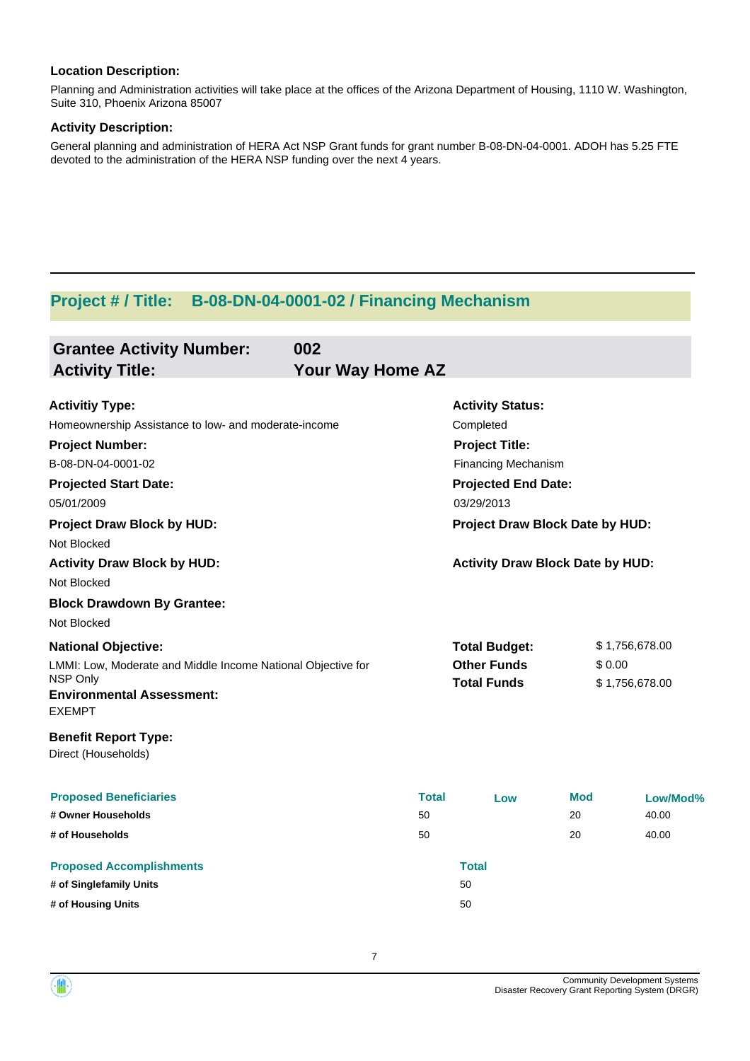Planning and Administration activities will take place at the offices of the Arizona Department of Housing, 1110 W. Washington, Suite 310, Phoenix Arizona 85007

#### **Activity Description:**

General planning and administration of HERA Act NSP Grant funds for grant number B-08-DN-04-0001. ADOH has 5.25 FTE devoted to the administration of the HERA NSP funding over the next 4 years.

# **Project # / Title: B-08-DN-04-0001-02 / Financing Mechanism**

| <b>Grantee Activity Number:</b><br><b>Activity Title:</b>    | 002<br><b>Your Way Home AZ</b> |                                 |                                         |                |                |  |  |
|--------------------------------------------------------------|--------------------------------|---------------------------------|-----------------------------------------|----------------|----------------|--|--|
| <b>Activitiy Type:</b>                                       |                                |                                 | <b>Activity Status:</b>                 |                |                |  |  |
| Homeownership Assistance to low- and moderate-income         |                                |                                 | Completed                               |                |                |  |  |
| <b>Project Number:</b>                                       |                                |                                 | <b>Project Title:</b>                   |                |                |  |  |
| B-08-DN-04-0001-02                                           |                                |                                 | <b>Financing Mechanism</b>              |                |                |  |  |
| <b>Projected Start Date:</b>                                 |                                |                                 | <b>Projected End Date:</b>              |                |                |  |  |
| 05/01/2009                                                   |                                |                                 | 03/29/2013                              |                |                |  |  |
| <b>Project Draw Block by HUD:</b><br>Not Blocked             |                                | Project Draw Block Date by HUD: |                                         |                |                |  |  |
| <b>Activity Draw Block by HUD:</b><br>Not Blocked            |                                |                                 | <b>Activity Draw Block Date by HUD:</b> |                |                |  |  |
| <b>Block Drawdown By Grantee:</b>                            |                                |                                 |                                         |                |                |  |  |
| Not Blocked                                                  |                                |                                 |                                         |                |                |  |  |
| <b>National Objective:</b>                                   |                                |                                 | <b>Total Budget:</b>                    |                | \$1,756,678.00 |  |  |
| LMMI: Low, Moderate and Middle Income National Objective for |                                |                                 | <b>Other Funds</b>                      | \$0.00         |                |  |  |
| NSP Only<br><b>Environmental Assessment:</b><br>EXEMPT       |                                | <b>Total Funds</b>              |                                         | \$1,756,678.00 |                |  |  |
| <b>Benefit Report Type:</b><br>Direct (Households)           |                                |                                 |                                         |                |                |  |  |
| <b>Proposed Beneficiaries</b>                                |                                | <b>Total</b>                    | Low                                     | <b>Mod</b>     | Low/Mod%       |  |  |
| # Owner Households                                           |                                | 50                              |                                         | 20             | 40.00          |  |  |
| # of Households                                              |                                | 50                              |                                         | 20             | 40.00          |  |  |
| <b>Proposed Accomplishments</b>                              |                                |                                 | <b>Total</b>                            |                |                |  |  |
| # of Singlefamily Units                                      |                                |                                 | 50                                      |                |                |  |  |
| # of Housing Units                                           |                                |                                 | 50                                      |                |                |  |  |

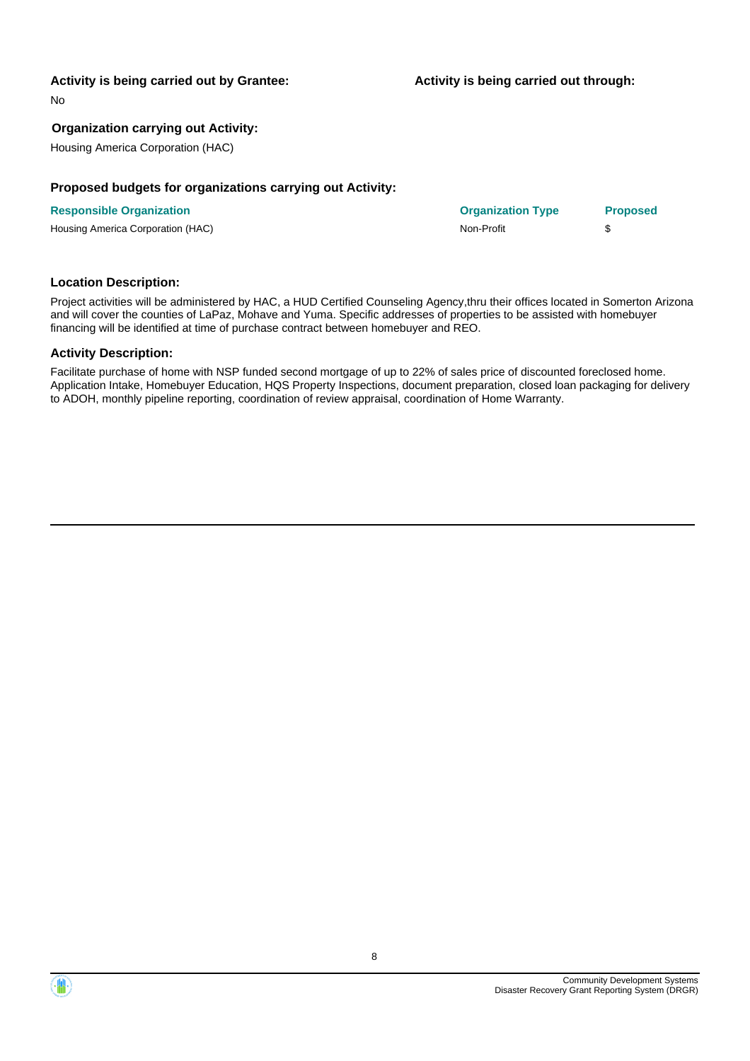#### **Activity is being carried out by Grantee:**

**Activity is being carried out through:**

No

#### **Organization carrying out Activity:**

Housing America Corporation (HAC)

#### **Proposed budgets for organizations carrying out Activity:**

| <b>Responsible Organization</b>   | <b>Organization Type</b> | <b>Proposed</b> |
|-----------------------------------|--------------------------|-----------------|
| Housing America Corporation (HAC) | Non-Profit               |                 |

#### **Location Description:**

Project activities will be administered by HAC, a HUD Certified Counseling Agency,thru their offices located in Somerton Arizona and will cover the counties of LaPaz, Mohave and Yuma. Specific addresses of properties to be assisted with homebuyer financing will be identified at time of purchase contract between homebuyer and REO.

#### **Activity Description:**

Facilitate purchase of home with NSP funded second mortgage of up to 22% of sales price of discounted foreclosed home. Application Intake, Homebuyer Education, HQS Property Inspections, document preparation, closed loan packaging for delivery to ADOH, monthly pipeline reporting, coordination of review appraisal, coordination of Home Warranty.



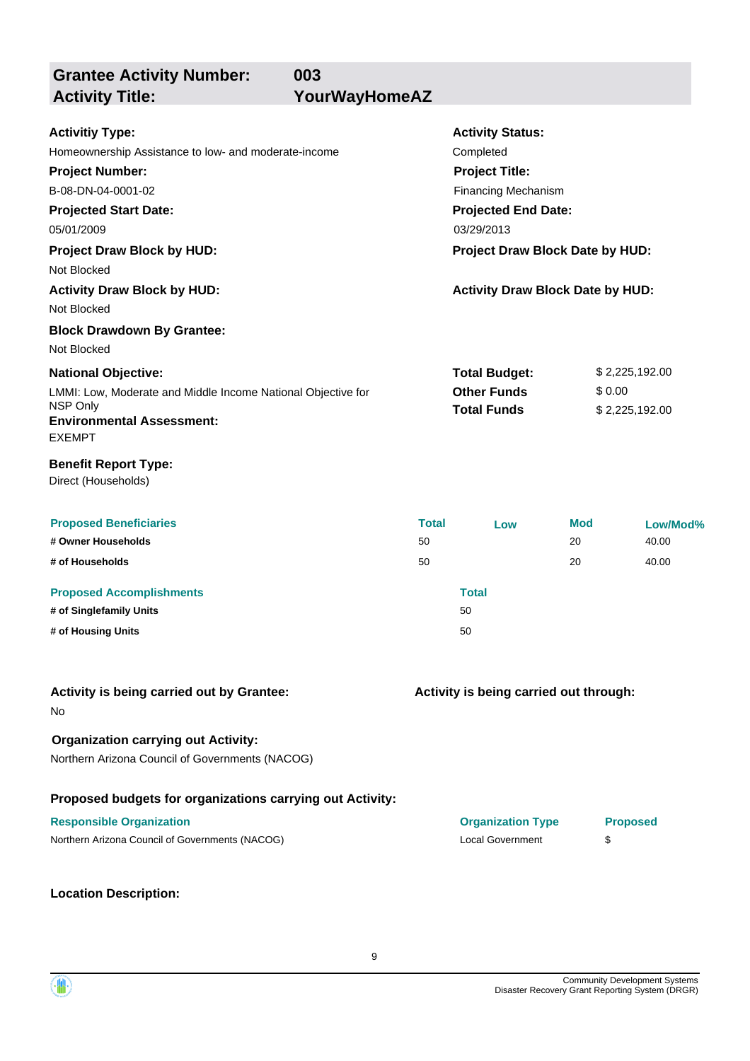**Grantee Activity Number: Activity Title: YourWayHomeAZ**

**003**

| <b>Activity Status:</b><br>Completed<br><b>Project Title:</b><br><b>Financing Mechanism</b><br><b>Projected End Date:</b><br>03/29/2013<br>Project Draw Block Date by HUD:<br><b>Activity Draw Block Date by HUD:</b><br><b>National Objective:</b><br><b>Total Budget:</b><br>\$2,225,192.00<br><b>Other Funds</b><br>\$0.00<br>LMMI: Low, Moderate and Middle Income National Objective for<br><b>Total Funds</b><br>\$2,225,192.00<br><b>Environmental Assessment:</b><br><b>EXEMPT</b><br><b>Benefit Report Type:</b><br>Direct (Households)<br><b>Proposed Beneficiaries</b><br><b>Total</b><br>Mod<br>Low/Mod%<br>Low<br>50<br>20<br>40.00<br># of Households<br>50<br>20<br>40.00<br><b>Total</b><br><b>Proposed Accomplishments</b><br>50<br># of Housing Units<br>50<br>Activity is being carried out through:<br>No<br><b>Organization carrying out Activity:</b><br>Northern Arizona Council of Governments (NACOG)<br>Proposed budgets for organizations carrying out Activity:<br><b>Responsible Organization</b><br><b>Organization Type</b><br><b>Proposed</b><br>Northern Arizona Council of Governments (NACOG)<br><b>Local Government</b><br>\$<br><b>Location Description:</b> |                                                      |  |  |  |  |  |
|---------------------------------------------------------------------------------------------------------------------------------------------------------------------------------------------------------------------------------------------------------------------------------------------------------------------------------------------------------------------------------------------------------------------------------------------------------------------------------------------------------------------------------------------------------------------------------------------------------------------------------------------------------------------------------------------------------------------------------------------------------------------------------------------------------------------------------------------------------------------------------------------------------------------------------------------------------------------------------------------------------------------------------------------------------------------------------------------------------------------------------------------------------------------------------------------------|------------------------------------------------------|--|--|--|--|--|
|                                                                                                                                                                                                                                                                                                                                                                                                                                                                                                                                                                                                                                                                                                                                                                                                                                                                                                                                                                                                                                                                                                                                                                                                   | <b>Activitiy Type:</b>                               |  |  |  |  |  |
|                                                                                                                                                                                                                                                                                                                                                                                                                                                                                                                                                                                                                                                                                                                                                                                                                                                                                                                                                                                                                                                                                                                                                                                                   | Homeownership Assistance to low- and moderate-income |  |  |  |  |  |
|                                                                                                                                                                                                                                                                                                                                                                                                                                                                                                                                                                                                                                                                                                                                                                                                                                                                                                                                                                                                                                                                                                                                                                                                   | <b>Project Number:</b>                               |  |  |  |  |  |
|                                                                                                                                                                                                                                                                                                                                                                                                                                                                                                                                                                                                                                                                                                                                                                                                                                                                                                                                                                                                                                                                                                                                                                                                   | B-08-DN-04-0001-02                                   |  |  |  |  |  |
|                                                                                                                                                                                                                                                                                                                                                                                                                                                                                                                                                                                                                                                                                                                                                                                                                                                                                                                                                                                                                                                                                                                                                                                                   | <b>Projected Start Date:</b>                         |  |  |  |  |  |
|                                                                                                                                                                                                                                                                                                                                                                                                                                                                                                                                                                                                                                                                                                                                                                                                                                                                                                                                                                                                                                                                                                                                                                                                   | 05/01/2009                                           |  |  |  |  |  |
|                                                                                                                                                                                                                                                                                                                                                                                                                                                                                                                                                                                                                                                                                                                                                                                                                                                                                                                                                                                                                                                                                                                                                                                                   | Project Draw Block by HUD:                           |  |  |  |  |  |
|                                                                                                                                                                                                                                                                                                                                                                                                                                                                                                                                                                                                                                                                                                                                                                                                                                                                                                                                                                                                                                                                                                                                                                                                   | Not Blocked                                          |  |  |  |  |  |
|                                                                                                                                                                                                                                                                                                                                                                                                                                                                                                                                                                                                                                                                                                                                                                                                                                                                                                                                                                                                                                                                                                                                                                                                   | <b>Activity Draw Block by HUD:</b>                   |  |  |  |  |  |
|                                                                                                                                                                                                                                                                                                                                                                                                                                                                                                                                                                                                                                                                                                                                                                                                                                                                                                                                                                                                                                                                                                                                                                                                   | Not Blocked                                          |  |  |  |  |  |
|                                                                                                                                                                                                                                                                                                                                                                                                                                                                                                                                                                                                                                                                                                                                                                                                                                                                                                                                                                                                                                                                                                                                                                                                   | <b>Block Drawdown By Grantee:</b>                    |  |  |  |  |  |
|                                                                                                                                                                                                                                                                                                                                                                                                                                                                                                                                                                                                                                                                                                                                                                                                                                                                                                                                                                                                                                                                                                                                                                                                   | Not Blocked                                          |  |  |  |  |  |
|                                                                                                                                                                                                                                                                                                                                                                                                                                                                                                                                                                                                                                                                                                                                                                                                                                                                                                                                                                                                                                                                                                                                                                                                   |                                                      |  |  |  |  |  |
|                                                                                                                                                                                                                                                                                                                                                                                                                                                                                                                                                                                                                                                                                                                                                                                                                                                                                                                                                                                                                                                                                                                                                                                                   |                                                      |  |  |  |  |  |
|                                                                                                                                                                                                                                                                                                                                                                                                                                                                                                                                                                                                                                                                                                                                                                                                                                                                                                                                                                                                                                                                                                                                                                                                   | NSP Only                                             |  |  |  |  |  |
|                                                                                                                                                                                                                                                                                                                                                                                                                                                                                                                                                                                                                                                                                                                                                                                                                                                                                                                                                                                                                                                                                                                                                                                                   |                                                      |  |  |  |  |  |
|                                                                                                                                                                                                                                                                                                                                                                                                                                                                                                                                                                                                                                                                                                                                                                                                                                                                                                                                                                                                                                                                                                                                                                                                   |                                                      |  |  |  |  |  |
|                                                                                                                                                                                                                                                                                                                                                                                                                                                                                                                                                                                                                                                                                                                                                                                                                                                                                                                                                                                                                                                                                                                                                                                                   |                                                      |  |  |  |  |  |
|                                                                                                                                                                                                                                                                                                                                                                                                                                                                                                                                                                                                                                                                                                                                                                                                                                                                                                                                                                                                                                                                                                                                                                                                   |                                                      |  |  |  |  |  |
|                                                                                                                                                                                                                                                                                                                                                                                                                                                                                                                                                                                                                                                                                                                                                                                                                                                                                                                                                                                                                                                                                                                                                                                                   |                                                      |  |  |  |  |  |
|                                                                                                                                                                                                                                                                                                                                                                                                                                                                                                                                                                                                                                                                                                                                                                                                                                                                                                                                                                                                                                                                                                                                                                                                   | # Owner Households                                   |  |  |  |  |  |
|                                                                                                                                                                                                                                                                                                                                                                                                                                                                                                                                                                                                                                                                                                                                                                                                                                                                                                                                                                                                                                                                                                                                                                                                   |                                                      |  |  |  |  |  |
|                                                                                                                                                                                                                                                                                                                                                                                                                                                                                                                                                                                                                                                                                                                                                                                                                                                                                                                                                                                                                                                                                                                                                                                                   |                                                      |  |  |  |  |  |
|                                                                                                                                                                                                                                                                                                                                                                                                                                                                                                                                                                                                                                                                                                                                                                                                                                                                                                                                                                                                                                                                                                                                                                                                   | # of Singlefamily Units                              |  |  |  |  |  |
|                                                                                                                                                                                                                                                                                                                                                                                                                                                                                                                                                                                                                                                                                                                                                                                                                                                                                                                                                                                                                                                                                                                                                                                                   |                                                      |  |  |  |  |  |
|                                                                                                                                                                                                                                                                                                                                                                                                                                                                                                                                                                                                                                                                                                                                                                                                                                                                                                                                                                                                                                                                                                                                                                                                   |                                                      |  |  |  |  |  |
|                                                                                                                                                                                                                                                                                                                                                                                                                                                                                                                                                                                                                                                                                                                                                                                                                                                                                                                                                                                                                                                                                                                                                                                                   | Activity is being carried out by Grantee:            |  |  |  |  |  |
|                                                                                                                                                                                                                                                                                                                                                                                                                                                                                                                                                                                                                                                                                                                                                                                                                                                                                                                                                                                                                                                                                                                                                                                                   |                                                      |  |  |  |  |  |
|                                                                                                                                                                                                                                                                                                                                                                                                                                                                                                                                                                                                                                                                                                                                                                                                                                                                                                                                                                                                                                                                                                                                                                                                   |                                                      |  |  |  |  |  |
|                                                                                                                                                                                                                                                                                                                                                                                                                                                                                                                                                                                                                                                                                                                                                                                                                                                                                                                                                                                                                                                                                                                                                                                                   |                                                      |  |  |  |  |  |
|                                                                                                                                                                                                                                                                                                                                                                                                                                                                                                                                                                                                                                                                                                                                                                                                                                                                                                                                                                                                                                                                                                                                                                                                   |                                                      |  |  |  |  |  |
|                                                                                                                                                                                                                                                                                                                                                                                                                                                                                                                                                                                                                                                                                                                                                                                                                                                                                                                                                                                                                                                                                                                                                                                                   |                                                      |  |  |  |  |  |
|                                                                                                                                                                                                                                                                                                                                                                                                                                                                                                                                                                                                                                                                                                                                                                                                                                                                                                                                                                                                                                                                                                                                                                                                   |                                                      |  |  |  |  |  |
|                                                                                                                                                                                                                                                                                                                                                                                                                                                                                                                                                                                                                                                                                                                                                                                                                                                                                                                                                                                                                                                                                                                                                                                                   |                                                      |  |  |  |  |  |

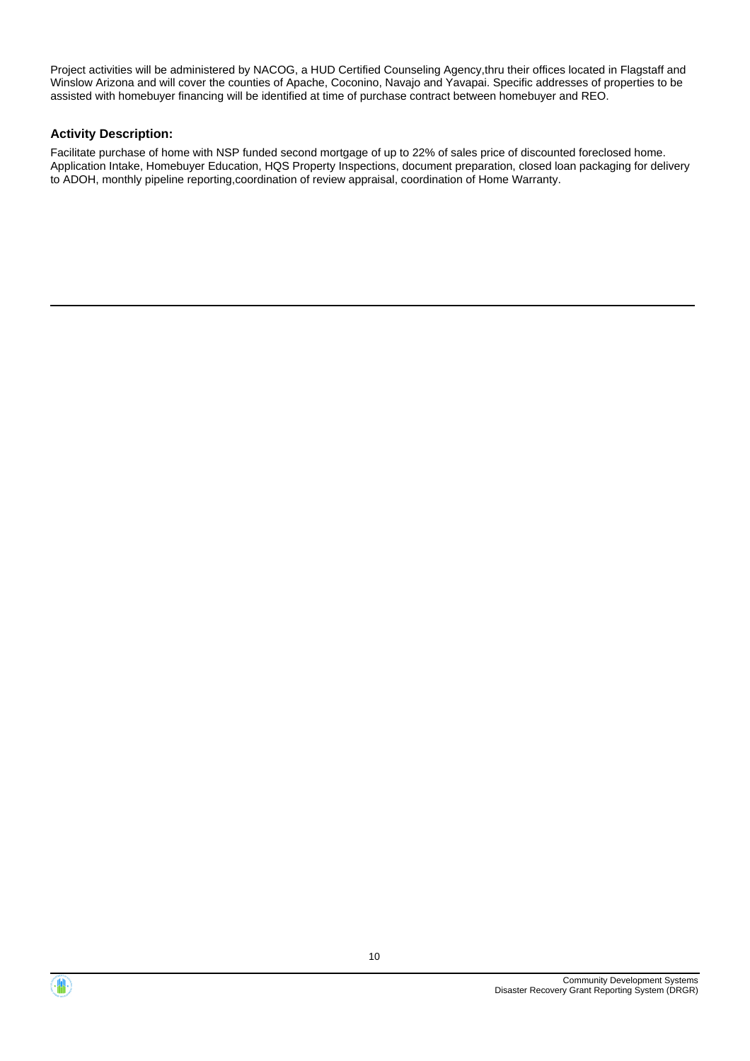Project activities will be administered by NACOG, a HUD Certified Counseling Agency,thru their offices located in Flagstaff and Winslow Arizona and will cover the counties of Apache, Coconino, Navajo and Yavapai. Specific addresses of properties to be assisted with homebuyer financing will be identified at time of purchase contract between homebuyer and REO.

#### **Activity Description:**

Facilitate purchase of home with NSP funded second mortgage of up to 22% of sales price of discounted foreclosed home. Application Intake, Homebuyer Education, HQS Property Inspections, document preparation, closed loan packaging for delivery to ADOH, monthly pipeline reporting,coordination of review appraisal, coordination of Home Warranty.

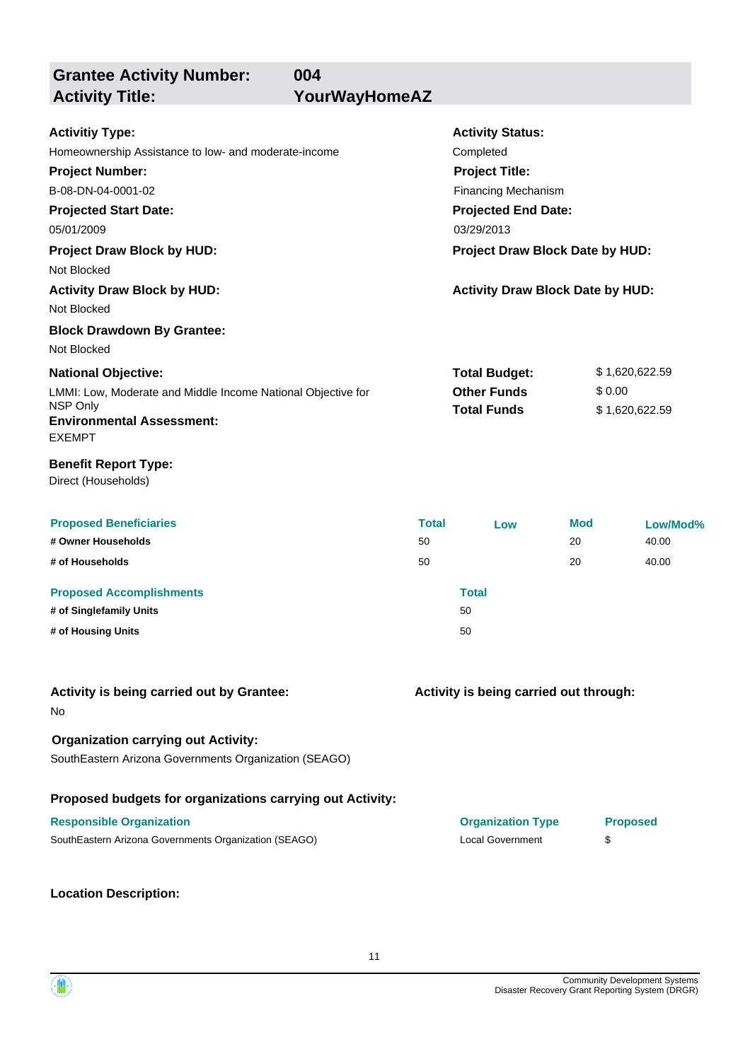**Grantee Activity Number:**

**004 Activity Title: YourWayHomeAZ**

| <b>Activitiy Type:</b>                                       |              | <b>Activity Status:</b>                 |     |                 |
|--------------------------------------------------------------|--------------|-----------------------------------------|-----|-----------------|
| Homeownership Assistance to low- and moderate-income         |              | Completed                               |     |                 |
| <b>Project Number:</b>                                       |              | <b>Project Title:</b>                   |     |                 |
| B-08-DN-04-0001-02                                           |              | Financing Mechanism                     |     |                 |
| <b>Projected Start Date:</b>                                 |              | <b>Projected End Date:</b>              |     |                 |
| 05/01/2009                                                   |              | 03/29/2013                              |     |                 |
| <b>Project Draw Block by HUD:</b>                            |              | Project Draw Block Date by HUD:         |     |                 |
| Not Blocked                                                  |              |                                         |     |                 |
| <b>Activity Draw Block by HUD:</b>                           |              | <b>Activity Draw Block Date by HUD:</b> |     |                 |
| Not Blocked                                                  |              |                                         |     |                 |
| <b>Block Drawdown By Grantee:</b>                            |              |                                         |     |                 |
| Not Blocked                                                  |              |                                         |     |                 |
| <b>National Objective:</b>                                   |              | <b>Total Budget:</b>                    |     | \$1,620,622.59  |
| LMMI: Low, Moderate and Middle Income National Objective for |              | <b>Other Funds</b>                      |     | \$0.00          |
| NSP Only                                                     |              | <b>Total Funds</b>                      |     | \$1,620,622.59  |
| <b>Environmental Assessment:</b>                             |              |                                         |     |                 |
| <b>EXEMPT</b>                                                |              |                                         |     |                 |
| <b>Benefit Report Type:</b>                                  |              |                                         |     |                 |
| Direct (Households)                                          |              |                                         |     |                 |
|                                                              |              |                                         |     |                 |
| <b>Proposed Beneficiaries</b>                                | <b>Total</b> | Low                                     | Mod | Low/Mod%        |
| # Owner Households                                           | 50           |                                         | 20  | 40.00           |
| # of Households                                              | 50           |                                         | 20  | 40.00           |
| <b>Proposed Accomplishments</b>                              |              | <b>Total</b>                            |     |                 |
| # of Singlefamily Units                                      |              | 50                                      |     |                 |
| # of Housing Units                                           |              | 50                                      |     |                 |
|                                                              |              |                                         |     |                 |
|                                                              |              |                                         |     |                 |
| Activity is being carried out by Grantee:                    |              | Activity is being carried out through:  |     |                 |
| No                                                           |              |                                         |     |                 |
| <b>Organization carrying out Activity:</b>                   |              |                                         |     |                 |
| SouthEastern Arizona Governments Organization (SEAGO)        |              |                                         |     |                 |
|                                                              |              |                                         |     |                 |
| Proposed budgets for organizations carrying out Activity:    |              |                                         |     |                 |
| <b>Responsible Organization</b>                              |              | <b>Organization Type</b>                |     | <b>Proposed</b> |
| SouthEastern Arizona Governments Organization (SEAGO)        |              | <b>Local Government</b>                 |     | \$              |
|                                                              |              |                                         |     |                 |
|                                                              |              |                                         |     |                 |
| <b>Location Description:</b>                                 |              |                                         |     |                 |

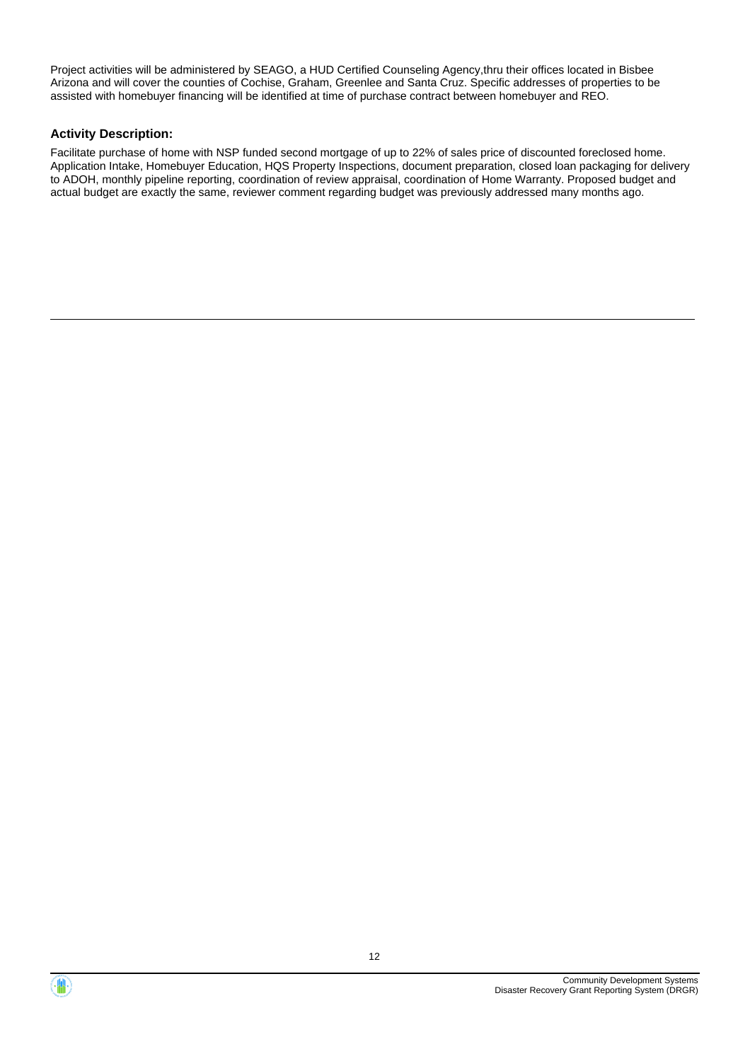Project activities will be administered by SEAGO, a HUD Certified Counseling Agency,thru their offices located in Bisbee Arizona and will cover the counties of Cochise, Graham, Greenlee and Santa Cruz. Specific addresses of properties to be assisted with homebuyer financing will be identified at time of purchase contract between homebuyer and REO.

#### **Activity Description:**

Facilitate purchase of home with NSP funded second mortgage of up to 22% of sales price of discounted foreclosed home. Application Intake, Homebuyer Education, HQS Property Inspections, document preparation, closed loan packaging for delivery to ADOH, monthly pipeline reporting, coordination of review appraisal, coordination of Home Warranty. Proposed budget and actual budget are exactly the same, reviewer comment regarding budget was previously addressed many months ago.



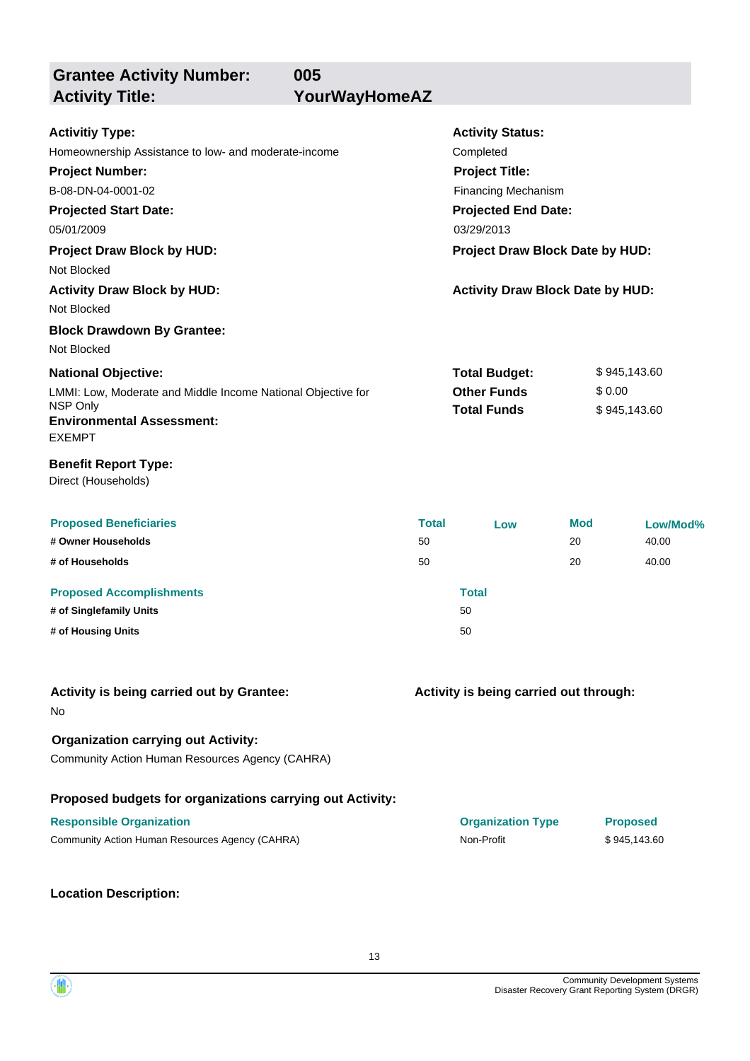**Grantee Activity Number:**

**005 Activity Title: YourWayHomeAZ**

| <b>Activitiy Type:</b>                                       |                       | <b>Activity Status:</b>                 |            |                 |
|--------------------------------------------------------------|-----------------------|-----------------------------------------|------------|-----------------|
| Homeownership Assistance to low- and moderate-income         |                       | Completed                               |            |                 |
| <b>Project Number:</b>                                       | <b>Project Title:</b> |                                         |            |                 |
| B-08-DN-04-0001-02                                           |                       | <b>Financing Mechanism</b>              |            |                 |
| <b>Projected Start Date:</b>                                 |                       | <b>Projected End Date:</b>              |            |                 |
| 05/01/2009                                                   |                       | 03/29/2013                              |            |                 |
| <b>Project Draw Block by HUD:</b>                            |                       | Project Draw Block Date by HUD:         |            |                 |
| Not Blocked                                                  |                       |                                         |            |                 |
| <b>Activity Draw Block by HUD:</b>                           |                       | <b>Activity Draw Block Date by HUD:</b> |            |                 |
| Not Blocked                                                  |                       |                                         |            |                 |
| <b>Block Drawdown By Grantee:</b>                            |                       |                                         |            |                 |
| Not Blocked                                                  |                       |                                         |            |                 |
| <b>National Objective:</b>                                   |                       | <b>Total Budget:</b>                    |            | \$945,143.60    |
| LMMI: Low, Moderate and Middle Income National Objective for |                       | <b>Other Funds</b>                      |            | \$0.00          |
| NSP Only                                                     |                       | <b>Total Funds</b>                      |            | \$945,143.60    |
| <b>Environmental Assessment:</b>                             |                       |                                         |            |                 |
| <b>EXEMPT</b>                                                |                       |                                         |            |                 |
| <b>Benefit Report Type:</b>                                  |                       |                                         |            |                 |
| Direct (Households)                                          |                       |                                         |            |                 |
|                                                              |                       |                                         |            |                 |
| <b>Proposed Beneficiaries</b>                                | <b>Total</b>          | Low                                     | <b>Mod</b> | Low/Mod%        |
| # Owner Households                                           | 50                    |                                         | 20         | 40.00           |
| # of Households                                              | 50                    |                                         | 20         | 40.00           |
| <b>Proposed Accomplishments</b>                              |                       | <b>Total</b>                            |            |                 |
| # of Singlefamily Units                                      |                       | 50                                      |            |                 |
| # of Housing Units                                           |                       | 50                                      |            |                 |
|                                                              |                       |                                         |            |                 |
| Activity is being carried out by Grantee:                    |                       | Activity is being carried out through:  |            |                 |
| No                                                           |                       |                                         |            |                 |
| <b>Organization carrying out Activity:</b>                   |                       |                                         |            |                 |
| Community Action Human Resources Agency (CAHRA)              |                       |                                         |            |                 |
|                                                              |                       |                                         |            |                 |
| Proposed budgets for organizations carrying out Activity:    |                       |                                         |            |                 |
| <b>Responsible Organization</b>                              |                       | <b>Organization Type</b>                |            | <b>Proposed</b> |
| Community Action Human Resources Agency (CAHRA)              |                       | Non-Profit                              |            | \$945,143.60    |
|                                                              |                       |                                         |            |                 |
|                                                              |                       |                                         |            |                 |
| <b>Location Description:</b>                                 |                       |                                         |            |                 |

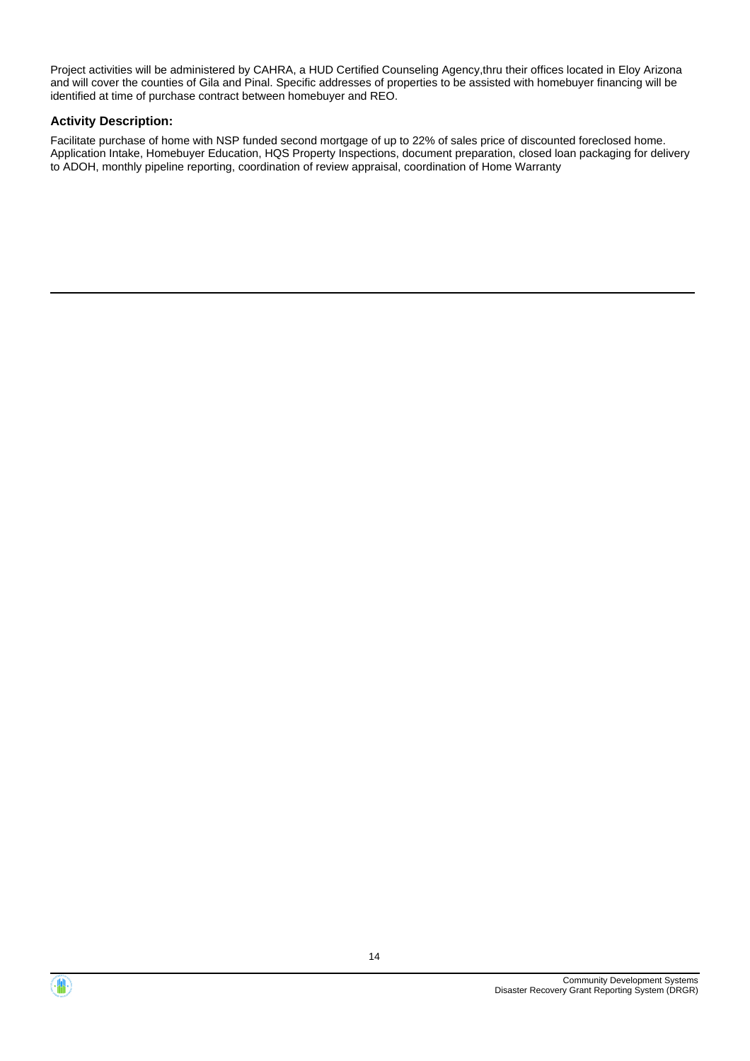Project activities will be administered by CAHRA, a HUD Certified Counseling Agency,thru their offices located in Eloy Arizona and will cover the counties of Gila and Pinal. Specific addresses of properties to be assisted with homebuyer financing will be identified at time of purchase contract between homebuyer and REO.

#### **Activity Description:**

Facilitate purchase of home with NSP funded second mortgage of up to 22% of sales price of discounted foreclosed home. Application Intake, Homebuyer Education, HQS Property Inspections, document preparation, closed loan packaging for delivery to ADOH, monthly pipeline reporting, coordination of review appraisal, coordination of Home Warranty



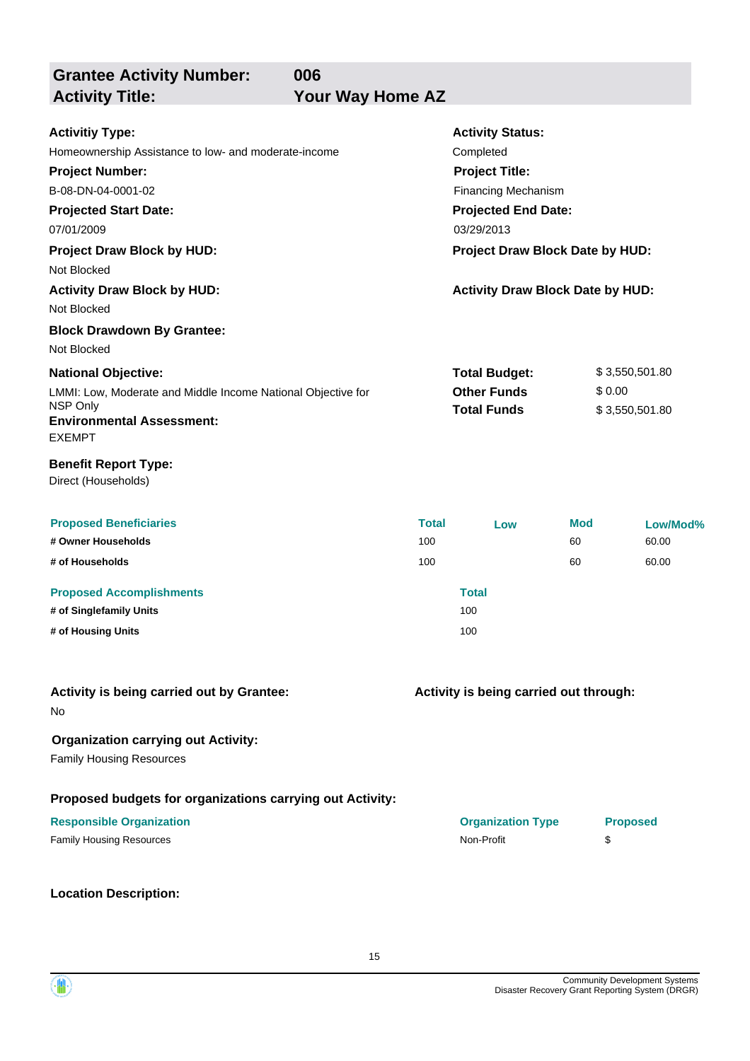**Grantee Activity Number:**

**006** Your Way Home AZ

| <b>Activitiy Type:</b>                                       |              | <b>Activity Status:</b>                 |            |                 |
|--------------------------------------------------------------|--------------|-----------------------------------------|------------|-----------------|
| Homeownership Assistance to low- and moderate-income         |              | Completed                               |            |                 |
| <b>Project Number:</b><br><b>Project Title:</b>              |              |                                         |            |                 |
| B-08-DN-04-0001-02                                           |              | <b>Financing Mechanism</b>              |            |                 |
| <b>Projected Start Date:</b>                                 |              | <b>Projected End Date:</b>              |            |                 |
| 07/01/2009                                                   |              | 03/29/2013                              |            |                 |
| <b>Project Draw Block by HUD:</b>                            |              | Project Draw Block Date by HUD:         |            |                 |
| Not Blocked                                                  |              |                                         |            |                 |
| <b>Activity Draw Block by HUD:</b>                           |              | <b>Activity Draw Block Date by HUD:</b> |            |                 |
| Not Blocked                                                  |              |                                         |            |                 |
| <b>Block Drawdown By Grantee:</b>                            |              |                                         |            |                 |
| Not Blocked                                                  |              |                                         |            |                 |
| <b>National Objective:</b>                                   |              | <b>Total Budget:</b>                    |            | \$3,550,501.80  |
| LMMI: Low, Moderate and Middle Income National Objective for |              | <b>Other Funds</b>                      |            | \$0.00          |
| NSP Only                                                     |              | <b>Total Funds</b>                      |            | \$3,550,501.80  |
| <b>Environmental Assessment:</b><br><b>EXEMPT</b>            |              |                                         |            |                 |
| <b>Benefit Report Type:</b><br>Direct (Households)           |              |                                         |            |                 |
| <b>Proposed Beneficiaries</b>                                | <b>Total</b> | Low                                     | <b>Mod</b> | Low/Mod%        |
| # Owner Households                                           | 100          |                                         | 60         | 60.00           |
| # of Households                                              | 100          |                                         | 60         | 60.00           |
| <b>Proposed Accomplishments</b>                              |              | <b>Total</b>                            |            |                 |
| # of Singlefamily Units                                      |              | 100                                     |            |                 |
| # of Housing Units                                           |              | 100                                     |            |                 |
|                                                              |              |                                         |            |                 |
| Activity is being carried out by Grantee:<br>No              |              | Activity is being carried out through:  |            |                 |
| <b>Organization carrying out Activity:</b>                   |              |                                         |            |                 |
| <b>Family Housing Resources</b>                              |              |                                         |            |                 |
| Proposed budgets for organizations carrying out Activity:    |              |                                         |            |                 |
| <b>Responsible Organization</b>                              |              | <b>Organization Type</b>                |            | <b>Proposed</b> |
| <b>Family Housing Resources</b>                              |              | Non-Profit                              |            | \$              |
| <b>Location Description:</b>                                 |              |                                         |            |                 |

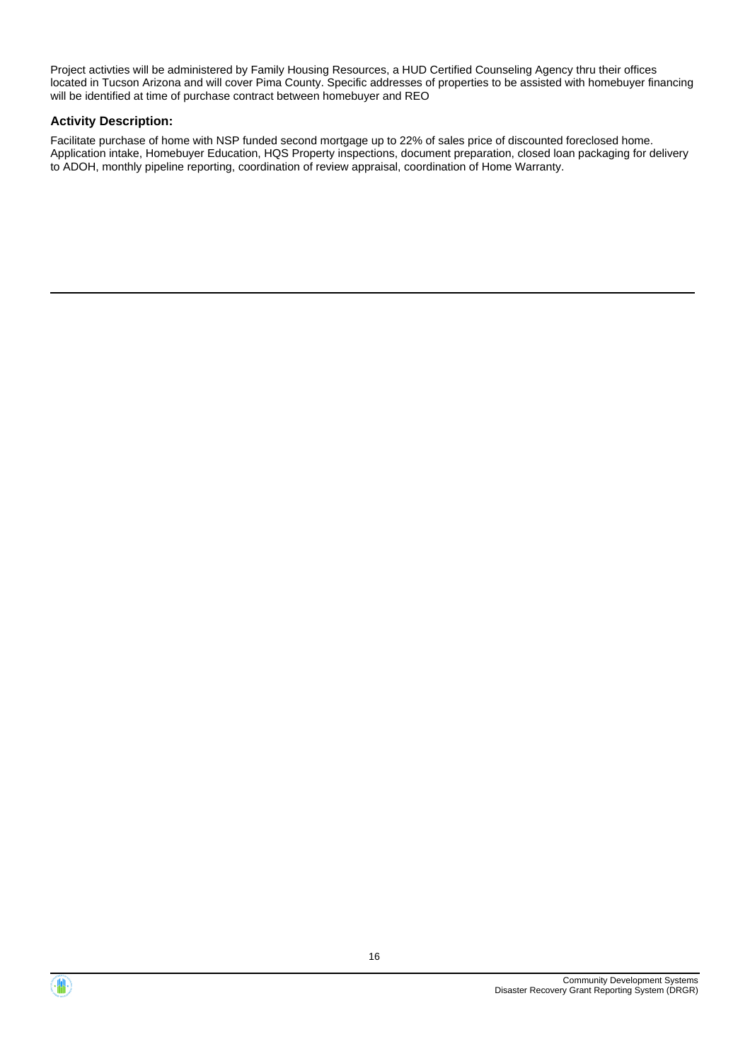Project activties will be administered by Family Housing Resources, a HUD Certified Counseling Agency thru their offices located in Tucson Arizona and will cover Pima County. Specific addresses of properties to be assisted with homebuyer financing will be identified at time of purchase contract between homebuyer and REO

#### **Activity Description:**

Facilitate purchase of home with NSP funded second mortgage up to 22% of sales price of discounted foreclosed home. Application intake, Homebuyer Education, HQS Property inspections, document preparation, closed loan packaging for delivery to ADOH, monthly pipeline reporting, coordination of review appraisal, coordination of Home Warranty.



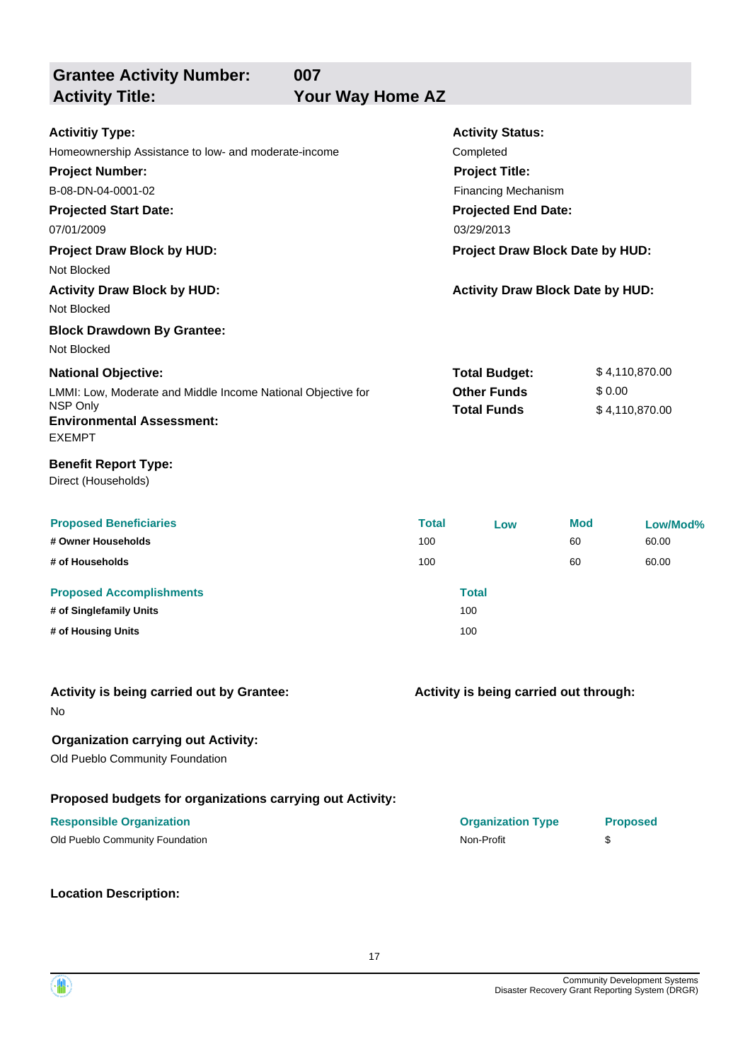**Grantee Activity Number:**

**007** Your Way Home AZ

| <b>Activitiy Type:</b><br>Homeownership Assistance to low- and moderate-income<br><b>Project Number:</b><br>B-08-DN-04-0001-02<br><b>Projected Start Date:</b><br>07/01/2009<br><b>Project Draw Block by HUD:</b><br>Not Blocked<br><b>Activity Draw Block by HUD:</b><br>Not Blocked<br><b>Block Drawdown By Grantee:</b> | <b>Activity Status:</b><br>Completed<br><b>Project Title:</b><br><b>Financing Mechanism</b><br><b>Projected End Date:</b><br>03/29/2013<br>Project Draw Block Date by HUD:<br><b>Activity Draw Block Date by HUD:</b> |                                                                  |                        |                                  |
|----------------------------------------------------------------------------------------------------------------------------------------------------------------------------------------------------------------------------------------------------------------------------------------------------------------------------|-----------------------------------------------------------------------------------------------------------------------------------------------------------------------------------------------------------------------|------------------------------------------------------------------|------------------------|----------------------------------|
| Not Blocked<br><b>National Objective:</b><br>LMMI: Low, Moderate and Middle Income National Objective for<br>NSP Only<br><b>Environmental Assessment:</b><br><b>EXEMPT</b><br><b>Benefit Report Type:</b>                                                                                                                  |                                                                                                                                                                                                                       | <b>Total Budget:</b><br><b>Other Funds</b><br><b>Total Funds</b> | \$0.00                 | \$4,110,870.00<br>\$4,110,870.00 |
| Direct (Households)<br><b>Proposed Beneficiaries</b><br># Owner Households<br># of Households<br><b>Proposed Accomplishments</b><br># of Singlefamily Units<br># of Housing Units                                                                                                                                          | <b>Total</b><br>100<br>100                                                                                                                                                                                            | Low<br><b>Total</b><br>100<br>100                                | <b>Mod</b><br>60<br>60 | Low/Mod%<br>60.00<br>60.00       |
| Activity is being carried out by Grantee:<br>No<br><b>Organization carrying out Activity:</b><br>Old Pueblo Community Foundation                                                                                                                                                                                           |                                                                                                                                                                                                                       | Activity is being carried out through:                           |                        |                                  |
| Proposed budgets for organizations carrying out Activity:<br><b>Responsible Organization</b><br>Old Pueblo Community Foundation<br><b>Location Description:</b>                                                                                                                                                            |                                                                                                                                                                                                                       | <b>Organization Type</b><br>Non-Profit                           | \$                     | <b>Proposed</b>                  |



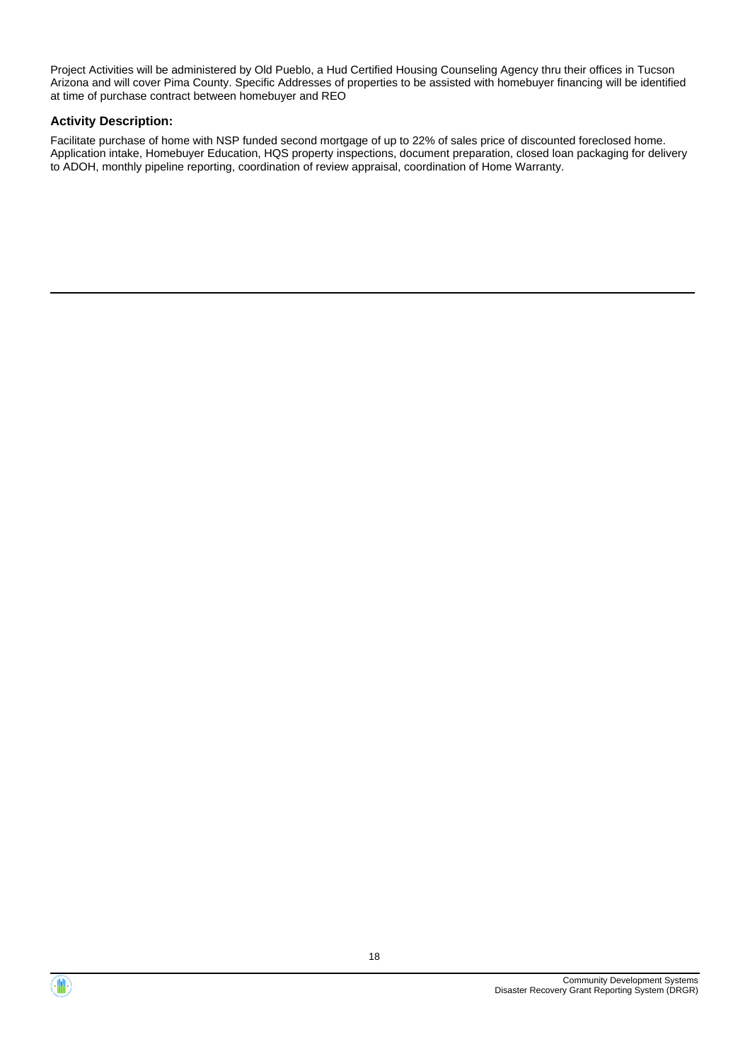Project Activities will be administered by Old Pueblo, a Hud Certified Housing Counseling Agency thru their offices in Tucson Arizona and will cover Pima County. Specific Addresses of properties to be assisted with homebuyer financing will be identified at time of purchase contract between homebuyer and REO

#### **Activity Description:**

Facilitate purchase of home with NSP funded second mortgage of up to 22% of sales price of discounted foreclosed home. Application intake, Homebuyer Education, HQS property inspections, document preparation, closed loan packaging for delivery to ADOH, monthly pipeline reporting, coordination of review appraisal, coordination of Home Warranty.



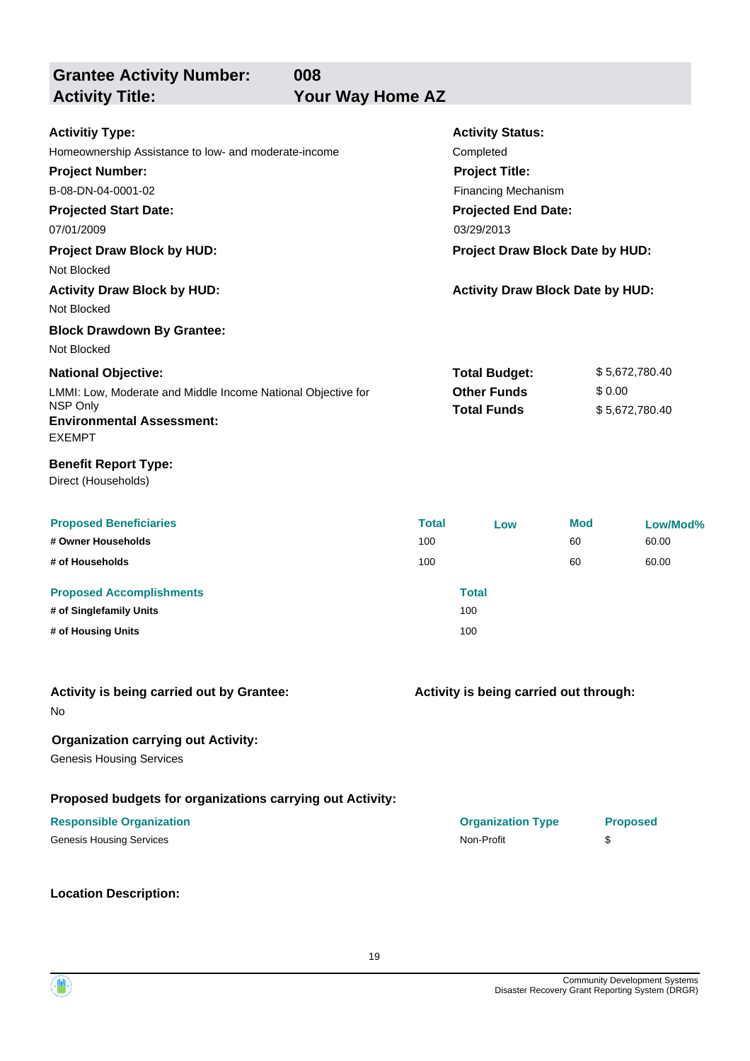**Grantee Activity Number:**

**008** Your Way Home AZ

| <b>Activitiy Type:</b><br>Homeownership Assistance to low- and moderate-income<br><b>Project Number:</b><br>B-08-DN-04-0001-02<br><b>Projected Start Date:</b><br>07/01/2009<br><b>Project Draw Block by HUD:</b><br>Not Blocked<br><b>Activity Draw Block by HUD:</b> | <b>Activity Status:</b><br>Completed<br><b>Project Title:</b><br><b>Financing Mechanism</b><br><b>Projected End Date:</b><br>03/29/2013<br>Project Draw Block Date by HUD:<br><b>Activity Draw Block Date by HUD:</b> |                                                                  |           |                                  |
|------------------------------------------------------------------------------------------------------------------------------------------------------------------------------------------------------------------------------------------------------------------------|-----------------------------------------------------------------------------------------------------------------------------------------------------------------------------------------------------------------------|------------------------------------------------------------------|-----------|----------------------------------|
| Not Blocked<br><b>Block Drawdown By Grantee:</b><br>Not Blocked                                                                                                                                                                                                        |                                                                                                                                                                                                                       |                                                                  |           |                                  |
| <b>National Objective:</b><br>LMMI: Low, Moderate and Middle Income National Objective for<br>NSP Only<br><b>Environmental Assessment:</b><br><b>EXEMPT</b>                                                                                                            |                                                                                                                                                                                                                       | <b>Total Budget:</b><br><b>Other Funds</b><br><b>Total Funds</b> | \$0.00    | \$5,672,780.40<br>\$5,672,780.40 |
| <b>Benefit Report Type:</b><br>Direct (Households)                                                                                                                                                                                                                     |                                                                                                                                                                                                                       |                                                                  |           |                                  |
| <b>Proposed Beneficiaries</b><br># Owner Households                                                                                                                                                                                                                    | <b>Total</b><br>100                                                                                                                                                                                                   | Low                                                              | Mod<br>60 | Low/Mod%<br>60.00                |
| # of Households<br><b>Proposed Accomplishments</b><br># of Singlefamily Units                                                                                                                                                                                          | 100                                                                                                                                                                                                                   | <b>Total</b><br>100                                              | 60        | 60.00                            |
| # of Housing Units                                                                                                                                                                                                                                                     |                                                                                                                                                                                                                       | 100                                                              |           |                                  |
| Activity is being carried out by Grantee:<br>No                                                                                                                                                                                                                        |                                                                                                                                                                                                                       | Activity is being carried out through:                           |           |                                  |
| <b>Organization carrying out Activity:</b><br><b>Genesis Housing Services</b>                                                                                                                                                                                          |                                                                                                                                                                                                                       |                                                                  |           |                                  |
| Proposed budgets for organizations carrying out Activity:<br><b>Responsible Organization</b><br><b>Genesis Housing Services</b>                                                                                                                                        |                                                                                                                                                                                                                       | <b>Organization Type</b><br>Non-Profit                           | \$        | <b>Proposed</b>                  |
| <b>Location Description:</b>                                                                                                                                                                                                                                           |                                                                                                                                                                                                                       |                                                                  |           |                                  |

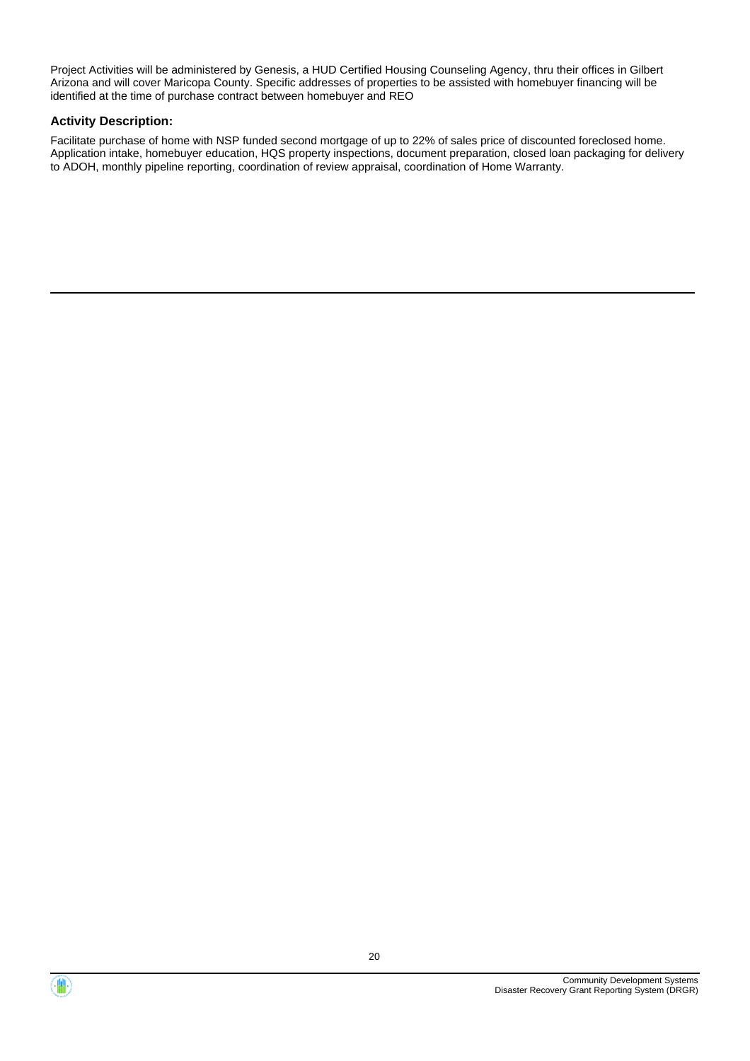Project Activities will be administered by Genesis, a HUD Certified Housing Counseling Agency, thru their offices in Gilbert Arizona and will cover Maricopa County. Specific addresses of properties to be assisted with homebuyer financing will be identified at the time of purchase contract between homebuyer and REO

#### **Activity Description:**

Facilitate purchase of home with NSP funded second mortgage of up to 22% of sales price of discounted foreclosed home. Application intake, homebuyer education, HQS property inspections, document preparation, closed loan packaging for delivery to ADOH, monthly pipeline reporting, coordination of review appraisal, coordination of Home Warranty.



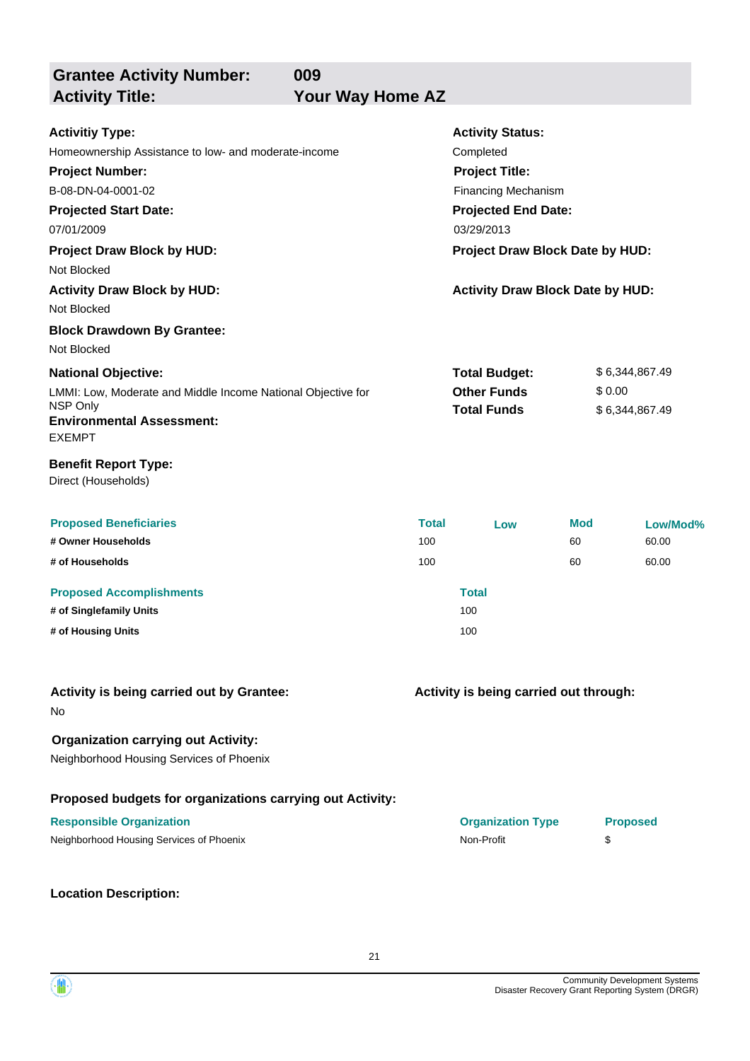**Grantee Activity Number:**

**009** Your Way Home AZ

| <b>Activitiy Type:</b>                                       |              | <b>Activity Status:</b>                 |     |                 |
|--------------------------------------------------------------|--------------|-----------------------------------------|-----|-----------------|
| Homeownership Assistance to low- and moderate-income         | Completed    |                                         |     |                 |
| <b>Project Number:</b>                                       |              | <b>Project Title:</b>                   |     |                 |
| B-08-DN-04-0001-02                                           |              | Financing Mechanism                     |     |                 |
| <b>Projected Start Date:</b>                                 |              | <b>Projected End Date:</b>              |     |                 |
| 07/01/2009                                                   |              | 03/29/2013                              |     |                 |
| <b>Project Draw Block by HUD:</b>                            |              | Project Draw Block Date by HUD:         |     |                 |
| Not Blocked                                                  |              |                                         |     |                 |
| <b>Activity Draw Block by HUD:</b>                           |              | <b>Activity Draw Block Date by HUD:</b> |     |                 |
| Not Blocked                                                  |              |                                         |     |                 |
| <b>Block Drawdown By Grantee:</b>                            |              |                                         |     |                 |
| Not Blocked                                                  |              |                                         |     |                 |
| <b>National Objective:</b>                                   |              | <b>Total Budget:</b>                    |     | \$6,344,867.49  |
| LMMI: Low, Moderate and Middle Income National Objective for |              | <b>Other Funds</b>                      |     | \$0.00          |
| <b>NSP Only</b>                                              |              | <b>Total Funds</b>                      |     | \$6,344,867.49  |
| <b>Environmental Assessment:</b><br><b>EXEMPT</b>            |              |                                         |     |                 |
| <b>Benefit Report Type:</b><br>Direct (Households)           |              |                                         |     |                 |
| <b>Proposed Beneficiaries</b>                                | <b>Total</b> | Low                                     | Mod | Low/Mod%        |
| # Owner Households                                           | 100          |                                         | 60  | 60.00           |
| # of Households                                              | 100          |                                         | 60  | 60.00           |
| <b>Proposed Accomplishments</b>                              |              | <b>Total</b>                            |     |                 |
| # of Singlefamily Units                                      |              | 100                                     |     |                 |
| # of Housing Units                                           |              | 100                                     |     |                 |
|                                                              |              |                                         |     |                 |
| Activity is being carried out by Grantee:<br>No              |              | Activity is being carried out through:  |     |                 |
| <b>Organization carrying out Activity:</b>                   |              |                                         |     |                 |
| Neighborhood Housing Services of Phoenix                     |              |                                         |     |                 |
| Proposed budgets for organizations carrying out Activity:    |              |                                         |     |                 |
| <b>Responsible Organization</b>                              |              | <b>Organization Type</b>                |     | <b>Proposed</b> |
| Neighborhood Housing Services of Phoenix                     |              | Non-Profit                              |     | \$              |
| <b>Location Description:</b>                                 |              |                                         |     |                 |



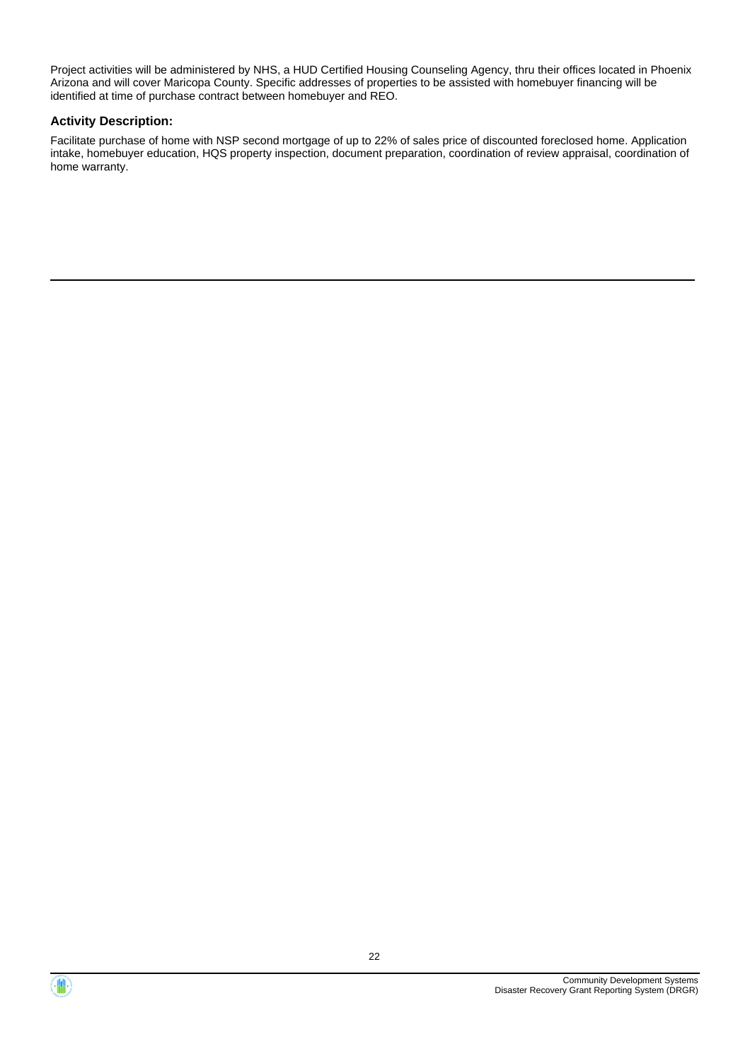Project activities will be administered by NHS, a HUD Certified Housing Counseling Agency, thru their offices located in Phoenix Arizona and will cover Maricopa County. Specific addresses of properties to be assisted with homebuyer financing will be identified at time of purchase contract between homebuyer and REO.

#### **Activity Description:**

Facilitate purchase of home with NSP second mortgage of up to 22% of sales price of discounted foreclosed home. Application intake, homebuyer education, HQS property inspection, document preparation, coordination of review appraisal, coordination of home warranty.



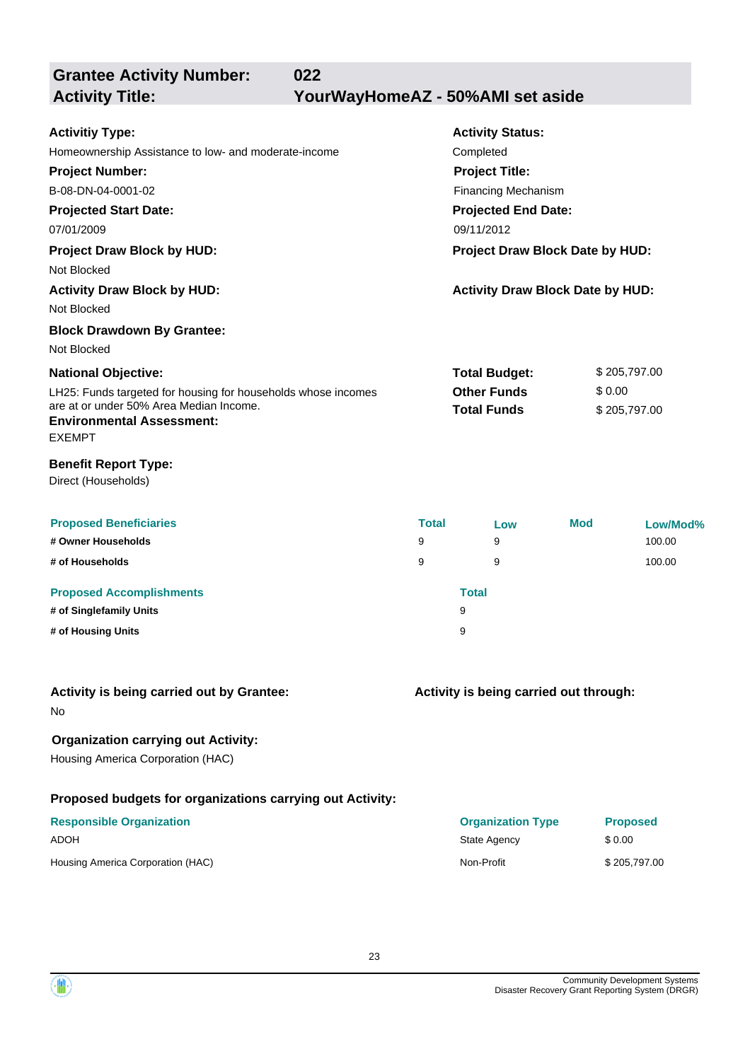**Grantee Activity Number:**

**022**

**Activity Title: YourWayHomeAZ - 50%AMI set aside**

| <b>Activitiy Type:</b>                                        |              | <b>Activity Status:</b>                 |     |                 |  |
|---------------------------------------------------------------|--------------|-----------------------------------------|-----|-----------------|--|
| Homeownership Assistance to low- and moderate-income          | Completed    |                                         |     |                 |  |
| <b>Project Number:</b><br><b>Project Title:</b>               |              |                                         |     |                 |  |
| B-08-DN-04-0001-02                                            |              | <b>Financing Mechanism</b>              |     |                 |  |
| <b>Projected Start Date:</b>                                  |              | <b>Projected End Date:</b>              |     |                 |  |
| 07/01/2009                                                    |              | 09/11/2012                              |     |                 |  |
| <b>Project Draw Block by HUD:</b>                             |              | Project Draw Block Date by HUD:         |     |                 |  |
| Not Blocked                                                   |              |                                         |     |                 |  |
| <b>Activity Draw Block by HUD:</b>                            |              | <b>Activity Draw Block Date by HUD:</b> |     |                 |  |
| Not Blocked                                                   |              |                                         |     |                 |  |
| <b>Block Drawdown By Grantee:</b>                             |              |                                         |     |                 |  |
| Not Blocked                                                   |              |                                         |     |                 |  |
| <b>National Objective:</b>                                    |              | <b>Total Budget:</b>                    |     | \$205,797.00    |  |
| LH25: Funds targeted for housing for households whose incomes |              | <b>Other Funds</b>                      |     | \$0.00          |  |
| are at or under 50% Area Median Income.                       |              | <b>Total Funds</b>                      |     | \$205,797.00    |  |
| <b>Environmental Assessment:</b><br><b>EXEMPT</b>             |              |                                         |     |                 |  |
|                                                               |              |                                         |     |                 |  |
| <b>Benefit Report Type:</b><br>Direct (Households)            |              |                                         |     |                 |  |
| <b>Proposed Beneficiaries</b>                                 | <b>Total</b> | Low                                     | Mod | Low/Mod%        |  |
| # Owner Households                                            | 9            | 9                                       |     | 100.00          |  |
| # of Households                                               | 9            | 9                                       |     | 100.00          |  |
| <b>Proposed Accomplishments</b>                               |              | <b>Total</b>                            |     |                 |  |
| # of Singlefamily Units                                       |              | 9                                       |     |                 |  |
| # of Housing Units                                            |              | 9                                       |     |                 |  |
| Activity is being carried out by Grantee:                     |              | Activity is being carried out through:  |     |                 |  |
| No.                                                           |              |                                         |     |                 |  |
| <b>Organization carrying out Activity:</b>                    |              |                                         |     |                 |  |
| Housing America Corporation (HAC)                             |              |                                         |     |                 |  |
| Proposed budgets for organizations carrying out Activity:     |              |                                         |     |                 |  |
| <b>Responsible Organization</b>                               |              | <b>Organization Type</b>                |     | <b>Proposed</b> |  |
| <b>ADOH</b>                                                   |              | State Agency                            |     | \$0.00          |  |

Housing America Corporation (HAC) and the Corporation (HAC) Non-Profit \$ 205,797.00

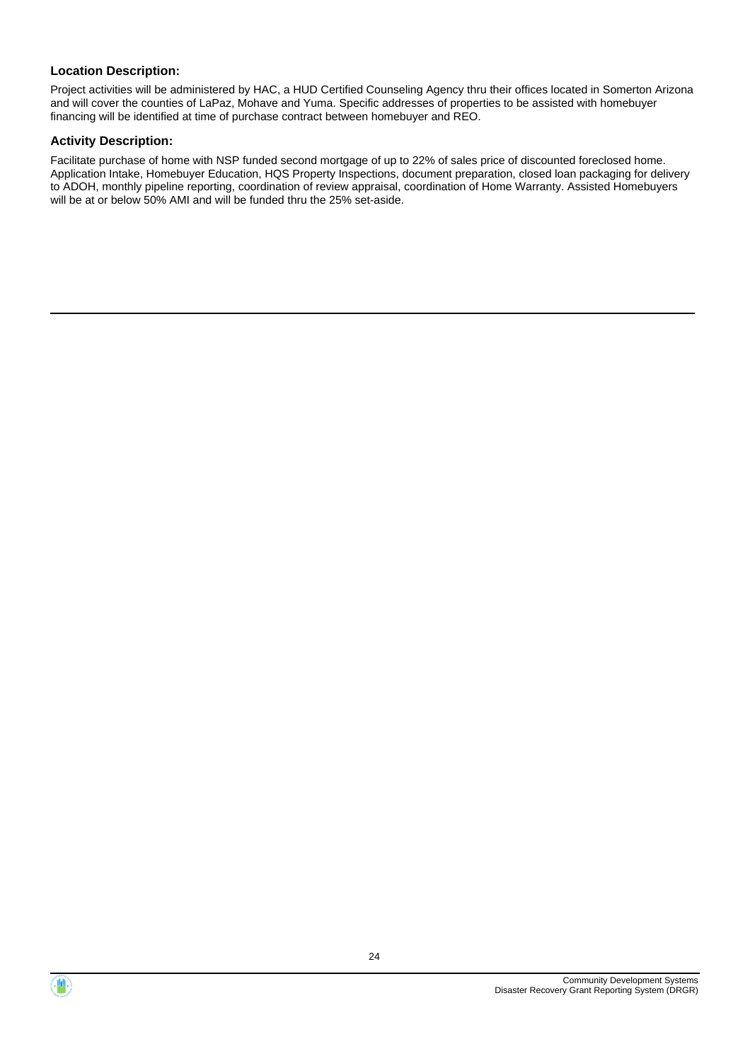Project activities will be administered by HAC, a HUD Certified Counseling Agency thru their offices located in Somerton Arizona and will cover the counties of LaPaz, Mohave and Yuma. Specific addresses of properties to be assisted with homebuyer financing will be identified at time of purchase contract between homebuyer and REO.

#### **Activity Description:**

Facilitate purchase of home with NSP funded second mortgage of up to 22% of sales price of discounted foreclosed home. Application Intake, Homebuyer Education, HQS Property Inspections, document preparation, closed loan packaging for delivery to ADOH, monthly pipeline reporting, coordination of review appraisal, coordination of Home Warranty. Assisted Homebuyers will be at or below 50% AMI and will be funded thru the 25% set-aside.



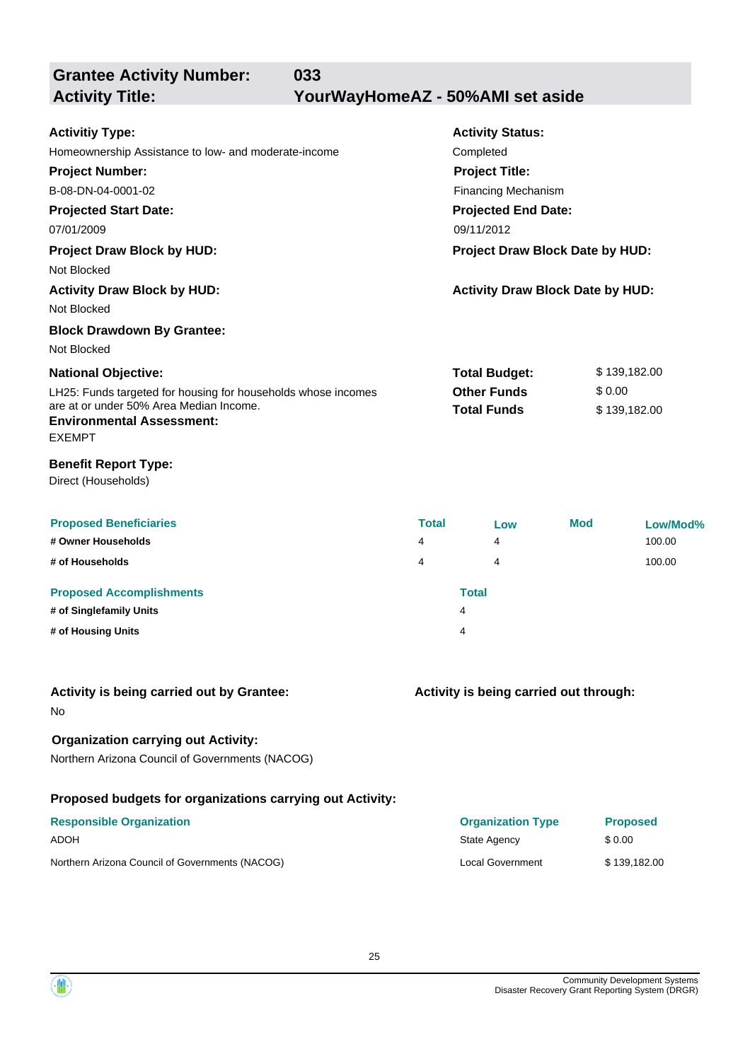**Grantee Activity Number:**

**033**

**Activity Title: YourWayHomeAZ - 50%AMI set aside**

| <b>Activitiy Type:</b>                                                      |              | <b>Activity Status:</b>                 |     |                 |  |
|-----------------------------------------------------------------------------|--------------|-----------------------------------------|-----|-----------------|--|
| Homeownership Assistance to low- and moderate-income                        |              | Completed<br><b>Project Title:</b>      |     |                 |  |
| <b>Project Number:</b>                                                      |              |                                         |     |                 |  |
| B-08-DN-04-0001-02                                                          |              | <b>Financing Mechanism</b>              |     |                 |  |
| <b>Projected Start Date:</b>                                                |              | <b>Projected End Date:</b>              |     |                 |  |
| 07/01/2009                                                                  |              | 09/11/2012                              |     |                 |  |
| <b>Project Draw Block by HUD:</b>                                           |              | Project Draw Block Date by HUD:         |     |                 |  |
| Not Blocked                                                                 |              |                                         |     |                 |  |
| <b>Activity Draw Block by HUD:</b>                                          |              | <b>Activity Draw Block Date by HUD:</b> |     |                 |  |
| Not Blocked                                                                 |              |                                         |     |                 |  |
| <b>Block Drawdown By Grantee:</b>                                           |              |                                         |     |                 |  |
| Not Blocked                                                                 |              |                                         |     |                 |  |
| <b>National Objective:</b>                                                  |              | <b>Total Budget:</b>                    |     | \$139,182.00    |  |
| LH25: Funds targeted for housing for households whose incomes               |              | <b>Other Funds</b>                      |     | \$0.00          |  |
| are at or under 50% Area Median Income.<br><b>Environmental Assessment:</b> |              | <b>Total Funds</b>                      |     | \$139,182.00    |  |
| <b>EXEMPT</b>                                                               |              |                                         |     |                 |  |
| <b>Benefit Report Type:</b><br>Direct (Households)                          |              |                                         |     |                 |  |
| <b>Proposed Beneficiaries</b>                                               | <b>Total</b> | Low                                     | Mod | Low/Mod%        |  |
| # Owner Households                                                          | 4            | 4                                       |     | 100.00          |  |
| # of Households                                                             | 4            | 4                                       |     | 100.00          |  |
| <b>Proposed Accomplishments</b>                                             |              | <b>Total</b>                            |     |                 |  |
| # of Singlefamily Units                                                     |              | 4                                       |     |                 |  |
| # of Housing Units                                                          |              | 4                                       |     |                 |  |
| Activity is being carried out by Grantee:                                   |              | Activity is being carried out through:  |     |                 |  |
| No                                                                          |              |                                         |     |                 |  |
| <b>Organization carrying out Activity:</b>                                  |              |                                         |     |                 |  |
| Northern Arizona Council of Governments (NACOG)                             |              |                                         |     |                 |  |
| Proposed budgets for organizations carrying out Activity:                   |              |                                         |     |                 |  |
| <b>Responsible Organization</b>                                             |              | <b>Organization Type</b>                |     | <b>Proposed</b> |  |
| <b>ADOH</b>                                                                 |              | State Agency                            |     | \$0.00          |  |
| Northern Arizona Council of Governments (NACOG)                             |              | Local Government                        |     | \$139,182.00    |  |

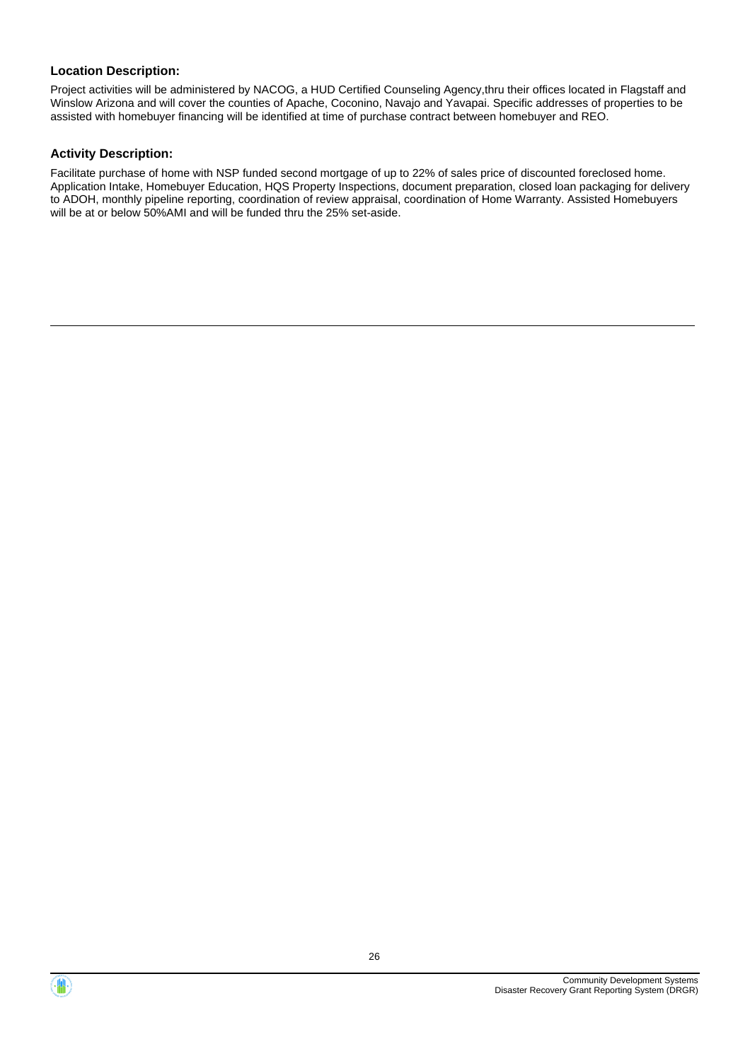Project activities will be administered by NACOG, a HUD Certified Counseling Agency,thru their offices located in Flagstaff and Winslow Arizona and will cover the counties of Apache, Coconino, Navajo and Yavapai. Specific addresses of properties to be assisted with homebuyer financing will be identified at time of purchase contract between homebuyer and REO.

#### **Activity Description:**

Facilitate purchase of home with NSP funded second mortgage of up to 22% of sales price of discounted foreclosed home. Application Intake, Homebuyer Education, HQS Property Inspections, document preparation, closed loan packaging for delivery to ADOH, monthly pipeline reporting, coordination of review appraisal, coordination of Home Warranty. Assisted Homebuyers will be at or below 50%AMI and will be funded thru the 25% set-aside.



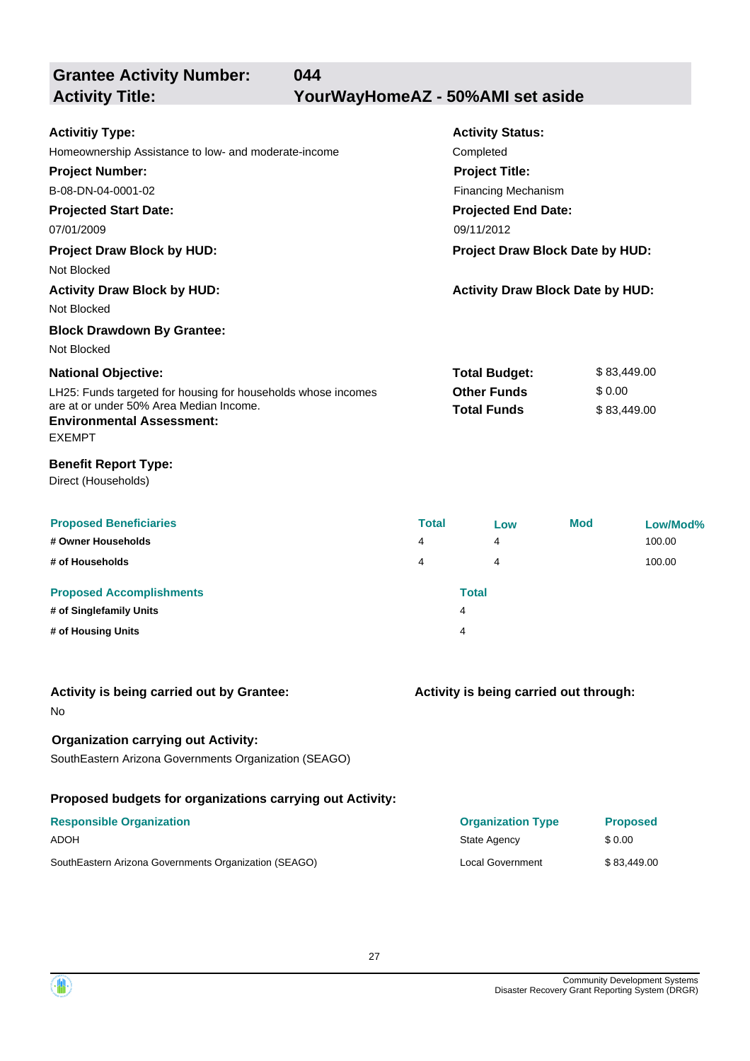**Grantee Activity Number: 044 Activity Title: YourWayHomeAZ - 50%AMI set aside**

| <b>Activitiy Type:</b>                                                                                                                                        |                                          | <b>Activity Status:</b>                 |            |                       |  |
|---------------------------------------------------------------------------------------------------------------------------------------------------------------|------------------------------------------|-----------------------------------------|------------|-----------------------|--|
| Homeownership Assistance to low- and moderate-income                                                                                                          |                                          | Completed                               |            |                       |  |
| <b>Project Number:</b>                                                                                                                                        |                                          | <b>Project Title:</b>                   |            |                       |  |
| B-08-DN-04-0001-02                                                                                                                                            |                                          | <b>Financing Mechanism</b>              |            |                       |  |
| <b>Projected Start Date:</b>                                                                                                                                  |                                          | <b>Projected End Date:</b>              |            |                       |  |
| 07/01/2009                                                                                                                                                    |                                          | 09/11/2012                              |            |                       |  |
| <b>Project Draw Block by HUD:</b><br>Not Blocked                                                                                                              | Project Draw Block Date by HUD:          |                                         |            |                       |  |
| <b>Activity Draw Block by HUD:</b><br>Not Blocked                                                                                                             |                                          | <b>Activity Draw Block Date by HUD:</b> |            |                       |  |
| <b>Block Drawdown By Grantee:</b><br>Not Blocked                                                                                                              |                                          |                                         |            |                       |  |
| <b>National Objective:</b>                                                                                                                                    |                                          | \$83,449.00<br><b>Total Budget:</b>     |            |                       |  |
| LH25: Funds targeted for housing for households whose incomes<br>are at or under 50% Area Median Income.<br><b>Environmental Assessment:</b><br><b>EXEMPT</b> | <b>Other Funds</b><br><b>Total Funds</b> |                                         |            | \$0.00<br>\$83,449.00 |  |
| <b>Benefit Report Type:</b><br>Direct (Households)                                                                                                            |                                          |                                         |            |                       |  |
| <b>Proposed Beneficiaries</b>                                                                                                                                 | <b>Total</b>                             | Low                                     | <b>Mod</b> | Low/Mod%              |  |
| # Owner Households                                                                                                                                            | 4                                        | 4                                       |            | 100.00                |  |
| # of Households                                                                                                                                               | 4                                        | 4                                       |            | 100.00                |  |
| <b>Proposed Accomplishments</b>                                                                                                                               |                                          | <b>Total</b>                            |            |                       |  |
| # of Singlefamily Units                                                                                                                                       |                                          | 4                                       |            |                       |  |
| # of Housing Units                                                                                                                                            |                                          | 4                                       |            |                       |  |
|                                                                                                                                                               |                                          |                                         |            |                       |  |

| Activity is being carried out by Grantee: | Activity is being carried out through: |
|-------------------------------------------|----------------------------------------|
| No                                        |                                        |

## **Organization carrying out Activity:**

SouthEastern Arizona Governments Organization (SEAGO)

## **Proposed budgets for organizations carrying out Activity:**

| <b>Responsible Organization</b>                       | <b>Organization Type</b> | <b>Proposed</b> |
|-------------------------------------------------------|--------------------------|-----------------|
| ADOH                                                  | State Agency             | \$ 0.00         |
| SouthEastern Arizona Governments Organization (SEAGO) | <b>Local Government</b>  | \$83,449.00     |

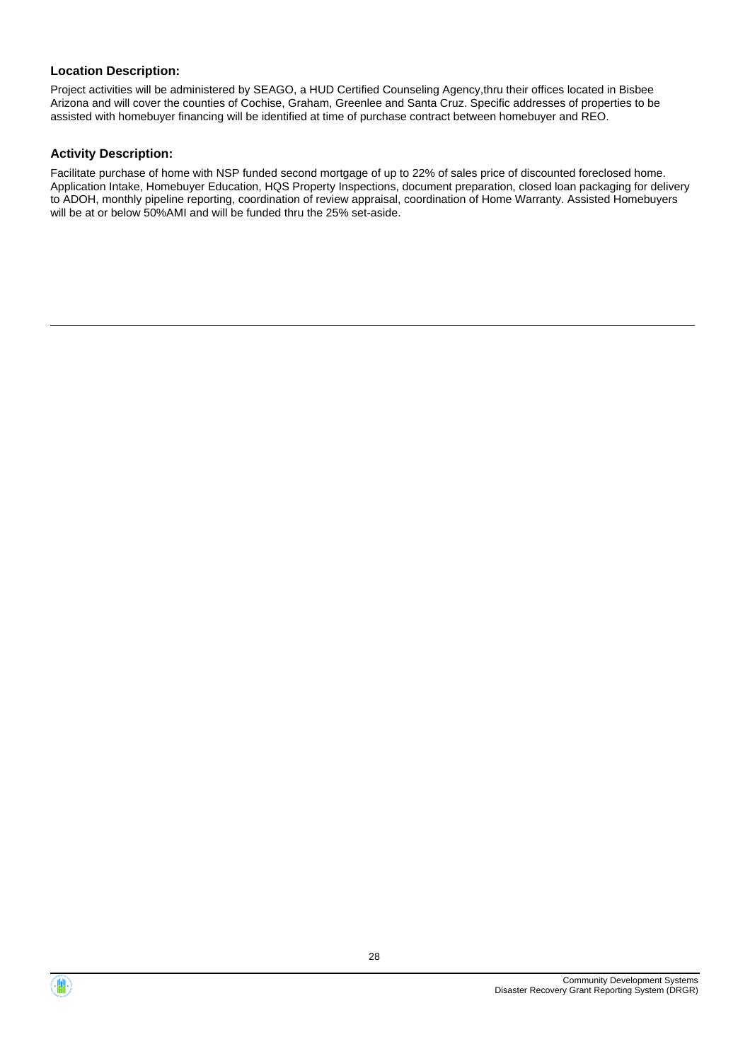Project activities will be administered by SEAGO, a HUD Certified Counseling Agency,thru their offices located in Bisbee Arizona and will cover the counties of Cochise, Graham, Greenlee and Santa Cruz. Specific addresses of properties to be assisted with homebuyer financing will be identified at time of purchase contract between homebuyer and REO.

#### **Activity Description:**

Facilitate purchase of home with NSP funded second mortgage of up to 22% of sales price of discounted foreclosed home. Application Intake, Homebuyer Education, HQS Property Inspections, document preparation, closed loan packaging for delivery to ADOH, monthly pipeline reporting, coordination of review appraisal, coordination of Home Warranty. Assisted Homebuyers will be at or below 50%AMI and will be funded thru the 25% set-aside.



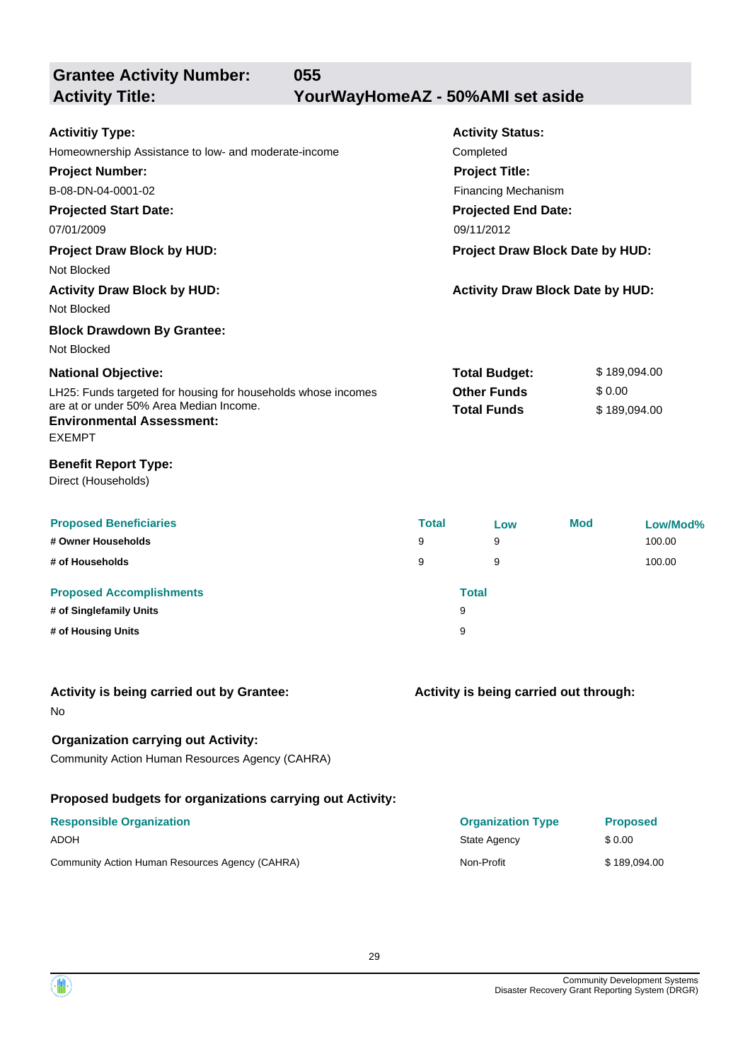**Grantee Activity Number: Projected Start Date: Activity Status: Projected End Date: 055 Activitiy Type:** 07/01/2009 09/11/2012 Homeownership Assistance to low- and moderate-income Completed **Activity Title: YourWayHomeAZ - 50%AMI set aside Project Number:** B-08-DN-04-0001-02 **Project Title:** Financing Mechanism

**Project Draw Block by HUD: Project Draw Block Date by HUD:** Not Blocked **Activity Draw Block by HUD: Activity Draw Block Date by HUD:** Not Blocked **Block Drawdown By Grantee:**

#### LH25: Funds targeted for housing for households whose incomes are at or under 50% Area Median Income. **National Objective: Total Budget:** \$ 189,094.00 **Other Funds** \$ 0.00 **Total Funds** \$ 189,094.00 Not Blocked

## **Environmental Assessment:**

EXEMPT

#### **Benefit Report Type:**

Direct (Households)

| <b>Proposed Beneficiaries</b><br># Owner Households | <b>Total</b><br>9 |              | Low<br>9 | <b>Mod</b> | Low/Mod%<br>100.00 |
|-----------------------------------------------------|-------------------|--------------|----------|------------|--------------------|
| # of Households                                     | 9                 |              | 9        |            | 100.00             |
| <b>Proposed Accomplishments</b>                     |                   | <b>Total</b> |          |            |                    |
| # of Singlefamily Units                             |                   | 9            |          |            |                    |
| # of Housing Units                                  |                   | 9            |          |            |                    |

## **Activity is being carried out by Grantee:**

No

## **Organization carrying out Activity:**

Community Action Human Resources Agency (CAHRA)

## **Proposed budgets for organizations carrying out Activity:**

| <b>Responsible Organization</b>                 | <b>Organization Type</b> | <b>Proposed</b> |
|-------------------------------------------------|--------------------------|-----------------|
| <b>ADOH</b>                                     | State Agency             | \$ 0.00         |
| Community Action Human Resources Agency (CAHRA) | Non-Profit               | \$189.094.00    |

**Activity is being carried out through:**

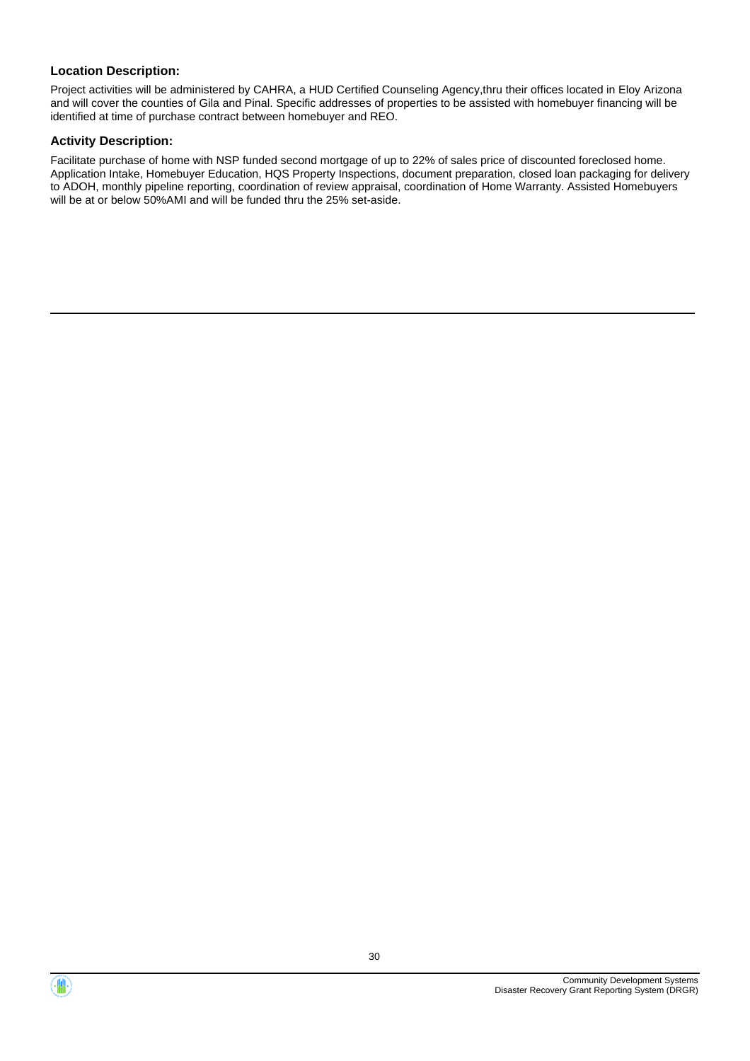Project activities will be administered by CAHRA, a HUD Certified Counseling Agency,thru their offices located in Eloy Arizona and will cover the counties of Gila and Pinal. Specific addresses of properties to be assisted with homebuyer financing will be identified at time of purchase contract between homebuyer and REO.

#### **Activity Description:**

Facilitate purchase of home with NSP funded second mortgage of up to 22% of sales price of discounted foreclosed home. Application Intake, Homebuyer Education, HQS Property Inspections, document preparation, closed loan packaging for delivery to ADOH, monthly pipeline reporting, coordination of review appraisal, coordination of Home Warranty. Assisted Homebuyers will be at or below 50%AMI and will be funded thru the 25% set-aside.



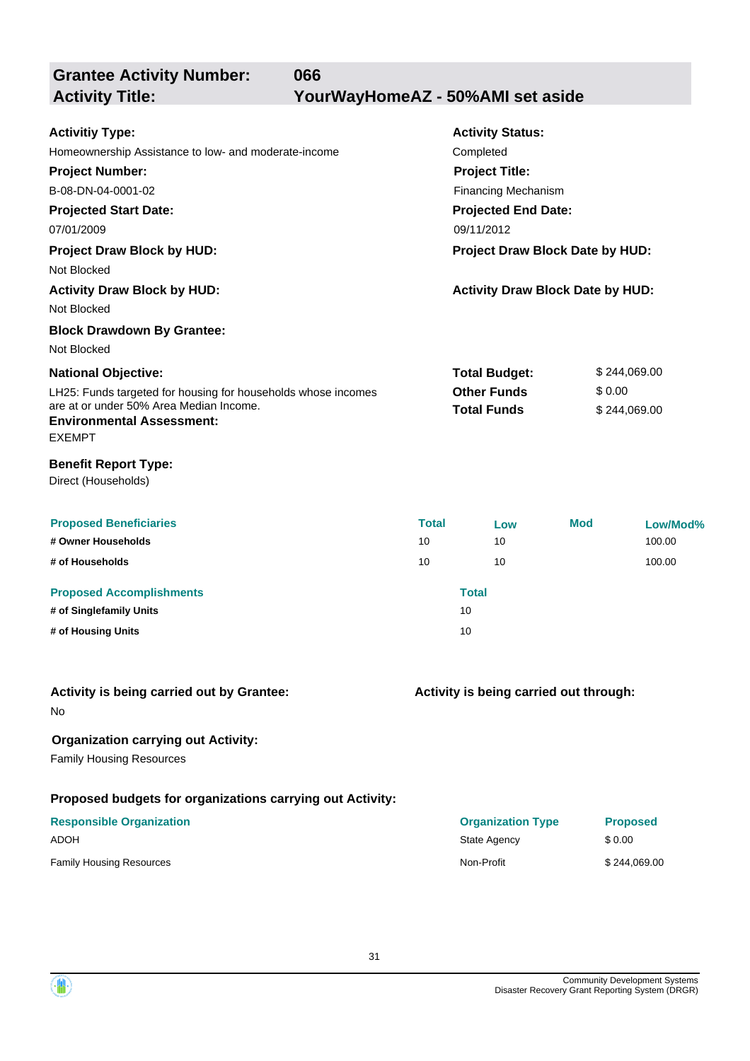**Grantee Activity Number: Projected Start Date: Activity Status: Projected End Date: 066 Activitiy Type:** 07/01/2009 09/11/2012 Homeownership Assistance to low- and moderate-income Completed **Activity Title: YourWayHomeAZ - 50%AMI set aside Project Number:** B-08-DN-04-0001-02 **Project Title:** Financing Mechanism **Project Draw Block by HUD: Project Draw Block Date by HUD:** Not Blocked **Activity Draw Block by HUD: Activity Draw Block Date by HUD:** Not Blocked

**Block Drawdown By Grantee:** Not Blocked

| <b>National Objective:</b>                                    | <b>Total Budget:</b> | \$244.069.00 |
|---------------------------------------------------------------|----------------------|--------------|
| LH25: Funds targeted for housing for households whose incomes | <b>Other Funds</b>   | \$ 0.00      |
| are at or under 50% Area Median Income.                       | <b>Total Funds</b>   | \$244.069.00 |
| <b>Environmental Assessment:</b>                              |                      |              |

### EXEMPT

**Benefit Report Type:**

Direct (Households)

| <b>Proposed Beneficiaries</b>   | <b>Total</b> | Low          | <b>Mod</b> | Low/Mod% |
|---------------------------------|--------------|--------------|------------|----------|
| # Owner Households              | 10           | 10           |            | 100.00   |
| # of Households                 | 10           | 10           |            | 100.00   |
| <b>Proposed Accomplishments</b> |              | <b>Total</b> |            |          |
| # of Singlefamily Units         |              | 10           |            |          |
| # of Housing Units              |              | 10           |            |          |

#### **Activity is being carried out by Grantee:**

No

### **Organization carrying out Activity:**

Family Housing Resources

#### **Proposed budgets for organizations carrying out Activity:**

# **Responsible Organization**

#### **Activity is being carried out through:**

| <b>Responsible Organization</b> | <b>Organization Type</b> | <b>Proposed</b> |
|---------------------------------|--------------------------|-----------------|
| ADOH                            | State Agency             | \$0.00          |
| Family Housing Resources        | Non-Profit               | \$244.069.00    |

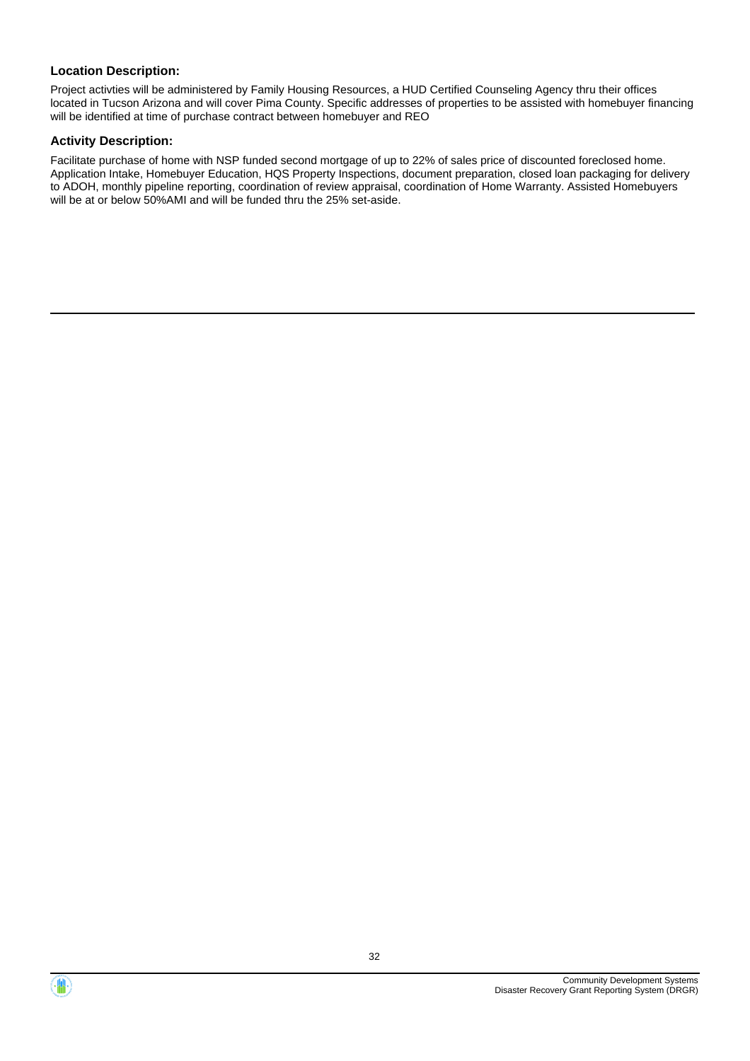Project activties will be administered by Family Housing Resources, a HUD Certified Counseling Agency thru their offices located in Tucson Arizona and will cover Pima County. Specific addresses of properties to be assisted with homebuyer financing will be identified at time of purchase contract between homebuyer and REO

#### **Activity Description:**

Facilitate purchase of home with NSP funded second mortgage of up to 22% of sales price of discounted foreclosed home. Application Intake, Homebuyer Education, HQS Property Inspections, document preparation, closed loan packaging for delivery to ADOH, monthly pipeline reporting, coordination of review appraisal, coordination of Home Warranty. Assisted Homebuyers will be at or below 50%AMI and will be funded thru the 25% set-aside.



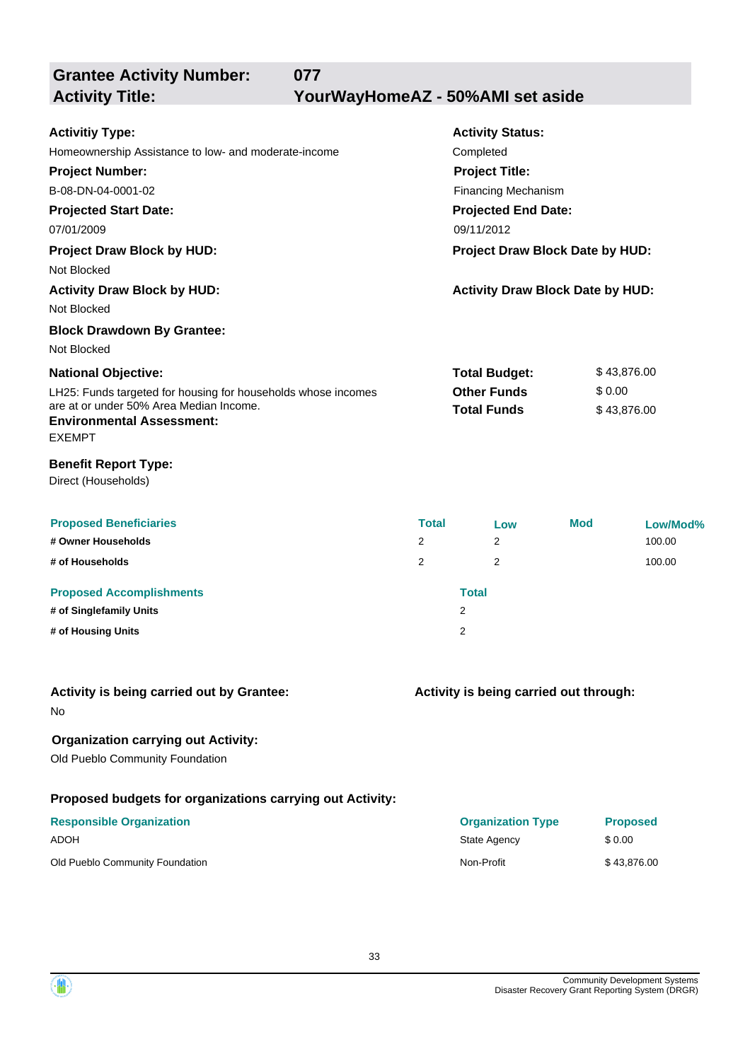**Grantee Activity Number: Activity Status: 077 Activitiy Type: Activity Title: YourWayHomeAZ - 50%AMI set aside**

| ACUVIUY TYPE.                                                               |                            | ACTIVITY STATUS.                        |            |             |  |
|-----------------------------------------------------------------------------|----------------------------|-----------------------------------------|------------|-------------|--|
| Homeownership Assistance to low- and moderate-income                        |                            | Completed                               |            |             |  |
| <b>Project Number:</b>                                                      |                            | <b>Project Title:</b>                   |            |             |  |
| B-08-DN-04-0001-02                                                          |                            | <b>Financing Mechanism</b>              |            |             |  |
| <b>Projected Start Date:</b>                                                | <b>Projected End Date:</b> |                                         |            |             |  |
| 09/11/2012<br>07/01/2009                                                    |                            |                                         |            |             |  |
| <b>Project Draw Block by HUD:</b><br>Project Draw Block Date by HUD:        |                            |                                         |            |             |  |
| Not Blocked                                                                 |                            |                                         |            |             |  |
| <b>Activity Draw Block by HUD:</b>                                          |                            | <b>Activity Draw Block Date by HUD:</b> |            |             |  |
| Not Blocked                                                                 |                            |                                         |            |             |  |
| <b>Block Drawdown By Grantee:</b>                                           |                            |                                         |            |             |  |
| Not Blocked                                                                 |                            |                                         |            |             |  |
| <b>National Objective:</b>                                                  |                            | <b>Total Budget:</b>                    |            | \$43,876.00 |  |
| LH25: Funds targeted for housing for households whose incomes               |                            | <b>Other Funds</b>                      | \$0.00     |             |  |
| are at or under 50% Area Median Income.<br><b>Environmental Assessment:</b> |                            | <b>Total Funds</b><br>\$43,876.00       |            |             |  |
| <b>EXEMPT</b>                                                               |                            |                                         |            |             |  |
| <b>Benefit Report Type:</b>                                                 |                            |                                         |            |             |  |
| Direct (Households)                                                         |                            |                                         |            |             |  |
|                                                                             |                            |                                         |            |             |  |
| <b>Proposed Beneficiaries</b>                                               | <b>Total</b>               | Low                                     | <b>Mod</b> | Low/Mod%    |  |
| # Owner Households                                                          | 2                          | 2                                       |            | 100.00      |  |
| # of Households                                                             | 2                          | 2                                       |            | 100.00      |  |
| <b>Proposed Accomplishments</b>                                             |                            | <b>Total</b>                            |            |             |  |
| # of Singlefamily Units                                                     |                            | $\overline{2}$                          |            |             |  |

- 
- **# of Housing Units** 2

| Activity is being carried out by Grantee: |  |  |  |
|-------------------------------------------|--|--|--|

#### **Activity is being carried out through:**

No

## **Organization carrying out Activity:**

Old Pueblo Community Foundation

## **Proposed budgets for organizations carrying out Activity:**

| <b>Responsible Organization</b> | <b>Organization Type</b> | <b>Proposed</b> |
|---------------------------------|--------------------------|-----------------|
| ADOH                            | State Agency             | \$ 0.00         |
| Old Pueblo Community Foundation | Non-Profit               | \$43.876.00     |

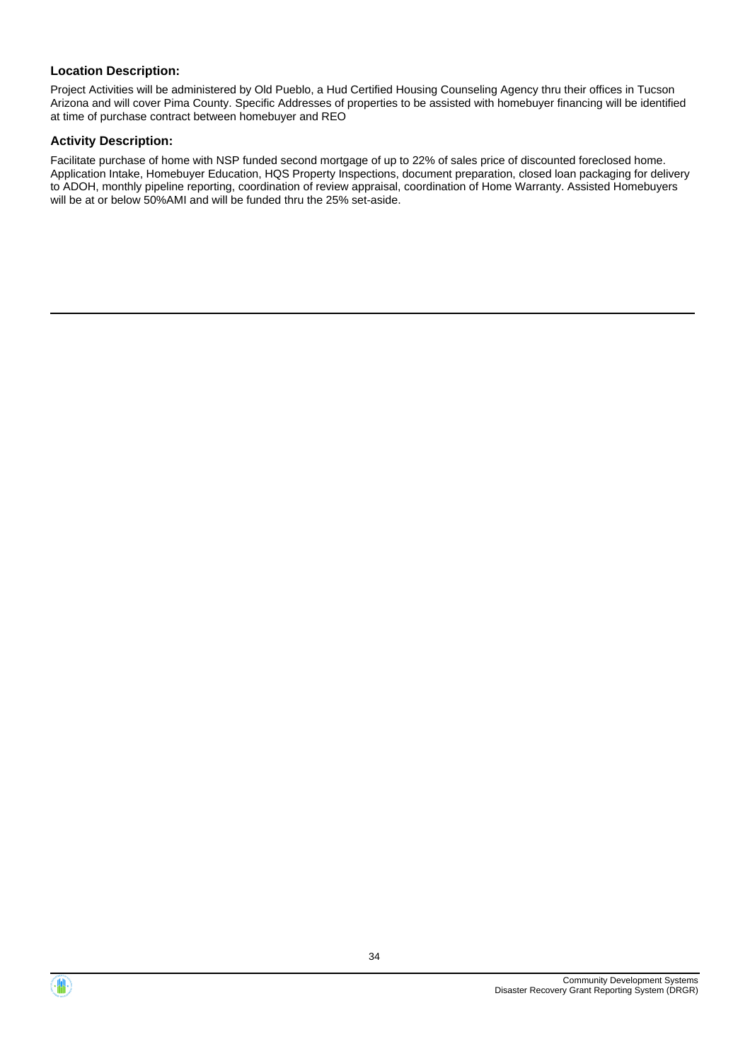Project Activities will be administered by Old Pueblo, a Hud Certified Housing Counseling Agency thru their offices in Tucson Arizona and will cover Pima County. Specific Addresses of properties to be assisted with homebuyer financing will be identified at time of purchase contract between homebuyer and REO

#### **Activity Description:**

Facilitate purchase of home with NSP funded second mortgage of up to 22% of sales price of discounted foreclosed home. Application Intake, Homebuyer Education, HQS Property Inspections, document preparation, closed loan packaging for delivery to ADOH, monthly pipeline reporting, coordination of review appraisal, coordination of Home Warranty. Assisted Homebuyers will be at or below 50%AMI and will be funded thru the 25% set-aside.



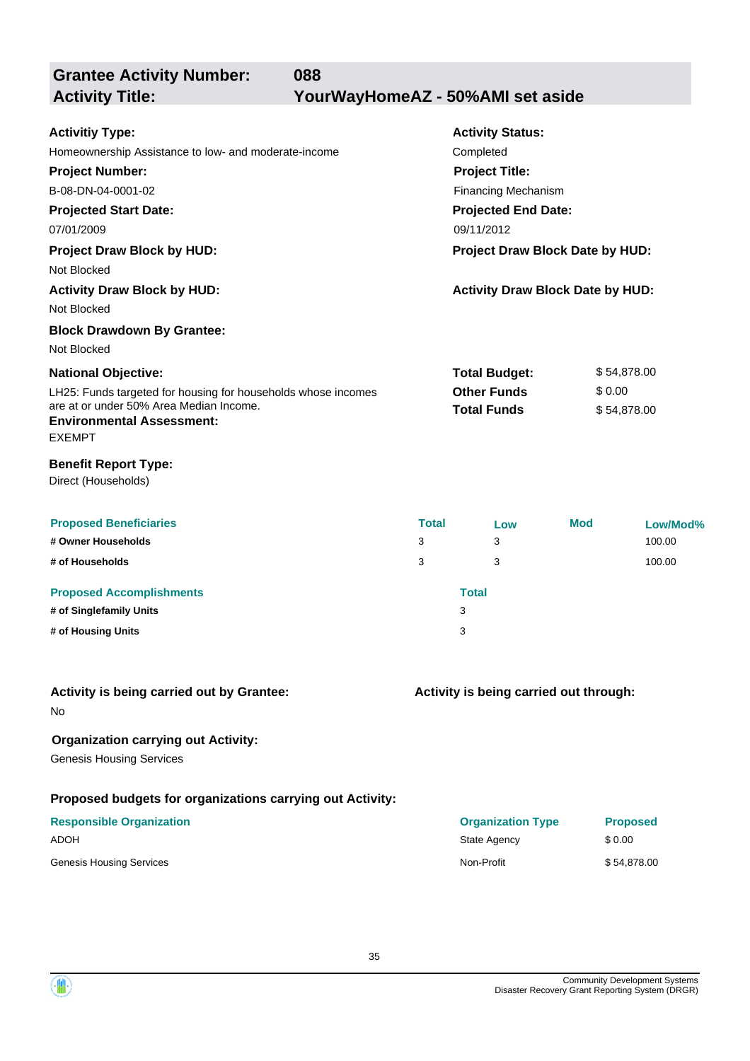**Grantee Activity Number: Activity Status: 088 Activitiy Type:** Homeownership Assistance to low- and moderate-income Completed **Activity Title: YourWayHomeAZ - 50%AMI set aside**

**Projected Start Date: National Objective: Projected End Date:** 07/01/2009 09/11/2012 **Project Number:** B-08-DN-04-0001-02 **Project Title:** Financing Mechanism **Total Budget:** \$ 54,878.00 **Project Draw Block by HUD: Project Draw Block Date by HUD:** Not Blocked **Activity Draw Block by HUD: Activity Draw Block Date by HUD:** Not Blocked **Block Drawdown By Grantee:** Not Blocked

LH25: Funds targeted for housing for households whose incomes are at or under 50% Area Median Income. **Other Funds** \$ 0.00 **Total Funds** \$ 54,878.00 **Environmental Assessment:** EXEMPT

#### **Benefit Report Type:**

Direct (Households)

| <b>Proposed Beneficiaries</b>   | <b>Total</b> |              | Low | <b>Mod</b> | Low/Mod% |
|---------------------------------|--------------|--------------|-----|------------|----------|
| # Owner Households              | 3            |              | 3   |            | 100.00   |
| # of Households                 | 3            |              | 3   |            | 100.00   |
| <b>Proposed Accomplishments</b> |              | <b>Total</b> |     |            |          |
| # of Singlefamily Units         |              | 3            |     |            |          |
| # of Housing Units              |              | 3            |     |            |          |

#### **Activity is being carried out by Grantee:**

No

## **Organization carrying out Activity:**

Genesis Housing Services

## **Proposed budgets for organizations carrying out Activity:**

# **Responsible Organization Organization Type Proposed** ADOH State Agency \$ 0.00 Genesis Housing Services **Non-Profit** \$ 54,878.00

**Activity is being carried out through:**

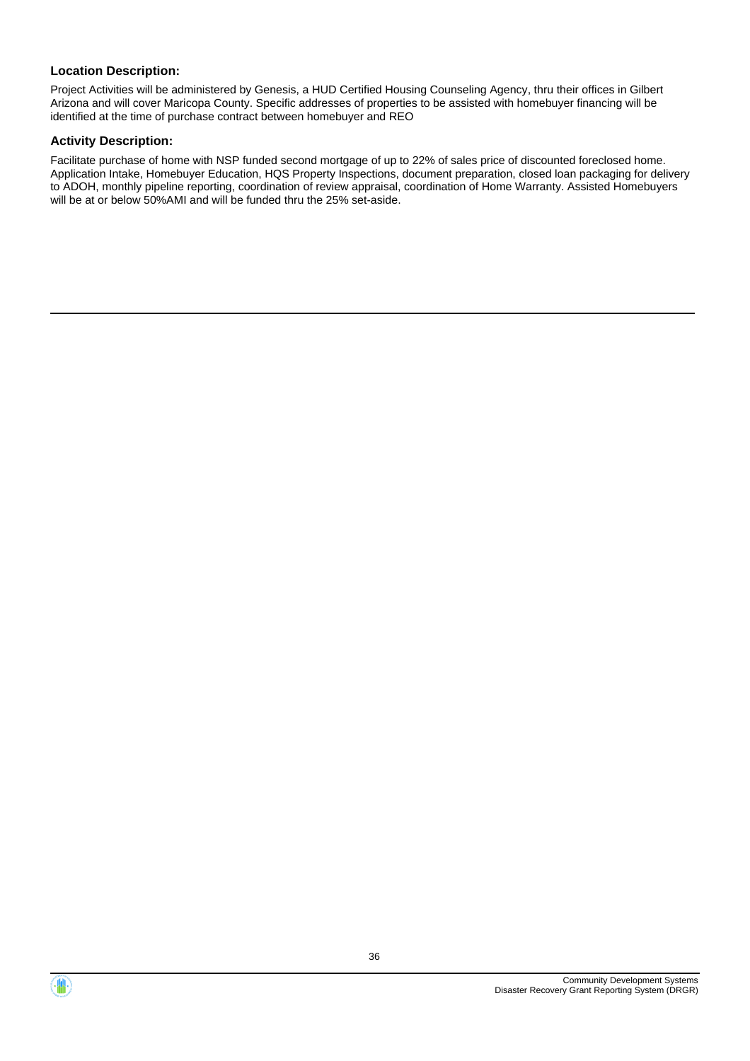Project Activities will be administered by Genesis, a HUD Certified Housing Counseling Agency, thru their offices in Gilbert Arizona and will cover Maricopa County. Specific addresses of properties to be assisted with homebuyer financing will be identified at the time of purchase contract between homebuyer and REO

#### **Activity Description:**

Facilitate purchase of home with NSP funded second mortgage of up to 22% of sales price of discounted foreclosed home. Application Intake, Homebuyer Education, HQS Property Inspections, document preparation, closed loan packaging for delivery to ADOH, monthly pipeline reporting, coordination of review appraisal, coordination of Home Warranty. Assisted Homebuyers will be at or below 50%AMI and will be funded thru the 25% set-aside.



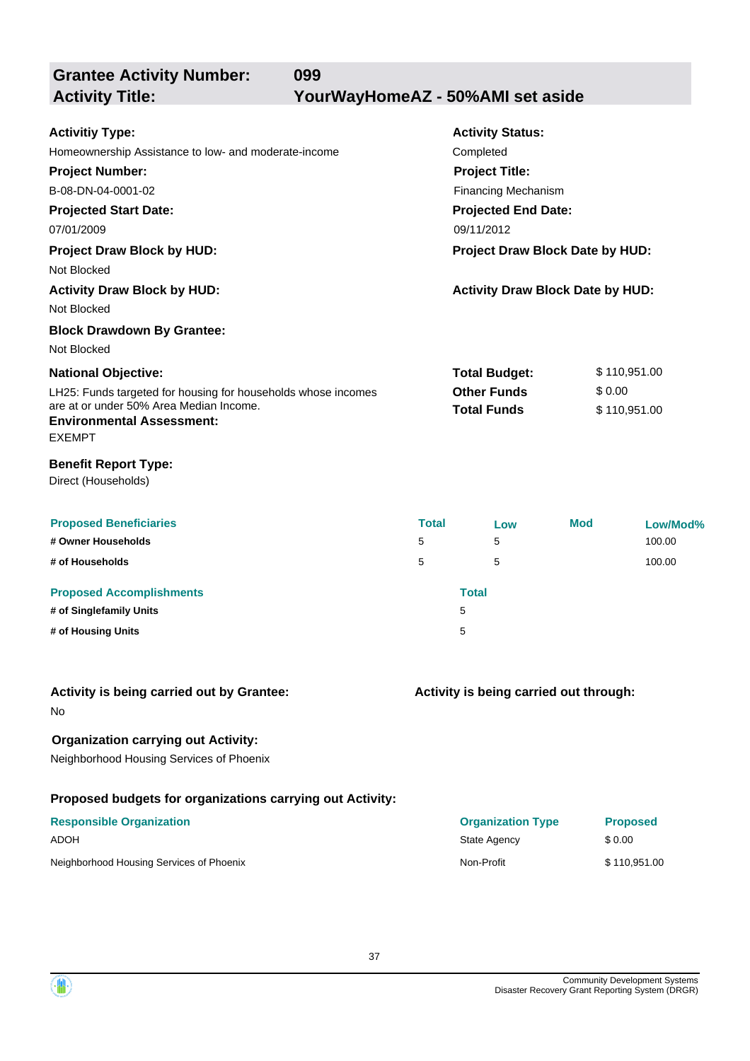**Grantee Activity Number: Projected Start Date: Activity Status: Projected End Date: 099 Activitiy Type:** Homeownership Assistance to low- and moderate-income Completed **Activity Title: YourWayHomeAZ - 50%AMI set aside Project Number:** B-08-DN-04-0001-02 **Project Title:** Financing Mechanism

07/01/2009 09/11/2012 **Project Draw Block by HUD: Project Draw Block Date by HUD:** Not Blocked **Activity Draw Block by HUD: Activity Draw Block Date by HUD:** Not Blocked **Block Drawdown By Grantee:**

LH25: Funds targeted for housing for households whose incomes are at or under 50% Area Median Income. **National Objective: Total Budget:** \$ 110,951.00 **Other Funds** \$ 0.00 **Total Funds** \$ 110,951.00 **Environmental Assessment:**

# EXEMPT

#### **Benefit Report Type:**

Direct (Households)

Not Blocked

| <b>Proposed Beneficiaries</b><br># Owner Households | <b>Total</b><br>5 | Low<br>5     | <b>Mod</b> | Low/Mod%<br>100.00 |
|-----------------------------------------------------|-------------------|--------------|------------|--------------------|
| # of Households                                     | 5                 | 5            |            | 100.00             |
| <b>Proposed Accomplishments</b>                     |                   | <b>Total</b> |            |                    |
| # of Singlefamily Units                             |                   | 5            |            |                    |
| # of Housing Units                                  |                   | 5            |            |                    |

#### **Activity is being carried out by Grantee:**

No

### **Organization carrying out Activity:**

Neighborhood Housing Services of Phoenix

#### **Proposed budgets for organizations carrying out Activity:**

| <b>Responsible Organization</b>          | <b>Organization Type</b> | <b>Proposed</b> |
|------------------------------------------|--------------------------|-----------------|
| ADOH                                     | State Agency             | \$ 0.00         |
| Neighborhood Housing Services of Phoenix | Non-Profit               | \$110.951.00    |

**Activity is being carried out through:**

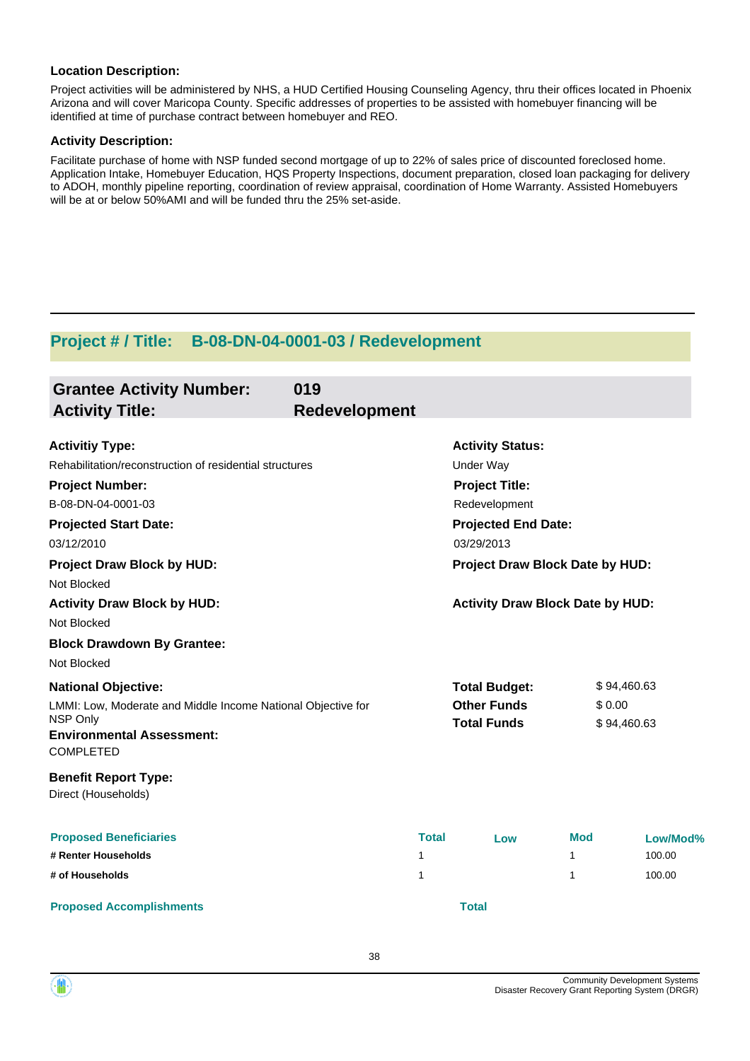Project activities will be administered by NHS, a HUD Certified Housing Counseling Agency, thru their offices located in Phoenix Arizona and will cover Maricopa County. Specific addresses of properties to be assisted with homebuyer financing will be identified at time of purchase contract between homebuyer and REO.

#### **Activity Description:**

Facilitate purchase of home with NSP funded second mortgage of up to 22% of sales price of discounted foreclosed home. Application Intake, Homebuyer Education, HQS Property Inspections, document preparation, closed loan packaging for delivery to ADOH, monthly pipeline reporting, coordination of review appraisal, coordination of Home Warranty. Assisted Homebuyers will be at or below 50%AMI and will be funded thru the 25% set-aside.

## **Project # / Title: B-08-DN-04-0001-03 / Redevelopment**

| <b>Grantee Activity Number:</b><br><b>Activity Title:</b>                                                                                                      | 019<br><b>Redevelopment</b> |              |                                                                  |                 |                            |
|----------------------------------------------------------------------------------------------------------------------------------------------------------------|-----------------------------|--------------|------------------------------------------------------------------|-----------------|----------------------------|
| <b>Activitiy Type:</b><br>Rehabilitation/reconstruction of residential structures                                                                              |                             |              | <b>Activity Status:</b><br><b>Under Way</b>                      |                 |                            |
| <b>Project Number:</b><br>B-08-DN-04-0001-03                                                                                                                   |                             |              | <b>Project Title:</b><br>Redevelopment                           |                 |                            |
| <b>Projected Start Date:</b><br>03/12/2010                                                                                                                     |                             |              | <b>Projected End Date:</b><br>03/29/2013                         |                 |                            |
| <b>Project Draw Block by HUD:</b><br>Not Blocked                                                                                                               |                             |              | Project Draw Block Date by HUD:                                  |                 |                            |
| <b>Activity Draw Block by HUD:</b><br>Not Blocked                                                                                                              |                             |              | <b>Activity Draw Block Date by HUD:</b>                          |                 |                            |
| <b>Block Drawdown By Grantee:</b><br>Not Blocked                                                                                                               |                             |              |                                                                  |                 |                            |
| <b>National Objective:</b><br>LMMI: Low, Moderate and Middle Income National Objective for<br>NSP Only<br><b>Environmental Assessment:</b><br><b>COMPLETED</b> |                             |              | <b>Total Budget:</b><br><b>Other Funds</b><br><b>Total Funds</b> | \$0.00          | \$94,460.63<br>\$94,460.63 |
| <b>Benefit Report Type:</b><br>Direct (Households)                                                                                                             |                             |              |                                                                  |                 |                            |
| <b>Proposed Beneficiaries</b><br># Renter Households                                                                                                           | 1                           | <b>Total</b> | Low                                                              | <b>Mod</b><br>1 | Low/Mod%<br>100.00         |
| # of Households<br><b>Proposed Accomplishments</b>                                                                                                             | 1                           |              | <b>Total</b>                                                     | 1               | 100.00                     |

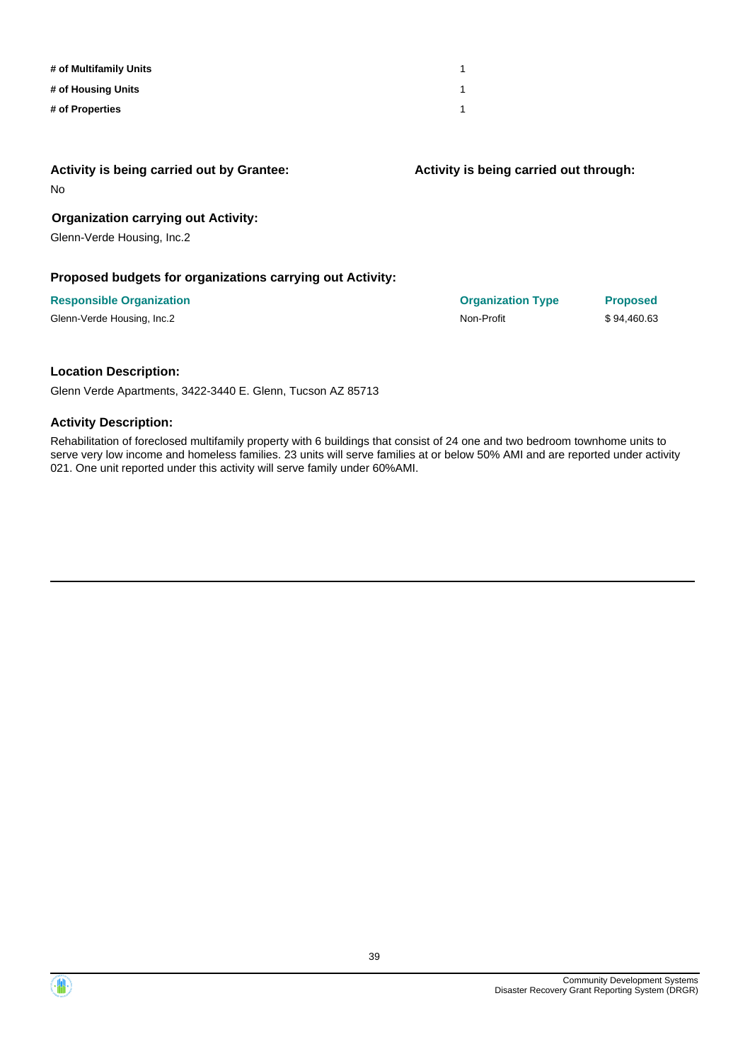| # of Multifamily Units |  |
|------------------------|--|
| # of Housing Units     |  |
| # of Properties        |  |

#### **Activity is being carried out by Grantee:**

No

#### **Organization carrying out Activity:**

Glenn-Verde Housing, Inc.2

#### **Proposed budgets for organizations carrying out Activity:**

#### **Responsible Organization Organization Type Proposed**

Glenn-Verde Housing, Inc.2 **Non-Profit** \$ 94,460.63

**Activity is being carried out through:**

#### **Location Description:**

Glenn Verde Apartments, 3422-3440 E. Glenn, Tucson AZ 85713

#### **Activity Description:**

Rehabilitation of foreclosed multifamily property with 6 buildings that consist of 24 one and two bedroom townhome units to serve very low income and homeless families. 23 units will serve families at or below 50% AMI and are reported under activity 021. One unit reported under this activity will serve family under 60%AMI.

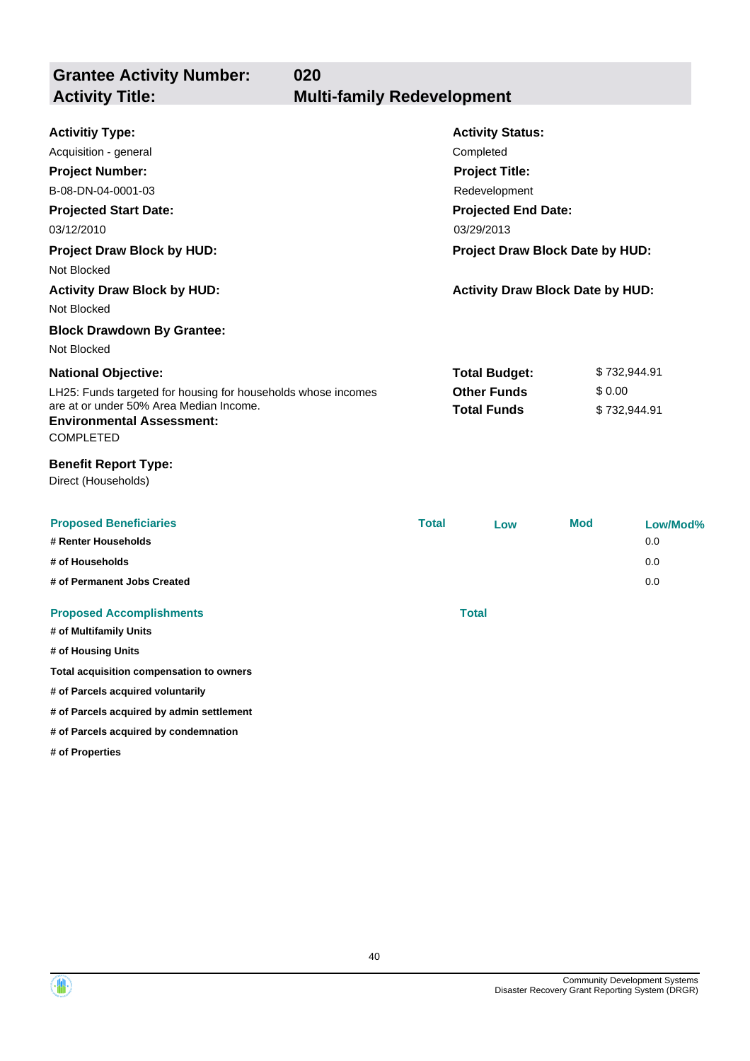| <b>Grantee Activity Number:</b><br>020<br><b>Activity Title:</b>            | <b>Multi-family Redevelopment</b>                                                                                   |                                         |              |              |
|-----------------------------------------------------------------------------|---------------------------------------------------------------------------------------------------------------------|-----------------------------------------|--------------|--------------|
|                                                                             |                                                                                                                     |                                         |              |              |
| <b>Activitiy Type:</b>                                                      |                                                                                                                     | <b>Activity Status:</b>                 |              |              |
| Acquisition - general                                                       |                                                                                                                     | Completed                               |              |              |
| <b>Project Number:</b>                                                      |                                                                                                                     | <b>Project Title:</b>                   |              |              |
| B-08-DN-04-0001-03                                                          |                                                                                                                     | Redevelopment                           |              |              |
| <b>Projected Start Date:</b>                                                |                                                                                                                     | <b>Projected End Date:</b>              |              |              |
| 03/12/2010                                                                  |                                                                                                                     | 03/29/2013                              |              |              |
| <b>Project Draw Block by HUD:</b>                                           |                                                                                                                     | Project Draw Block Date by HUD:         |              |              |
| Not Blocked                                                                 |                                                                                                                     |                                         |              |              |
| <b>Activity Draw Block by HUD:</b>                                          |                                                                                                                     | <b>Activity Draw Block Date by HUD:</b> |              |              |
| Not Blocked                                                                 |                                                                                                                     |                                         |              |              |
| <b>Block Drawdown By Grantee:</b>                                           |                                                                                                                     |                                         |              |              |
| Not Blocked                                                                 |                                                                                                                     |                                         |              |              |
| <b>National Objective:</b>                                                  |                                                                                                                     | <b>Total Budget:</b>                    |              | \$732,944.91 |
| are at or under 50% Area Median Income.<br><b>Environmental Assessment:</b> | <b>Other Funds</b><br>\$0.00<br>LH25: Funds targeted for housing for households whose incomes<br><b>Total Funds</b> |                                         | \$732,944.91 |              |
| <b>COMPLETED</b>                                                            |                                                                                                                     |                                         |              |              |
| <b>Benefit Report Type:</b><br>Direct (Households)                          |                                                                                                                     |                                         |              |              |
| <b>Proposed Beneficiaries</b>                                               | <b>Total</b>                                                                                                        | Low                                     | <b>Mod</b>   | Low/Mod%     |
| # Renter Households                                                         |                                                                                                                     |                                         |              | 0.0          |
| # of Households                                                             |                                                                                                                     |                                         |              | 0.0          |
| # of Permanent Jobs Created                                                 |                                                                                                                     |                                         |              | 0.0          |

#### **Proposed Accomplishments Total**

**# of Multifamily Units # of Housing Units**

**Total acquisition compensation to owners**

**# of Parcels acquired voluntarily**

**# of Parcels acquired by admin settlement**

**# of Parcels acquired by condemnation**

**# of Properties**

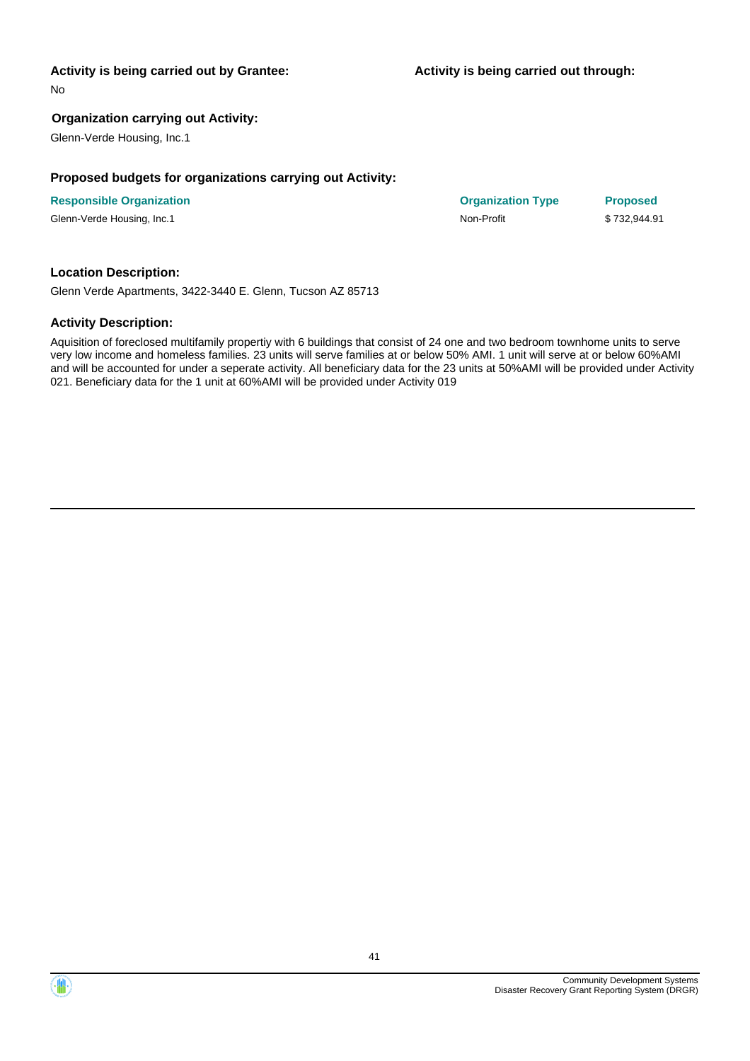#### **Activity is being carried out by Grantee:**

No

### **Organization carrying out Activity:**

Glenn-Verde Housing, Inc.1

#### **Proposed budgets for organizations carrying out Activity:**

**Responsible Organization Organization Type Proposed** Glenn-Verde Housing, Inc.1 1 and 1992 and 1993 and 1993 and 1994. The State of the State of the State of State S

#### **Location Description:**

Glenn Verde Apartments, 3422-3440 E. Glenn, Tucson AZ 85713

#### **Activity Description:**

Aquisition of foreclosed multifamily propertiy with 6 buildings that consist of 24 one and two bedroom townhome units to serve very low income and homeless families. 23 units will serve families at or below 50% AMI. 1 unit will serve at or below 60%AMI and will be accounted for under a seperate activity. All beneficiary data for the 23 units at 50%AMI will be provided under Activity 021. Beneficiary data for the 1 unit at 60%AMI will be provided under Activity 019

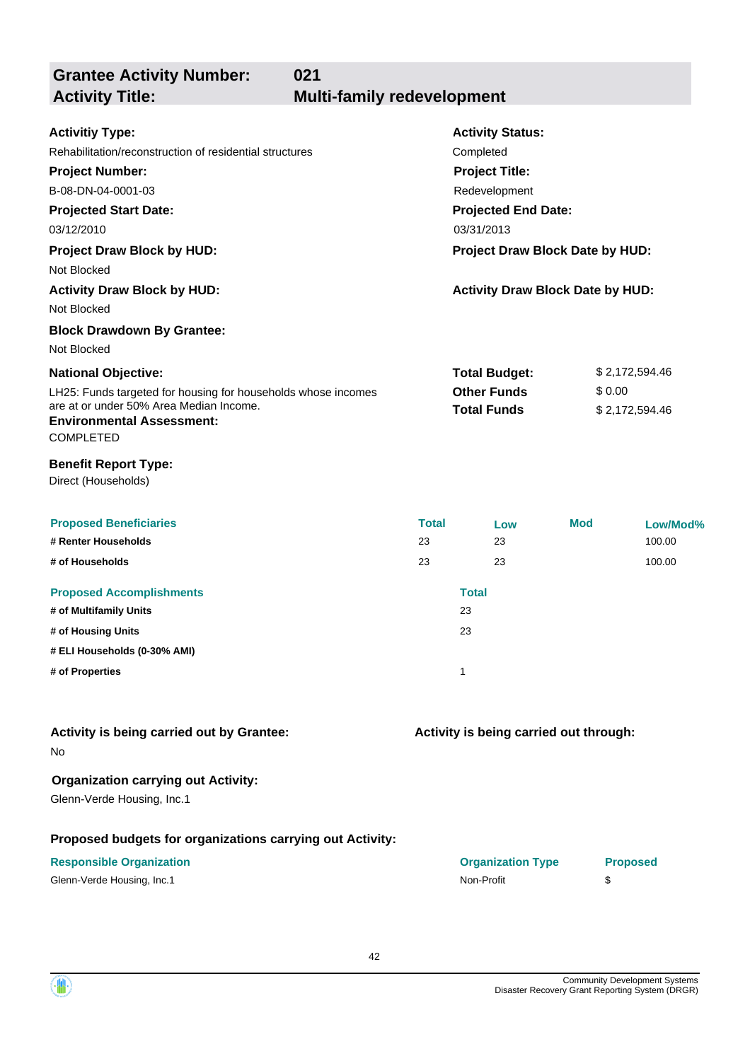| <b>Grantee Activity Number:</b>                                                                 | 021                               |                                         |            |                 |
|-------------------------------------------------------------------------------------------------|-----------------------------------|-----------------------------------------|------------|-----------------|
| <b>Activity Title:</b>                                                                          | <b>Multi-family redevelopment</b> |                                         |            |                 |
| <b>Activitiy Type:</b>                                                                          |                                   | <b>Activity Status:</b>                 |            |                 |
| Rehabilitation/reconstruction of residential structures                                         |                                   | Completed                               |            |                 |
| <b>Project Number:</b>                                                                          |                                   | <b>Project Title:</b>                   |            |                 |
| B-08-DN-04-0001-03                                                                              |                                   | Redevelopment                           |            |                 |
| <b>Projected Start Date:</b>                                                                    |                                   | <b>Projected End Date:</b>              |            |                 |
| 03/12/2010                                                                                      | 03/31/2013                        |                                         |            |                 |
| <b>Project Draw Block by HUD:</b>                                                               |                                   | Project Draw Block Date by HUD:         |            |                 |
| Not Blocked                                                                                     |                                   |                                         |            |                 |
| <b>Activity Draw Block by HUD:</b>                                                              |                                   | <b>Activity Draw Block Date by HUD:</b> |            |                 |
| Not Blocked                                                                                     |                                   |                                         |            |                 |
| <b>Block Drawdown By Grantee:</b>                                                               |                                   |                                         |            |                 |
| Not Blocked                                                                                     |                                   |                                         |            |                 |
| <b>National Objective:</b>                                                                      |                                   | <b>Total Budget:</b>                    |            | \$2,172,594.46  |
| LH25: Funds targeted for housing for households whose incomes                                   |                                   | <b>Other Funds</b>                      | \$0.00     |                 |
| are at or under 50% Area Median Income.<br><b>Environmental Assessment:</b><br><b>COMPLETED</b> |                                   | <b>Total Funds</b>                      |            | \$2,172,594.46  |
| <b>Benefit Report Type:</b><br>Direct (Households)                                              |                                   |                                         |            |                 |
| <b>Proposed Beneficiaries</b>                                                                   | <b>Total</b>                      | Low                                     | <b>Mod</b> | Low/Mod%        |
| # Renter Households                                                                             | 23                                | 23                                      |            | 100.00          |
| # of Households                                                                                 | 23                                | 23                                      |            | 100.00          |
| <b>Proposed Accomplishments</b>                                                                 |                                   | <b>Total</b>                            |            |                 |
| # of Multifamily Units                                                                          |                                   | 23                                      |            |                 |
| # of Housing Units                                                                              |                                   | 23                                      |            |                 |
| # ELI Households (0-30% AMI)                                                                    |                                   |                                         |            |                 |
| # of Properties                                                                                 |                                   | 1                                       |            |                 |
| Activity is being carried out by Grantee:                                                       |                                   | Activity is being carried out through:  |            |                 |
| No                                                                                              |                                   |                                         |            |                 |
| <b>Organization carrying out Activity:</b><br>Glenn-Verde Housing, Inc.1                        |                                   |                                         |            |                 |
| Proposed budgets for organizations carrying out Activity:                                       |                                   |                                         |            |                 |
| <b>Responsible Organization</b><br>Glenn-Verde Housing, Inc.1                                   |                                   | <b>Organization Type</b><br>Non-Profit  | \$         | <b>Proposed</b> |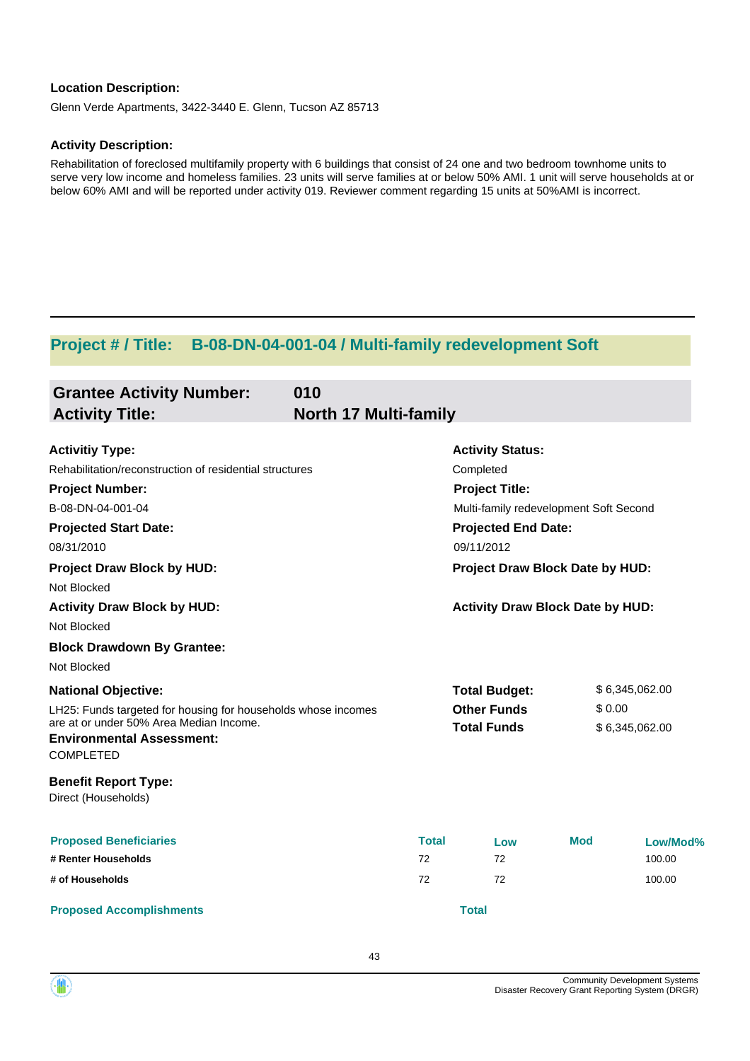Glenn Verde Apartments, 3422-3440 E. Glenn, Tucson AZ 85713

#### **Activity Description:**

Rehabilitation of foreclosed multifamily property with 6 buildings that consist of 24 one and two bedroom townhome units to serve very low income and homeless families. 23 units will serve families at or below 50% AMI. 1 unit will serve households at or below 60% AMI and will be reported under activity 019. Reviewer comment regarding 15 units at 50%AMI is incorrect.

# **Project # / Title: B-08-DN-04-001-04 / Multi-family redevelopment Soft**

| <b>Grantee Activity Number:</b>                                             | 010                          |                                         |            |                |
|-----------------------------------------------------------------------------|------------------------------|-----------------------------------------|------------|----------------|
| <b>Activity Title:</b>                                                      | <b>North 17 Multi-family</b> |                                         |            |                |
| <b>Activitiy Type:</b>                                                      |                              | <b>Activity Status:</b>                 |            |                |
| Rehabilitation/reconstruction of residential structures                     |                              | Completed                               |            |                |
| <b>Project Number:</b>                                                      |                              | <b>Project Title:</b>                   |            |                |
| B-08-DN-04-001-04                                                           |                              | Multi-family redevelopment Soft Second  |            |                |
| <b>Projected Start Date:</b>                                                |                              | <b>Projected End Date:</b>              |            |                |
| 08/31/2010                                                                  |                              | 09/11/2012                              |            |                |
| <b>Project Draw Block by HUD:</b>                                           |                              | Project Draw Block Date by HUD:         |            |                |
| Not Blocked                                                                 |                              |                                         |            |                |
| <b>Activity Draw Block by HUD:</b>                                          |                              | <b>Activity Draw Block Date by HUD:</b> |            |                |
| Not Blocked                                                                 |                              |                                         |            |                |
| <b>Block Drawdown By Grantee:</b>                                           |                              |                                         |            |                |
| Not Blocked                                                                 |                              |                                         |            |                |
| <b>National Objective:</b>                                                  |                              | <b>Total Budget:</b>                    |            | \$6,345,062.00 |
| LH25: Funds targeted for housing for households whose incomes               |                              | <b>Other Funds</b>                      | \$0.00     |                |
| are at or under 50% Area Median Income.<br><b>Environmental Assessment:</b> |                              | <b>Total Funds</b>                      |            | \$6,345,062.00 |
| <b>COMPLETED</b>                                                            |                              |                                         |            |                |
| <b>Benefit Report Type:</b><br>Direct (Households)                          |                              |                                         |            |                |
| <b>Proposed Beneficiaries</b>                                               | <b>Total</b>                 | Low                                     | <b>Mod</b> | Low/Mod%       |
| # Renter Households                                                         | 72                           | 72                                      |            | 100.00         |
| # of Households                                                             | 72                           | 72                                      |            | 100.00         |
| <b>Proposed Accomplishments</b>                                             |                              | <b>Total</b>                            |            |                |

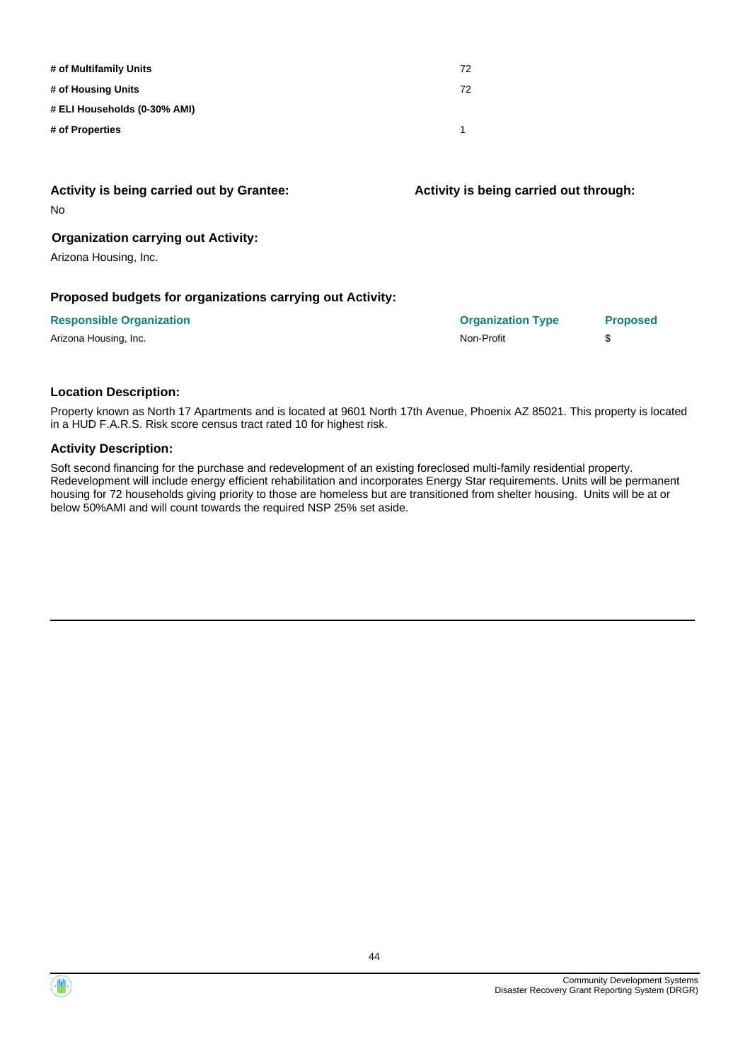| # of Multifamily Units       | 72 |
|------------------------------|----|
| # of Housing Units           | 72 |
| # ELI Households (0-30% AMI) |    |
| # of Properties              |    |

| Activity is being carried out by Grantee:<br><b>No</b>              | Activity is being carried out through: |                 |
|---------------------------------------------------------------------|----------------------------------------|-----------------|
| <b>Organization carrying out Activity:</b><br>Arizona Housing, Inc. |                                        |                 |
| Proposed budgets for organizations carrying out Activity:           |                                        |                 |
| <b>Responsible Organization</b>                                     | <b>Organization Type</b>               | <b>Proposed</b> |
| Arizona Housing, Inc.                                               | Non-Profit                             | \$              |

Property known as North 17 Apartments and is located at 9601 North 17th Avenue, Phoenix AZ 85021. This property is located in a HUD F.A.R.S. Risk score census tract rated 10 for highest risk.

#### **Activity Description:**

Soft second financing for the purchase and redevelopment of an existing foreclosed multi-family residential property. Redevelopment will include energy efficient rehabilitation and incorporates Energy Star requirements. Units will be permanent housing for 72 households giving priority to those are homeless but are transitioned from shelter housing. Units will be at or below 50%AMI and will count towards the required NSP 25% set aside.

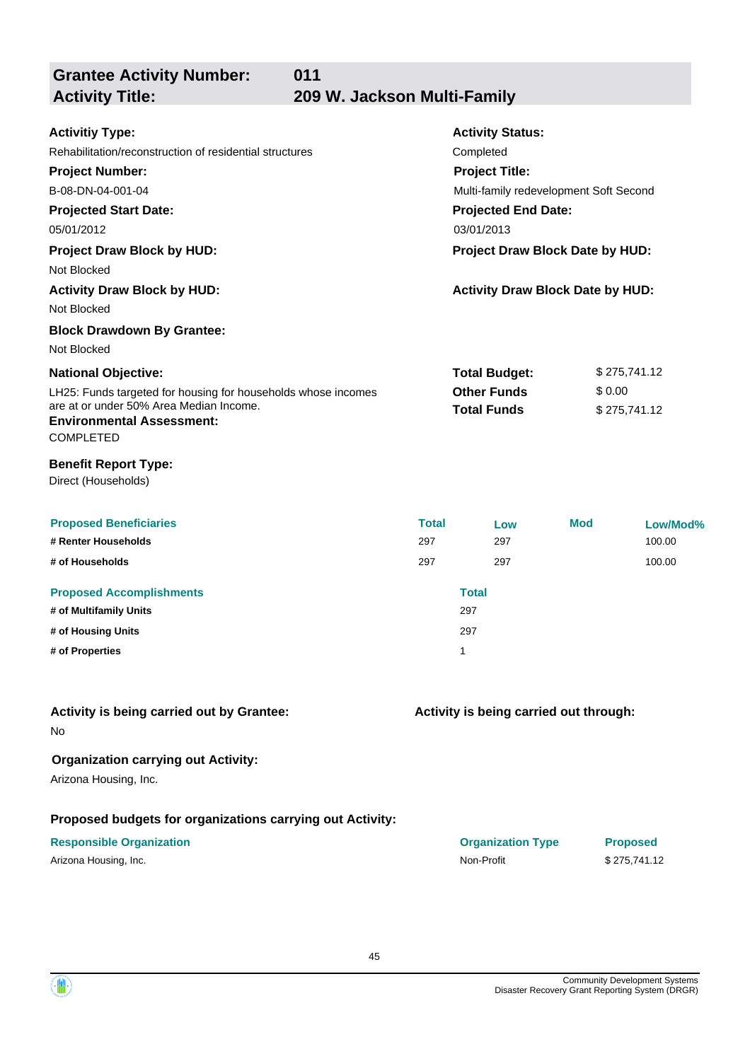**Grantee Activity Number:**

 $\langle \mathbf{a} \rangle$ 

**011**

**Activity Title: 209 W. Jackson Multi-Family**

| <b>Activitiy Type:</b><br>Rehabilitation/reconstruction of residential structures<br><b>Project Number:</b><br>B-08-DN-04-001-04<br><b>Projected Start Date:</b><br>05/01/2012<br><b>Project Draw Block by HUD:</b><br>Not Blocked<br><b>Activity Draw Block by HUD:</b><br>Not Blocked<br><b>Block Drawdown By Grantee:</b> |                            | <b>Activity Status:</b><br>Completed<br><b>Project Title:</b><br>Multi-family redevelopment Soft Second<br><b>Projected End Date:</b><br>03/01/2013<br>Project Draw Block Date by HUD:<br><b>Activity Draw Block Date by HUD:</b> |            |                                        |
|------------------------------------------------------------------------------------------------------------------------------------------------------------------------------------------------------------------------------------------------------------------------------------------------------------------------------|----------------------------|-----------------------------------------------------------------------------------------------------------------------------------------------------------------------------------------------------------------------------------|------------|----------------------------------------|
| Not Blocked<br><b>National Objective:</b><br>LH25: Funds targeted for housing for households whose incomes<br>are at or under 50% Area Median Income.<br><b>Environmental Assessment:</b><br><b>COMPLETED</b><br><b>Benefit Report Type:</b><br>Direct (Households)                                                          |                            | <b>Total Budget:</b><br><b>Other Funds</b><br><b>Total Funds</b>                                                                                                                                                                  |            | \$275,741.12<br>\$0.00<br>\$275,741.12 |
| <b>Proposed Beneficiaries</b><br># Renter Households<br># of Households<br><b>Proposed Accomplishments</b><br># of Multifamily Units<br># of Housing Units<br># of Properties                                                                                                                                                | <b>Total</b><br>297<br>297 | Low<br>297<br>297<br><b>Total</b><br>297<br>297<br>1                                                                                                                                                                              | <b>Mod</b> | Low/Mod%<br>100.00<br>100.00           |
| Activity is being carried out by Grantee:<br>No.<br><b>Organization carrying out Activity:</b><br>Arizona Housing, Inc.<br>Proposed budgets for organizations carrying out Activity:<br><b>Responsible Organization</b><br>Arizona Housing, Inc.                                                                             |                            | Activity is being carried out through:<br><b>Organization Type</b><br>Non-Profit                                                                                                                                                  |            | <b>Proposed</b><br>\$275,741.12        |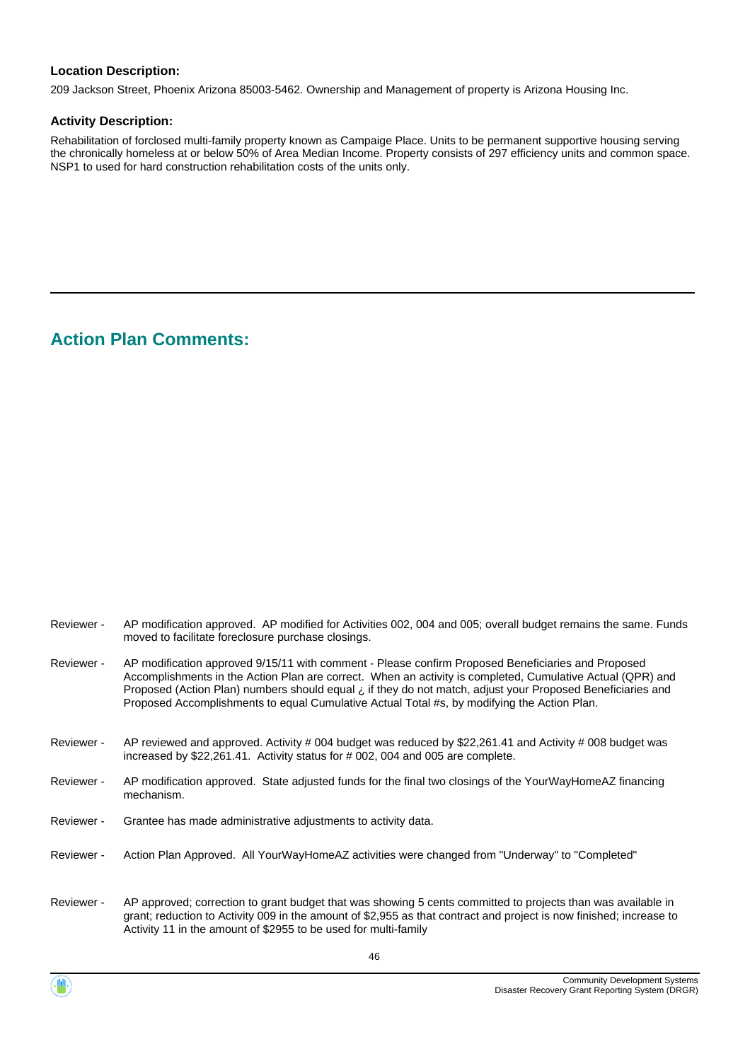209 Jackson Street, Phoenix Arizona 85003-5462. Ownership and Management of property is Arizona Housing Inc.

#### **Activity Description:**

Rehabilitation of forclosed multi-family property known as Campaige Place. Units to be permanent supportive housing serving the chronically homeless at or below 50% of Area Median Income. Property consists of 297 efficiency units and common space. NSP1 to used for hard construction rehabilitation costs of the units only.

# **Action Plan Comments:**

| Reviewer - | AP modification approved. AP modified for Activities 002, 004 and 005; overall budget remains the same. Funds<br>moved to facilitate foreclosure purchase closings.                                                                                                                                                                                                                                                           |
|------------|-------------------------------------------------------------------------------------------------------------------------------------------------------------------------------------------------------------------------------------------------------------------------------------------------------------------------------------------------------------------------------------------------------------------------------|
| Reviewer - | AP modification approved 9/15/11 with comment - Please confirm Proposed Beneficiaries and Proposed<br>Accomplishments in the Action Plan are correct. When an activity is completed, Cumulative Actual (QPR) and<br>Proposed (Action Plan) numbers should equal i if they do not match, adjust your Proposed Beneficiaries and<br>Proposed Accomplishments to equal Cumulative Actual Total #s, by modifying the Action Plan. |
| Reviewer - | AP reviewed and approved. Activity # 004 budget was reduced by \$22,261.41 and Activity # 008 budget was<br>increased by \$22,261.41. Activity status for # 002, 004 and 005 are complete.                                                                                                                                                                                                                                    |
| Reviewer - | AP modification approved. State adjusted funds for the final two closings of the YourWayHomeAZ financing<br>mechanism.                                                                                                                                                                                                                                                                                                        |
| Reviewer - | Grantee has made administrative adjustments to activity data.                                                                                                                                                                                                                                                                                                                                                                 |
| Reviewer - | Action Plan Approved. All YourWayHomeAZ activities were changed from "Underway" to "Completed"                                                                                                                                                                                                                                                                                                                                |
| Reviewer - | AP approved; correction to grant budget that was showing 5 cents committed to projects than was available in<br>grant; reduction to Activity 009 in the amount of \$2,955 as that contract and project is now finished; increase to<br>Activity 11 in the amount of \$2955 to be used for multi-family                                                                                                                        |